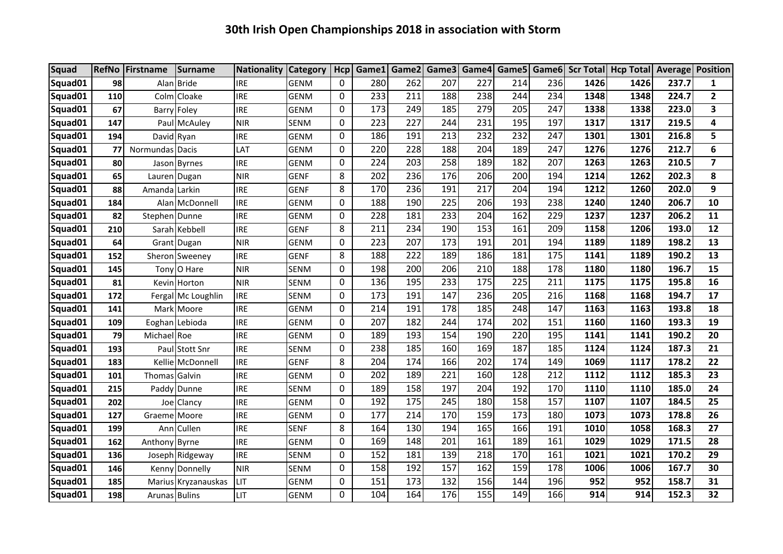| <b>Squad</b> |     | RefNo Firstname | Surname             | <b>Nationality Category</b> |             | Hcp      | Game1 | Game2 |     | Game3 Game4 |     |     |      | Game5 Game6 Scr Total Hcp Total Average Position |       |                |
|--------------|-----|-----------------|---------------------|-----------------------------|-------------|----------|-------|-------|-----|-------------|-----|-----|------|--------------------------------------------------|-------|----------------|
| Squad01      | 98  |                 | Alan Bride          | <b>IRE</b>                  | <b>GENM</b> | 0        | 280   | 262   | 207 | 227         | 214 | 236 | 1426 | 1426                                             | 237.7 | $\mathbf{1}$   |
| Squad01      | 110 |                 | Colm Cloake         | <b>IRE</b>                  | <b>GENM</b> | 0        | 233   | 211   | 188 | 238         | 244 | 234 | 1348 | 1348                                             | 224.7 | $\overline{2}$ |
| Squad01      | 67  |                 | Barry Foley         | <b>IRE</b>                  | <b>GENM</b> | 0        | 173   | 249   | 185 | 279         | 205 | 247 | 1338 | 1338                                             | 223.0 | 3              |
| Squad01      | 147 |                 | Paul McAuley        | <b>NIR</b>                  | SENM        | 0        | 223   | 227   | 244 | 231         | 195 | 197 | 1317 | 1317                                             | 219.5 | 4              |
| Squad01      | 194 | David Ryan      |                     | <b>IRE</b>                  | <b>GENM</b> | 0        | 186   | 191   | 213 | 232         | 232 | 247 | 1301 | 1301                                             | 216.8 | 5              |
| Squad01      | 77  | Normundas Dacis |                     | LAT                         | <b>GENM</b> | 0        | 220   | 228   | 188 | 204         | 189 | 247 | 1276 | 1276                                             | 212.7 | 6              |
| Squad01      | 80  |                 | Jason Byrnes        | <b>IRE</b>                  | <b>GENM</b> | 0        | 224   | 203   | 258 | 189         | 182 | 207 | 1263 | 1263                                             | 210.5 | $\overline{7}$ |
| Squad01      | 65  | Lauren Dugan    |                     | <b>NIR</b>                  | <b>GENF</b> | 8        | 202   | 236   | 176 | 206         | 200 | 194 | 1214 | 1262                                             | 202.3 | 8              |
| Squad01      | 88  | Amanda   Larkin |                     | <b>IRE</b>                  | <b>GENF</b> | 8        | 170   | 236   | 191 | 217         | 204 | 194 | 1212 | 1260                                             | 202.0 | 9              |
| Squad01      | 184 |                 | Alan McDonnell      | <b>IRE</b>                  | <b>GENM</b> | 0        | 188   | 190   | 225 | 206         | 193 | 238 | 1240 | 1240                                             | 206.7 | 10             |
| Squad01      | 82  | Stephen Dunne   |                     | <b>IRE</b>                  | <b>GENM</b> | 0        | 228   | 181   | 233 | 204         | 162 | 229 | 1237 | 1237                                             | 206.2 | 11             |
| Squad01      | 210 |                 | Sarah Kebbell       | <b>IRE</b>                  | GENF        | 8        | 211   | 234   | 190 | 153         | 161 | 209 | 1158 | 1206                                             | 193.0 | 12             |
| Squad01      | 64  |                 | Grant Dugan         | <b>NIR</b>                  | <b>GENM</b> | 0        | 223   | 207   | 173 | 191         | 201 | 194 | 1189 | 1189                                             | 198.2 | 13             |
| Squad01      | 152 |                 | Sheron Sweeney      | <b>IRE</b>                  | <b>GENF</b> | 8        | 188   | 222   | 189 | 186         | 181 | 175 | 1141 | 1189                                             | 190.2 | 13             |
| Squad01      | 145 |                 | Tony O Hare         | <b>NIR</b>                  | <b>SENM</b> | 0        | 198   | 200   | 206 | 210         | 188 | 178 | 1180 | 1180                                             | 196.7 | 15             |
| Squad01      | 81  |                 | Kevin Horton        | <b>NIR</b>                  | <b>SENM</b> | 0        | 136   | 195   | 233 | 175         | 225 | 211 | 1175 | 1175                                             | 195.8 | 16             |
| Squad01      | 172 |                 | Fergal Mc Loughlin  | <b>IRE</b>                  | <b>SENM</b> | 0        | 173   | 191   | 147 | 236         | 205 | 216 | 1168 | 1168                                             | 194.7 | 17             |
| Squad01      | 141 |                 | Mark Moore          | <b>IRE</b>                  | <b>GENM</b> | 0        | 214   | 191   | 178 | 185         | 248 | 147 | 1163 | 1163                                             | 193.8 | 18             |
| Squad01      | 109 |                 | Eoghan Lebioda      | <b>IRE</b>                  | <b>GENM</b> | 0        | 207   | 182   | 244 | 174         | 202 | 151 | 1160 | 1160                                             | 193.3 | 19             |
| Squad01      | 79  | Michael Roe     |                     | <b>IRE</b>                  | <b>GENM</b> | 0        | 189   | 193   | 154 | 190         | 220 | 195 | 1141 | 1141                                             | 190.2 | 20             |
| Squad01      | 193 |                 | Paul Stott Snr      | <b>IRE</b>                  | <b>SENM</b> | 0        | 238   | 185   | 160 | 169         | 187 | 185 | 1124 | 1124                                             | 187.3 | 21             |
| Squad01      | 183 |                 | Kellie McDonnell    | <b>IRE</b>                  | <b>GENF</b> | 8        | 204   | 174   | 166 | 202         | 174 | 149 | 1069 | 1117                                             | 178.2 | 22             |
| Squad01      | 101 | Thomas Galvin   |                     | <b>IRE</b>                  | <b>GENM</b> | 0        | 202   | 189   | 221 | 160         | 128 | 212 | 1112 | 1112                                             | 185.3 | 23             |
| Squad01      | 215 |                 | Paddy Dunne         | <b>IRE</b>                  | <b>SENM</b> | 0        | 189   | 158   | 197 | 204         | 192 | 170 | 1110 | 1110                                             | 185.0 | 24             |
| Squad01      | 202 |                 | Joe Clancy          | <b>IRE</b>                  | <b>GENM</b> | 0        | 192   | 175   | 245 | 180         | 158 | 157 | 1107 | 1107                                             | 184.5 | 25             |
| Squad01      | 127 | Graeme Moore    |                     | <b>IRE</b>                  | <b>GENM</b> | 0        | 177   | 214   | 170 | 159         | 173 | 180 | 1073 | 1073                                             | 178.8 | 26             |
| Squad01      | 199 |                 | Ann Cullen          | <b>IRE</b>                  | <b>SENF</b> | 8        | 164   | 130   | 194 | 165         | 166 | 191 | 1010 | 1058                                             | 168.3 | 27             |
| Squad01      | 162 | Anthony Byrne   |                     | <b>IRE</b>                  | GENM        | 0        | 169   | 148   | 201 | 161         | 189 | 161 | 1029 | 1029                                             | 171.5 | 28             |
| Squad01      | 136 |                 | Joseph Ridgeway     | <b>IRE</b>                  | <b>SENM</b> | 0        | 152   | 181   | 139 | 218         | 170 | 161 | 1021 | 1021                                             | 170.2 | 29             |
| Squad01      | 146 |                 | Kenny Donnelly      | <b>NIR</b>                  | <b>SENM</b> | 0        | 158   | 192   | 157 | 162         | 159 | 178 | 1006 | 1006                                             | 167.7 | 30             |
| Squad01      | 185 |                 | Marius Kryzanauskas | LIT                         | <b>GENM</b> | 0        | 151   | 173   | 132 | 156         | 144 | 196 | 952  | 952                                              | 158.7 | 31             |
| Squad01      | 198 | Arunas Bulins   |                     | LIT                         | GENM        | $\Omega$ | 104   | 164   | 176 | 155         | 149 | 166 | 914  | 914                                              | 152.3 | 32             |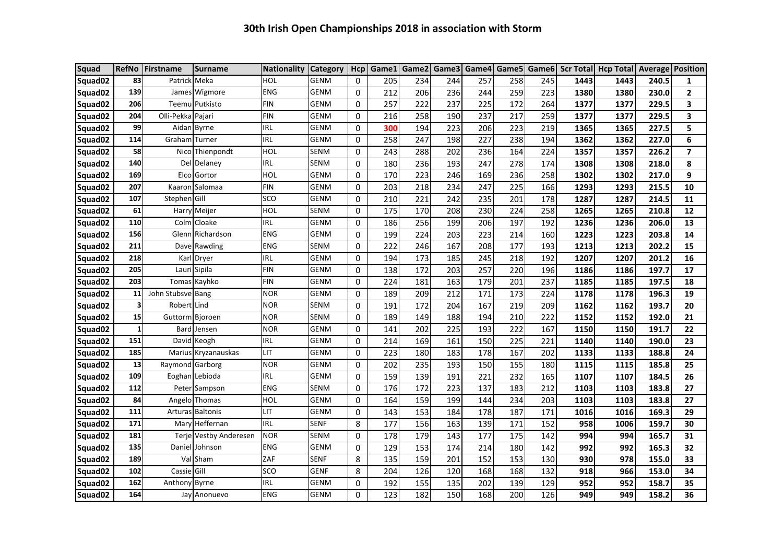| <b>Squad</b>        | <b>RefNo</b> | Firstname         | <b>Surname</b>         | <b>Nationality</b> | <b>Category</b> | Hcp      | Game1 | Game2 |     | Game3 Game4 | Game5 | Game <sub>6</sub> |      | Scr Total   Hcp Total   Average |       | <b>Position</b> |
|---------------------|--------------|-------------------|------------------------|--------------------|-----------------|----------|-------|-------|-----|-------------|-------|-------------------|------|---------------------------------|-------|-----------------|
| Squad <sub>02</sub> | 83           | Patrick Meka      |                        | HOL                | <b>GENM</b>     | 0        | 205   | 234   | 244 | 257         | 258   | 245               | 1443 | 1443                            | 240.5 | 1               |
| Squad <sub>02</sub> | 139          |                   | James Wigmore          | <b>ENG</b>         | <b>GENM</b>     | 0        | 212   | 206   | 236 | 244         | 259   | 223               | 1380 | 1380                            | 230.0 | 2               |
| Squad02             | 206          |                   | Teemu Putkisto         | <b>FIN</b>         | <b>GENM</b>     | 0        | 257   | 222   | 237 | 225         | 172   | 264               | 1377 | 1377                            | 229.5 | 3               |
| Squad <sub>02</sub> | 204          | Olli-Pekka Pajari |                        | <b>FIN</b>         | <b>GENM</b>     | 0        | 216   | 258   | 190 | 237         | 217   | 259               | 1377 | 1377                            | 229.5 | 3               |
| Squad <sub>02</sub> | 99           |                   | Aidan Byrne            | IRL                | <b>GENM</b>     | 0        | 300   | 194   | 223 | 206         | 223   | 219               | 1365 | 1365                            | 227.5 | 5               |
| Squad02             | 114          | Graham Turner     |                        | IRL                | <b>GENM</b>     | 0        | 258   | 247   | 198 | 227         | 238   | 194               | 1362 | 1362                            | 227.0 | 6               |
| Squad <sub>02</sub> | 58           |                   | Nico Thienpondt        | HOL                | <b>SENM</b>     | 0        | 243   | 288   | 202 | 236         | 164   | 224               | 1357 | 1357                            | 226.2 | $\overline{ }$  |
| Squad <sub>02</sub> | 140          |                   | Del Delaney            | IRL                | SENM            | 0        | 180   | 236   | 193 | 247         | 278   | 174               | 1308 | 1308                            | 218.0 | 8               |
| Squad <sub>02</sub> | 169          |                   | Elco Gortor            | <b>HOL</b>         | <b>GENM</b>     | 0        | 170   | 223   | 246 | 169         | 236   | 258               | 1302 | 1302                            | 217.0 | 9               |
| Squad02             | 207          |                   | Kaaron Salomaa         | <b>FIN</b>         | <b>GENM</b>     | 0        | 203   | 218   | 234 | 247         | 225   | 166               | 1293 | 1293                            | 215.5 | 10              |
| Squad02             | 107          | Stephen Gill      |                        | SCO                | <b>GENM</b>     | 0        | 210   | 221   | 242 | 235         | 201   | 178               | 1287 | 1287                            | 214.5 | 11              |
| Squad <sub>02</sub> | 61           |                   | Harry Meijer           | HOL                | SENM            | 0        | 175   | 170   | 208 | 230         | 224   | 258               | 1265 | 1265                            | 210.8 | 12              |
| Squad02             | 110          |                   | Colm Cloake            | <b>IRL</b>         | <b>GENM</b>     | 0        | 186   | 256   | 199 | 206         | 197   | 192               | 1236 | 1236                            | 206.0 | 13              |
| Squad <sub>02</sub> | 156          |                   | Glenn Richardson       | <b>ENG</b>         | <b>GENM</b>     | $\Omega$ | 199   | 224   | 203 | 223         | 214   | 160               | 1223 | 1223                            | 203.8 | 14              |
| Squad <sub>02</sub> | 211          |                   | Dave Rawding           | <b>ENG</b>         | SENM            | 0        | 222   | 246   | 167 | 208         | 177   | 193               | 1213 | 1213                            | 202.2 | 15              |
| Squad <sub>02</sub> | 218          |                   | Karl Dryer             | IRL                | <b>GENM</b>     | 0        | 194   | 173   | 185 | 245         | 218   | 192               | 1207 | 1207                            | 201.2 | 16              |
| Squad <sub>02</sub> | 205          |                   | Lauri Sipila           | <b>FIN</b>         | <b>GENM</b>     | 0        | 138   | 172   | 203 | 257         | 220   | 196               | 1186 | 1186                            | 197.7 | 17              |
| Squad02             | 203          |                   | Tomas Kayhko           | <b>FIN</b>         | <b>GENM</b>     | 0        | 224   | 181   | 163 | 179         | 201   | 237               | 1185 | 1185                            | 197.5 | 18              |
| Squad <sub>02</sub> | 11           | John Stubsve Bang |                        | <b>NOR</b>         | <b>GENM</b>     | 0        | 189   | 209   | 212 | 171         | 173   | 224               | 1178 | 1178                            | 196.3 | 19              |
| Squad02             | 3            | Robert Lind       |                        | <b>NOR</b>         | <b>SENM</b>     | 0        | 191   | 172   | 204 | 167         | 219   | 209               | 1162 | 1162                            | 193.7 | 20              |
| Squad02             | 15           | Guttorm Bjoroen   |                        | <b>NOR</b>         | <b>SENM</b>     | 0        | 189   | 149   | 188 | 194         | 210   | 222               | 1152 | 1152                            | 192.0 | 21              |
| Squad02             | $\mathbf{1}$ |                   | Bard Jensen            | <b>NOR</b>         | <b>GENM</b>     | 0        | 141   | 202   | 225 | 193         | 222   | 167               | 1150 | 1150                            | 191.7 | 22              |
| Squad02             | 151          |                   | David Keogh            | IRL                | <b>GENM</b>     | 0        | 214   | 169   | 161 | 150         | 225   | 221               | 1140 | 1140                            | 190.0 | 23              |
| Squad02             | 185          |                   | Marius Kryzanauskas    | LIT                | <b>GENM</b>     | 0        | 223   | 180   | 183 | 178         | 167   | 202               | 1133 | 1133                            | 188.8 | 24              |
| Squad <sub>02</sub> | 13           | Raymond Garborg   |                        | <b>NOR</b>         | <b>GENM</b>     | 0        | 202   | 235   | 193 | 150         | 155   | 180               | 1115 | 1115                            | 185.8 | 25              |
| Squad <sub>02</sub> | 109          |                   | Eoghan Lebioda         | <b>IRL</b>         | <b>GENM</b>     | 0        | 159   | 139   | 191 | 221         | 232   | 165               | 1107 | 1107                            | 184.5 | 26              |
| Squad <sub>02</sub> | 112          |                   | Peter Sampson          | <b>ENG</b>         | <b>SENM</b>     | 0        | 176   | 172   | 223 | 137         | 183   | 212               | 1103 | 1103                            | 183.8 | 27              |
| Squad02             | 84           |                   | Angelo Thomas          | HOL                | <b>GENM</b>     | 0        | 164   | 159   | 199 | 144         | 234   | 203               | 1103 | 1103                            | 183.8 | 27              |
| Squad <sub>02</sub> | 111          |                   | Arturas Baltonis       | LIT                | <b>GENM</b>     | 0        | 143   | 153   | 184 | 178         | 187   | 171               | 1016 | 1016                            | 169.3 | 29              |
| Squad02             | 171          |                   | Mary Heffernan         | <b>IRL</b>         | <b>SENF</b>     | 8        | 177   | 156   | 163 | 139         | 171   | 152               | 958  | 1006                            | 159.7 | 30              |
| Squad <sub>02</sub> | 181          |                   | Terje Vestby Anderesen | <b>NOR</b>         | <b>SENM</b>     | 0        | 178   | 179   | 143 | 177         | 175   | 142               | 994  | 994                             | 165.7 | 31              |
| Squad <sub>02</sub> | 135          |                   | Daniel Johnson         | <b>ENG</b>         | <b>GENM</b>     | 0        | 129   | 153   | 174 | 214         | 180   | 142               | 992  | 992                             | 165.3 | 32              |
| Squad <sub>02</sub> | 189          |                   | Val Sham               | ZAF                | <b>SENF</b>     | 8        | 135   | 159   | 201 | 152         | 153   | 130               | 930  | 978                             | 155.0 | 33              |
| Squad <sub>02</sub> | 102          | Cassie Gill       |                        | SCO                | <b>GENF</b>     | 8        | 204   | 126   | 120 | 168         | 168   | 132               | 918  | 966                             | 153.0 | 34              |
| Squad <sub>02</sub> | 162          | Anthony Byrne     |                        | IRL                | <b>GENM</b>     | 0        | 192   | 155   | 135 | 202         | 139   | 129               | 952  | 952                             | 158.7 | 35              |
| Squad <sub>02</sub> | 164          |                   | Jay Anonuevo           | <b>ENG</b>         | <b>GENM</b>     | 0        | 123   | 182   | 150 | 168         | 200   | 126               | 949  | 949                             | 158.2 | 36              |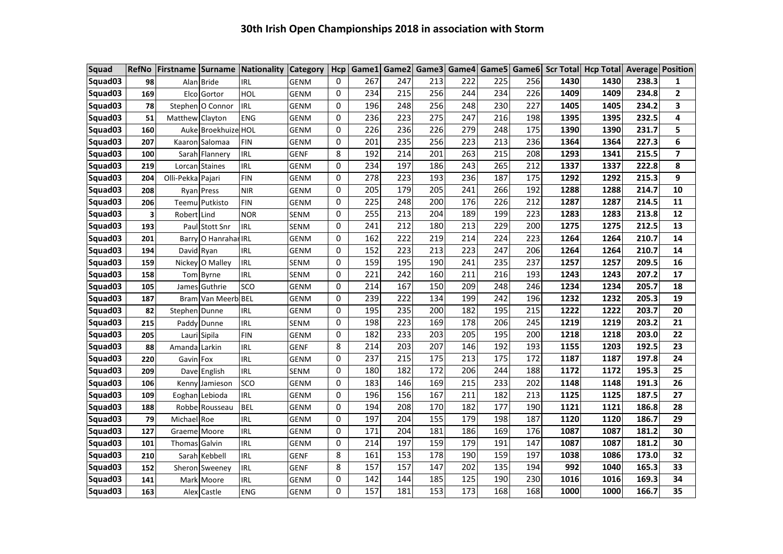| Squad               | <b>RefNo</b>            |                      |                      | Firstname Surname Nationality Category |             | Hcp         |     |     |     |     |     |     |      | Game1 Game2 Game3 Game4 Game5 Game6 Scr Total Hcp Total Average Position |       |                         |
|---------------------|-------------------------|----------------------|----------------------|----------------------------------------|-------------|-------------|-----|-----|-----|-----|-----|-----|------|--------------------------------------------------------------------------|-------|-------------------------|
| Squad03             | 98                      |                      | Alan Bride           | <b>IRL</b>                             | <b>GENM</b> | 0           | 267 | 247 | 213 | 222 | 225 | 256 | 1430 | 1430                                                                     | 238.3 | $\mathbf{1}$            |
| Squad03             | 169                     |                      | Elco Gortor          | HOL                                    | <b>GENM</b> | 0           | 234 | 215 | 256 | 244 | 234 | 226 | 1409 | 1409                                                                     | 234.8 | $\overline{\mathbf{2}}$ |
| Squad <sub>03</sub> | 78                      |                      | Stephen   O Connor   | <b>IRL</b>                             | <b>GENM</b> | 0           | 196 | 248 | 256 | 248 | 230 | 227 | 1405 | 1405                                                                     | 234.2 | 3                       |
| Squad03             | 51                      | Matthew Clayton      |                      | ENG                                    | GENM        | 0           | 236 | 223 | 275 | 247 | 216 | 198 | 1395 | 1395                                                                     | 232.5 | 4                       |
| Squad03             | 160                     |                      | Auke Broekhuize HOL  |                                        | <b>GENM</b> | 0           | 226 | 236 | 226 | 279 | 248 | 175 | 1390 | 1390                                                                     | 231.7 | 5                       |
| Squad03             | 207                     |                      | Kaaron Salomaa       | FIN                                    | <b>GENM</b> | 0           | 201 | 235 | 256 | 223 | 213 | 236 | 1364 | 1364                                                                     | 227.3 | 6                       |
| Squad <sub>03</sub> | 100                     |                      | Sarah Flannery       | IRL                                    | <b>GENF</b> | 8           | 192 | 214 | 201 | 263 | 215 | 208 | 1293 | 1341                                                                     | 215.5 | $\overline{7}$          |
| Squad <sub>03</sub> | 219                     |                      | Lorcan Staines       | <b>IRL</b>                             | <b>GENM</b> | 0           | 234 | 197 | 186 | 243 | 265 | 212 | 1337 | 1337                                                                     | 222.8 | 8                       |
| Squad03             | 204                     | Olli-Pekka Pajari    |                      | <b>FIN</b>                             | GENM        | 0           | 278 | 223 | 193 | 236 | 187 | 175 | 1292 | 1292                                                                     | 215.3 | 9                       |
| Squad03             | 208                     |                      | Ryan Press           | <b>NIR</b>                             | <b>GENM</b> | 0           | 205 | 179 | 205 | 241 | 266 | 192 | 1288 | 1288                                                                     | 214.7 | 10                      |
| Squad <sub>03</sub> | 206                     |                      | Teemu Putkisto       | <b>FIN</b>                             | <b>GENM</b> | $\mathbf 0$ | 225 | 248 | 200 | 176 | 226 | 212 | 1287 | 1287                                                                     | 214.5 | 11                      |
| Squad03             | $\overline{\mathbf{3}}$ | Robert Lind          |                      | <b>NOR</b>                             | <b>SENM</b> | $\Omega$    | 255 | 213 | 204 | 189 | 199 | 223 | 1283 | 1283                                                                     | 213.8 | 12                      |
| Squad <sub>03</sub> | 193                     |                      | Paul Stott Snr       | <b>IRL</b>                             | <b>SENM</b> | 0           | 241 | 212 | 180 | 213 | 229 | 200 | 1275 | 1275                                                                     | 212.5 | 13                      |
| Squad03             | 201                     |                      | Barry O Hanrahar IRL |                                        | <b>GENM</b> | 0           | 162 | 222 | 219 | 214 | 224 | 223 | 1264 | 1264                                                                     | 210.7 | 14                      |
| Squad03             | 194                     | David Ryan           |                      | <b>IRL</b>                             | <b>GENM</b> | 0           | 152 | 223 | 213 | 223 | 247 | 206 | 1264 | 1264                                                                     | 210.7 | 14                      |
| Squad <sub>03</sub> | 159                     |                      | Nickey O Malley      | <b>IRL</b>                             | SENM        | 0           | 159 | 195 | 190 | 241 | 235 | 237 | 1257 | 1257                                                                     | 209.5 | 16                      |
| Squad03             | 158                     |                      | Tom Byrne            | <b>IRL</b>                             | SENM        | 0           | 221 | 242 | 160 | 211 | 216 | 193 | 1243 | 1243                                                                     | 207.2 | 17                      |
| Squad03             | 105                     |                      | James Guthrie        | SCO                                    | <b>GENM</b> | 0           | 214 | 167 | 150 | 209 | 248 | 246 | 1234 | 1234                                                                     | 205.7 | 18                      |
| Squad <sub>03</sub> | 187                     |                      | Bram Van Meerb BEL   |                                        | <b>GENM</b> | 0           | 239 | 222 | 134 | 199 | 242 | 196 | 1232 | 1232                                                                     | 205.3 | 19                      |
| Squad <sub>03</sub> | 82                      | Stephen Dunne        |                      | IRL                                    | <b>GENM</b> | 0           | 195 | 235 | 200 | 182 | 195 | 215 | 1222 | 1222                                                                     | 203.7 | 20                      |
| Squad03             | 215                     |                      | Paddy Dunne          | <b>IRL</b>                             | <b>SENM</b> | 0           | 198 | 223 | 169 | 178 | 206 | 245 | 1219 | 1219                                                                     | 203.2 | 21                      |
| Squad03             | 205                     |                      | Lauri Sipila         | <b>FIN</b>                             | GENM        | 0           | 182 | 233 | 203 | 205 | 195 | 200 | 1218 | 1218                                                                     | 203.0 | 22                      |
| Squad03             | 88                      | Amanda Larkin        |                      | <b>IRL</b>                             | <b>GENF</b> | 8           | 214 | 203 | 207 | 146 | 192 | 193 | 1155 | 1203                                                                     | 192.5 | 23                      |
| Squad <sub>03</sub> | 220                     | Gavin Fox            |                      | <b>IRL</b>                             | <b>GENM</b> | 0           | 237 | 215 | 175 | 213 | 175 | 172 | 1187 | 1187                                                                     | 197.8 | 24                      |
| Squad03             | 209                     |                      | Dave English         | IRL                                    | <b>SENM</b> | $\Omega$    | 180 | 182 | 172 | 206 | 244 | 188 | 1172 | 1172                                                                     | 195.3 | 25                      |
| Squad <sub>03</sub> | 106                     |                      | Kenny Jamieson       | SCO                                    | <b>GENM</b> | $\Omega$    | 183 | 146 | 169 | 215 | 233 | 202 | 1148 | 1148                                                                     | 191.3 | 26                      |
| Squad03             | 109                     |                      | Eoghan Lebioda       | <b>IRL</b>                             | <b>GENM</b> | 0           | 196 | 156 | 167 | 211 | 182 | 213 | 1125 | 1125                                                                     | 187.5 | 27                      |
| Squad03             | 188                     |                      | Robbe Rousseau       | <b>BEL</b>                             | <b>GENM</b> | 0           | 194 | 208 | 170 | 182 | 177 | 190 | 1121 | 1121                                                                     | 186.8 | 28                      |
| Squad <sub>03</sub> | 79                      | Michael Roe          |                      | <b>IRL</b>                             | GENM        | 0           | 197 | 204 | 155 | 179 | 198 | 187 | 1120 | 1120                                                                     | 186.7 | 29                      |
| Squad03             | 127                     | Graeme Moore         |                      | <b>IRL</b>                             | GENM        | 0           | 171 | 204 | 181 | 186 | 169 | 176 | 1087 | 1087                                                                     | 181.2 | 30                      |
| Squad <sub>03</sub> | 101                     | <b>Thomas</b> Galvin |                      | <b>IRL</b>                             | <b>GENM</b> | 0           | 214 | 197 | 159 | 179 | 191 | 147 | 1087 | 1087                                                                     | 181.2 | 30                      |
| Squad <sub>03</sub> | 210                     |                      | Sarah Kebbell        | IRL                                    | <b>GENF</b> | 8           | 161 | 153 | 178 | 190 | 159 | 197 | 1038 | 1086                                                                     | 173.0 | 32                      |
| Squad <sub>03</sub> | 152                     |                      | Sheron Sweeney       | IRL                                    | <b>GENF</b> | 8           | 157 | 157 | 147 | 202 | 135 | 194 | 992  | 1040                                                                     | 165.3 | 33                      |
| Squad <sub>03</sub> | 141                     |                      | Mark Moore           | <b>IRL</b>                             | <b>GENM</b> | 0           | 142 | 144 | 185 | 125 | 190 | 230 | 1016 | 1016                                                                     | 169.3 | 34                      |
| Squad03             | 163                     |                      | Alex Castle          | ENG                                    | GENM        | 0           | 157 | 181 | 153 | 173 | 168 | 168 | 1000 | 1000                                                                     | 166.7 | 35                      |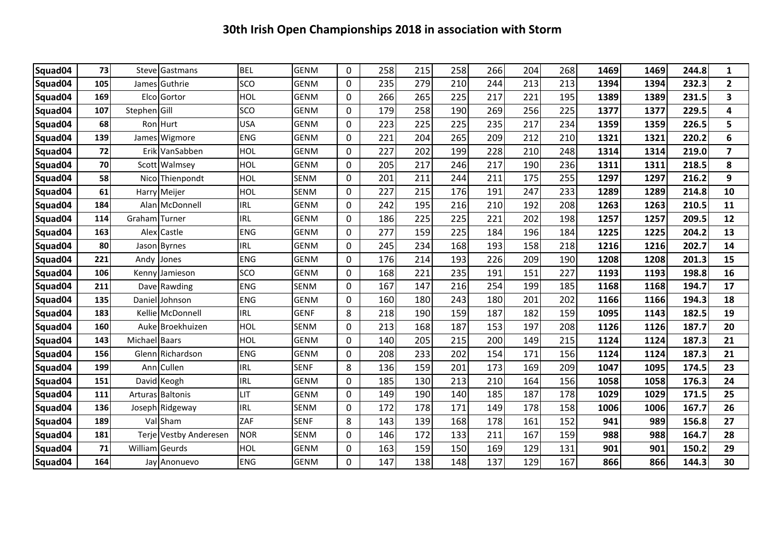| 73<br><b>BEL</b><br>$\mathsf{O}$<br>258<br>215<br>258<br>266<br>204<br>268<br>Squad04<br><b>GENM</b><br>1469<br>1469<br>244.8<br>Steve<br>Gastmans<br><b>SCO</b><br>0<br>279<br>210<br>244<br>105<br>Guthrie<br><b>GENM</b><br>235<br>213<br>213<br>1394<br>1394<br>232.3<br>Squad04<br>James<br>HOL<br>169<br>Elco<br><b>GENM</b><br>$\mathsf{O}$<br>265<br>225<br>217<br>195<br>Gortor<br>266<br>221<br>1389<br>1389<br>231.5<br>Squad04<br><b>SCO</b><br>190<br>269<br>107<br>Stephen Gill<br><b>GENM</b><br>0<br>179<br>258<br>256<br>225<br>1377<br>1377<br>229.5<br>Squad04<br>225<br>225<br>235<br>217<br>68<br><b>USA</b><br><b>GENM</b><br>0<br>223<br>234<br>1359<br>1359<br>226.5<br>Squad04<br>RonlHurt<br>265<br><b>ENG</b><br>204<br>209<br>212<br>139<br><b>GENM</b><br>0<br>221<br>210<br>1321<br>1321<br>220.2<br>Squad04<br>James Wigmore<br>HOL<br>72<br><b>GENM</b><br>227<br>202<br>199<br>228<br>248<br>VanSabben<br>0<br>210<br>1314<br>1314<br>219.0<br>Squad04<br>Erik<br>217<br>HOL<br>0<br>205<br>217<br>246<br>190<br>236<br>218.5<br>70<br><b>GENM</b><br>1311<br>1311<br>Squad04<br>Scott<br>Walmsey<br>58<br><b>HOL</b><br>0<br>201<br>211<br>211<br>175<br>255<br>1297<br>216.2<br>244<br>1297<br>Squad04<br><b>SENM</b><br>Nico Thienpondt<br>227<br>176<br>233<br>HOL<br>0<br>215<br>191<br>247<br>61<br><b>SENM</b><br>1289<br>1289<br>214.8<br>Squad04<br>Harry Meijer<br>208<br><b>IRL</b><br><b>GENM</b><br>242<br>195<br>210<br>192<br>1263<br>1263<br>184<br>0<br>216<br>210.5<br>Squad04<br>Alan McDonnell<br><b>IRL</b><br>225<br>225<br>221<br><b>GENM</b><br>0<br>186<br>202<br>198<br>1257<br>1257<br>209.5<br>Squad04<br>114<br>Graham I Turner<br>225<br>184<br><b>ENG</b><br><b>GENM</b><br>277<br>159<br>184<br>204.2<br>163<br>0<br>196<br>1225<br>1225<br>Squad04<br>Alex<br><b>Castle</b><br><b>IRL</b><br><b>GENM</b><br>234<br>168<br>193<br>80<br>0<br>245<br>158<br>218<br>1216<br>202.7<br><b>Byrnes</b><br>1216<br>Squad04<br>Jason<br>226<br><b>ENG</b><br>176<br>193<br>190<br><b>GENM</b><br>0<br>214<br>209<br>1208<br>1208<br>201.3<br>221<br>Squad04<br>Andv<br>Jones<br>221<br>235<br>191<br>151<br>227<br>106<br><b>SCO</b><br><b>GENM</b><br>0<br>168<br>1193<br>1193<br>198.8<br>Squad04<br>Kenny<br><b>Jamieson</b><br>167<br>254<br><b>ENG</b><br><b>SENM</b><br>0<br>147<br>216<br>199<br>185<br>194.7<br>211<br>1168<br>1168<br>Squad04<br>Dave Rawding<br><b>ENG</b><br>135<br><b>GENM</b><br>243<br>180<br>201<br>202<br>0<br>160<br>180<br>1166<br>1166<br>194.3<br>Squad04<br>Daniel<br>l Johnson<br><b>IRL</b><br>8<br>159<br>187<br>159<br>183<br><b>GENF</b><br>218<br>190<br>182<br>1095<br>182.5<br>Squad04<br><b>Kellie McDonnell</b><br>1143<br>187<br>213<br>168<br>153<br>197<br>208<br>187.7<br>160<br>HOL<br><b>SENM</b><br>0<br>1126<br>1126<br>Squad04<br>Auke Broekhuizen<br>HOL<br>200<br>143<br>Michael Baars<br><b>GENM</b><br>0<br>140<br>205<br>215<br>149<br>215<br>1124<br>1124<br>187.3<br>Squad04<br>202<br>156<br><b>ENG</b><br><b>GENM</b><br>208<br>233<br>171<br>156<br>Richardson<br>$\mathbf{0}$<br>154<br>1124<br>1124<br>187.3<br>Squad04<br>Glenn<br><b>IRL</b><br>8<br>136<br>201<br>173<br>209<br>199<br><b>SENF</b><br>159<br>169<br>1047<br>174.5<br>Squad04<br>Cullen<br>1095<br>Ann<br><b>IRL</b><br>$\mathsf{O}$<br>185<br>130<br>213<br>210<br>164<br>156<br>151<br><b>GENM</b><br>1058<br>1058<br>176.3<br>Squad04<br>David Keogh<br>LIT<br>0<br>140<br>185<br>187<br>178<br><b>GENM</b><br>149<br>190<br>1029<br>1029<br>171.5<br>Squad04<br>111<br>Arturas Baltonis<br>172<br>178<br>171<br>149<br>158<br>136<br>Joseph Ridgeway<br><b>IRL</b><br><b>SENM</b><br>0<br>178<br>1006<br>1006<br>167.7<br>Squad04<br>ZAF<br><b>SENF</b><br>8<br>168<br>178<br>152<br>189<br>Val Sham<br>143<br>139<br>161<br>941<br>989<br>156.8<br>Squad04<br>172<br>133<br>211<br>167<br>159<br>181<br><b>NOR</b><br><b>SENM</b><br>0<br>146<br>988<br>988<br>164.7<br>Squad04<br>Terje Vestby Anderesen<br>71<br>HOL<br><b>GENM</b><br>0<br>163<br>150<br>169<br>William Geurds<br>159<br>129<br>131<br>901<br>901<br>150.2<br>Squad04<br>138<br>148<br>137<br>129<br>167<br>866<br>164<br><b>ENG</b><br>0<br>147<br>866<br>144.3<br><b>GENM</b><br>Jay<br>Anonuevo |  |  |  |  |  |  |  |  |                         |
|---------------------------------------------------------------------------------------------------------------------------------------------------------------------------------------------------------------------------------------------------------------------------------------------------------------------------------------------------------------------------------------------------------------------------------------------------------------------------------------------------------------------------------------------------------------------------------------------------------------------------------------------------------------------------------------------------------------------------------------------------------------------------------------------------------------------------------------------------------------------------------------------------------------------------------------------------------------------------------------------------------------------------------------------------------------------------------------------------------------------------------------------------------------------------------------------------------------------------------------------------------------------------------------------------------------------------------------------------------------------------------------------------------------------------------------------------------------------------------------------------------------------------------------------------------------------------------------------------------------------------------------------------------------------------------------------------------------------------------------------------------------------------------------------------------------------------------------------------------------------------------------------------------------------------------------------------------------------------------------------------------------------------------------------------------------------------------------------------------------------------------------------------------------------------------------------------------------------------------------------------------------------------------------------------------------------------------------------------------------------------------------------------------------------------------------------------------------------------------------------------------------------------------------------------------------------------------------------------------------------------------------------------------------------------------------------------------------------------------------------------------------------------------------------------------------------------------------------------------------------------------------------------------------------------------------------------------------------------------------------------------------------------------------------------------------------------------------------------------------------------------------------------------------------------------------------------------------------------------------------------------------------------------------------------------------------------------------------------------------------------------------------------------------------------------------------------------------------------------------------------------------------------------------------------------------------------------------------------------------------------------------------------------------------------------------------------------------------------------------------------------------------------------------------------------------------------------------------------------------------------------------------------------------------------------------------------------------------------------------------------------------------------------------------------------------------------------------------------------------------------------------------------------------------------------------------------------------------------------------------------------------------------|--|--|--|--|--|--|--|--|-------------------------|
| Squad04                                                                                                                                                                                                                                                                                                                                                                                                                                                                                                                                                                                                                                                                                                                                                                                                                                                                                                                                                                                                                                                                                                                                                                                                                                                                                                                                                                                                                                                                                                                                                                                                                                                                                                                                                                                                                                                                                                                                                                                                                                                                                                                                                                                                                                                                                                                                                                                                                                                                                                                                                                                                                                                                                                                                                                                                                                                                                                                                                                                                                                                                                                                                                                                                                                                                                                                                                                                                                                                                                                                                                                                                                                                                                                                                                                                                                                                                                                                                                                                                                                                                                                                                                                                                                                                                   |  |  |  |  |  |  |  |  | $\mathbf{1}$            |
|                                                                                                                                                                                                                                                                                                                                                                                                                                                                                                                                                                                                                                                                                                                                                                                                                                                                                                                                                                                                                                                                                                                                                                                                                                                                                                                                                                                                                                                                                                                                                                                                                                                                                                                                                                                                                                                                                                                                                                                                                                                                                                                                                                                                                                                                                                                                                                                                                                                                                                                                                                                                                                                                                                                                                                                                                                                                                                                                                                                                                                                                                                                                                                                                                                                                                                                                                                                                                                                                                                                                                                                                                                                                                                                                                                                                                                                                                                                                                                                                                                                                                                                                                                                                                                                                           |  |  |  |  |  |  |  |  | $\overline{2}$          |
|                                                                                                                                                                                                                                                                                                                                                                                                                                                                                                                                                                                                                                                                                                                                                                                                                                                                                                                                                                                                                                                                                                                                                                                                                                                                                                                                                                                                                                                                                                                                                                                                                                                                                                                                                                                                                                                                                                                                                                                                                                                                                                                                                                                                                                                                                                                                                                                                                                                                                                                                                                                                                                                                                                                                                                                                                                                                                                                                                                                                                                                                                                                                                                                                                                                                                                                                                                                                                                                                                                                                                                                                                                                                                                                                                                                                                                                                                                                                                                                                                                                                                                                                                                                                                                                                           |  |  |  |  |  |  |  |  | $\overline{\mathbf{3}}$ |
|                                                                                                                                                                                                                                                                                                                                                                                                                                                                                                                                                                                                                                                                                                                                                                                                                                                                                                                                                                                                                                                                                                                                                                                                                                                                                                                                                                                                                                                                                                                                                                                                                                                                                                                                                                                                                                                                                                                                                                                                                                                                                                                                                                                                                                                                                                                                                                                                                                                                                                                                                                                                                                                                                                                                                                                                                                                                                                                                                                                                                                                                                                                                                                                                                                                                                                                                                                                                                                                                                                                                                                                                                                                                                                                                                                                                                                                                                                                                                                                                                                                                                                                                                                                                                                                                           |  |  |  |  |  |  |  |  | 4                       |
|                                                                                                                                                                                                                                                                                                                                                                                                                                                                                                                                                                                                                                                                                                                                                                                                                                                                                                                                                                                                                                                                                                                                                                                                                                                                                                                                                                                                                                                                                                                                                                                                                                                                                                                                                                                                                                                                                                                                                                                                                                                                                                                                                                                                                                                                                                                                                                                                                                                                                                                                                                                                                                                                                                                                                                                                                                                                                                                                                                                                                                                                                                                                                                                                                                                                                                                                                                                                                                                                                                                                                                                                                                                                                                                                                                                                                                                                                                                                                                                                                                                                                                                                                                                                                                                                           |  |  |  |  |  |  |  |  | 5                       |
|                                                                                                                                                                                                                                                                                                                                                                                                                                                                                                                                                                                                                                                                                                                                                                                                                                                                                                                                                                                                                                                                                                                                                                                                                                                                                                                                                                                                                                                                                                                                                                                                                                                                                                                                                                                                                                                                                                                                                                                                                                                                                                                                                                                                                                                                                                                                                                                                                                                                                                                                                                                                                                                                                                                                                                                                                                                                                                                                                                                                                                                                                                                                                                                                                                                                                                                                                                                                                                                                                                                                                                                                                                                                                                                                                                                                                                                                                                                                                                                                                                                                                                                                                                                                                                                                           |  |  |  |  |  |  |  |  | 6                       |
|                                                                                                                                                                                                                                                                                                                                                                                                                                                                                                                                                                                                                                                                                                                                                                                                                                                                                                                                                                                                                                                                                                                                                                                                                                                                                                                                                                                                                                                                                                                                                                                                                                                                                                                                                                                                                                                                                                                                                                                                                                                                                                                                                                                                                                                                                                                                                                                                                                                                                                                                                                                                                                                                                                                                                                                                                                                                                                                                                                                                                                                                                                                                                                                                                                                                                                                                                                                                                                                                                                                                                                                                                                                                                                                                                                                                                                                                                                                                                                                                                                                                                                                                                                                                                                                                           |  |  |  |  |  |  |  |  | $\overline{7}$          |
|                                                                                                                                                                                                                                                                                                                                                                                                                                                                                                                                                                                                                                                                                                                                                                                                                                                                                                                                                                                                                                                                                                                                                                                                                                                                                                                                                                                                                                                                                                                                                                                                                                                                                                                                                                                                                                                                                                                                                                                                                                                                                                                                                                                                                                                                                                                                                                                                                                                                                                                                                                                                                                                                                                                                                                                                                                                                                                                                                                                                                                                                                                                                                                                                                                                                                                                                                                                                                                                                                                                                                                                                                                                                                                                                                                                                                                                                                                                                                                                                                                                                                                                                                                                                                                                                           |  |  |  |  |  |  |  |  | 8                       |
|                                                                                                                                                                                                                                                                                                                                                                                                                                                                                                                                                                                                                                                                                                                                                                                                                                                                                                                                                                                                                                                                                                                                                                                                                                                                                                                                                                                                                                                                                                                                                                                                                                                                                                                                                                                                                                                                                                                                                                                                                                                                                                                                                                                                                                                                                                                                                                                                                                                                                                                                                                                                                                                                                                                                                                                                                                                                                                                                                                                                                                                                                                                                                                                                                                                                                                                                                                                                                                                                                                                                                                                                                                                                                                                                                                                                                                                                                                                                                                                                                                                                                                                                                                                                                                                                           |  |  |  |  |  |  |  |  | 9                       |
|                                                                                                                                                                                                                                                                                                                                                                                                                                                                                                                                                                                                                                                                                                                                                                                                                                                                                                                                                                                                                                                                                                                                                                                                                                                                                                                                                                                                                                                                                                                                                                                                                                                                                                                                                                                                                                                                                                                                                                                                                                                                                                                                                                                                                                                                                                                                                                                                                                                                                                                                                                                                                                                                                                                                                                                                                                                                                                                                                                                                                                                                                                                                                                                                                                                                                                                                                                                                                                                                                                                                                                                                                                                                                                                                                                                                                                                                                                                                                                                                                                                                                                                                                                                                                                                                           |  |  |  |  |  |  |  |  | 10                      |
|                                                                                                                                                                                                                                                                                                                                                                                                                                                                                                                                                                                                                                                                                                                                                                                                                                                                                                                                                                                                                                                                                                                                                                                                                                                                                                                                                                                                                                                                                                                                                                                                                                                                                                                                                                                                                                                                                                                                                                                                                                                                                                                                                                                                                                                                                                                                                                                                                                                                                                                                                                                                                                                                                                                                                                                                                                                                                                                                                                                                                                                                                                                                                                                                                                                                                                                                                                                                                                                                                                                                                                                                                                                                                                                                                                                                                                                                                                                                                                                                                                                                                                                                                                                                                                                                           |  |  |  |  |  |  |  |  | 11                      |
|                                                                                                                                                                                                                                                                                                                                                                                                                                                                                                                                                                                                                                                                                                                                                                                                                                                                                                                                                                                                                                                                                                                                                                                                                                                                                                                                                                                                                                                                                                                                                                                                                                                                                                                                                                                                                                                                                                                                                                                                                                                                                                                                                                                                                                                                                                                                                                                                                                                                                                                                                                                                                                                                                                                                                                                                                                                                                                                                                                                                                                                                                                                                                                                                                                                                                                                                                                                                                                                                                                                                                                                                                                                                                                                                                                                                                                                                                                                                                                                                                                                                                                                                                                                                                                                                           |  |  |  |  |  |  |  |  | 12                      |
|                                                                                                                                                                                                                                                                                                                                                                                                                                                                                                                                                                                                                                                                                                                                                                                                                                                                                                                                                                                                                                                                                                                                                                                                                                                                                                                                                                                                                                                                                                                                                                                                                                                                                                                                                                                                                                                                                                                                                                                                                                                                                                                                                                                                                                                                                                                                                                                                                                                                                                                                                                                                                                                                                                                                                                                                                                                                                                                                                                                                                                                                                                                                                                                                                                                                                                                                                                                                                                                                                                                                                                                                                                                                                                                                                                                                                                                                                                                                                                                                                                                                                                                                                                                                                                                                           |  |  |  |  |  |  |  |  | 13                      |
|                                                                                                                                                                                                                                                                                                                                                                                                                                                                                                                                                                                                                                                                                                                                                                                                                                                                                                                                                                                                                                                                                                                                                                                                                                                                                                                                                                                                                                                                                                                                                                                                                                                                                                                                                                                                                                                                                                                                                                                                                                                                                                                                                                                                                                                                                                                                                                                                                                                                                                                                                                                                                                                                                                                                                                                                                                                                                                                                                                                                                                                                                                                                                                                                                                                                                                                                                                                                                                                                                                                                                                                                                                                                                                                                                                                                                                                                                                                                                                                                                                                                                                                                                                                                                                                                           |  |  |  |  |  |  |  |  | 14                      |
|                                                                                                                                                                                                                                                                                                                                                                                                                                                                                                                                                                                                                                                                                                                                                                                                                                                                                                                                                                                                                                                                                                                                                                                                                                                                                                                                                                                                                                                                                                                                                                                                                                                                                                                                                                                                                                                                                                                                                                                                                                                                                                                                                                                                                                                                                                                                                                                                                                                                                                                                                                                                                                                                                                                                                                                                                                                                                                                                                                                                                                                                                                                                                                                                                                                                                                                                                                                                                                                                                                                                                                                                                                                                                                                                                                                                                                                                                                                                                                                                                                                                                                                                                                                                                                                                           |  |  |  |  |  |  |  |  | 15                      |
|                                                                                                                                                                                                                                                                                                                                                                                                                                                                                                                                                                                                                                                                                                                                                                                                                                                                                                                                                                                                                                                                                                                                                                                                                                                                                                                                                                                                                                                                                                                                                                                                                                                                                                                                                                                                                                                                                                                                                                                                                                                                                                                                                                                                                                                                                                                                                                                                                                                                                                                                                                                                                                                                                                                                                                                                                                                                                                                                                                                                                                                                                                                                                                                                                                                                                                                                                                                                                                                                                                                                                                                                                                                                                                                                                                                                                                                                                                                                                                                                                                                                                                                                                                                                                                                                           |  |  |  |  |  |  |  |  | 16                      |
|                                                                                                                                                                                                                                                                                                                                                                                                                                                                                                                                                                                                                                                                                                                                                                                                                                                                                                                                                                                                                                                                                                                                                                                                                                                                                                                                                                                                                                                                                                                                                                                                                                                                                                                                                                                                                                                                                                                                                                                                                                                                                                                                                                                                                                                                                                                                                                                                                                                                                                                                                                                                                                                                                                                                                                                                                                                                                                                                                                                                                                                                                                                                                                                                                                                                                                                                                                                                                                                                                                                                                                                                                                                                                                                                                                                                                                                                                                                                                                                                                                                                                                                                                                                                                                                                           |  |  |  |  |  |  |  |  | 17                      |
|                                                                                                                                                                                                                                                                                                                                                                                                                                                                                                                                                                                                                                                                                                                                                                                                                                                                                                                                                                                                                                                                                                                                                                                                                                                                                                                                                                                                                                                                                                                                                                                                                                                                                                                                                                                                                                                                                                                                                                                                                                                                                                                                                                                                                                                                                                                                                                                                                                                                                                                                                                                                                                                                                                                                                                                                                                                                                                                                                                                                                                                                                                                                                                                                                                                                                                                                                                                                                                                                                                                                                                                                                                                                                                                                                                                                                                                                                                                                                                                                                                                                                                                                                                                                                                                                           |  |  |  |  |  |  |  |  | 18                      |
|                                                                                                                                                                                                                                                                                                                                                                                                                                                                                                                                                                                                                                                                                                                                                                                                                                                                                                                                                                                                                                                                                                                                                                                                                                                                                                                                                                                                                                                                                                                                                                                                                                                                                                                                                                                                                                                                                                                                                                                                                                                                                                                                                                                                                                                                                                                                                                                                                                                                                                                                                                                                                                                                                                                                                                                                                                                                                                                                                                                                                                                                                                                                                                                                                                                                                                                                                                                                                                                                                                                                                                                                                                                                                                                                                                                                                                                                                                                                                                                                                                                                                                                                                                                                                                                                           |  |  |  |  |  |  |  |  | 19                      |
|                                                                                                                                                                                                                                                                                                                                                                                                                                                                                                                                                                                                                                                                                                                                                                                                                                                                                                                                                                                                                                                                                                                                                                                                                                                                                                                                                                                                                                                                                                                                                                                                                                                                                                                                                                                                                                                                                                                                                                                                                                                                                                                                                                                                                                                                                                                                                                                                                                                                                                                                                                                                                                                                                                                                                                                                                                                                                                                                                                                                                                                                                                                                                                                                                                                                                                                                                                                                                                                                                                                                                                                                                                                                                                                                                                                                                                                                                                                                                                                                                                                                                                                                                                                                                                                                           |  |  |  |  |  |  |  |  | 20                      |
|                                                                                                                                                                                                                                                                                                                                                                                                                                                                                                                                                                                                                                                                                                                                                                                                                                                                                                                                                                                                                                                                                                                                                                                                                                                                                                                                                                                                                                                                                                                                                                                                                                                                                                                                                                                                                                                                                                                                                                                                                                                                                                                                                                                                                                                                                                                                                                                                                                                                                                                                                                                                                                                                                                                                                                                                                                                                                                                                                                                                                                                                                                                                                                                                                                                                                                                                                                                                                                                                                                                                                                                                                                                                                                                                                                                                                                                                                                                                                                                                                                                                                                                                                                                                                                                                           |  |  |  |  |  |  |  |  | 21                      |
|                                                                                                                                                                                                                                                                                                                                                                                                                                                                                                                                                                                                                                                                                                                                                                                                                                                                                                                                                                                                                                                                                                                                                                                                                                                                                                                                                                                                                                                                                                                                                                                                                                                                                                                                                                                                                                                                                                                                                                                                                                                                                                                                                                                                                                                                                                                                                                                                                                                                                                                                                                                                                                                                                                                                                                                                                                                                                                                                                                                                                                                                                                                                                                                                                                                                                                                                                                                                                                                                                                                                                                                                                                                                                                                                                                                                                                                                                                                                                                                                                                                                                                                                                                                                                                                                           |  |  |  |  |  |  |  |  | 21                      |
|                                                                                                                                                                                                                                                                                                                                                                                                                                                                                                                                                                                                                                                                                                                                                                                                                                                                                                                                                                                                                                                                                                                                                                                                                                                                                                                                                                                                                                                                                                                                                                                                                                                                                                                                                                                                                                                                                                                                                                                                                                                                                                                                                                                                                                                                                                                                                                                                                                                                                                                                                                                                                                                                                                                                                                                                                                                                                                                                                                                                                                                                                                                                                                                                                                                                                                                                                                                                                                                                                                                                                                                                                                                                                                                                                                                                                                                                                                                                                                                                                                                                                                                                                                                                                                                                           |  |  |  |  |  |  |  |  | 23                      |
|                                                                                                                                                                                                                                                                                                                                                                                                                                                                                                                                                                                                                                                                                                                                                                                                                                                                                                                                                                                                                                                                                                                                                                                                                                                                                                                                                                                                                                                                                                                                                                                                                                                                                                                                                                                                                                                                                                                                                                                                                                                                                                                                                                                                                                                                                                                                                                                                                                                                                                                                                                                                                                                                                                                                                                                                                                                                                                                                                                                                                                                                                                                                                                                                                                                                                                                                                                                                                                                                                                                                                                                                                                                                                                                                                                                                                                                                                                                                                                                                                                                                                                                                                                                                                                                                           |  |  |  |  |  |  |  |  | 24                      |
|                                                                                                                                                                                                                                                                                                                                                                                                                                                                                                                                                                                                                                                                                                                                                                                                                                                                                                                                                                                                                                                                                                                                                                                                                                                                                                                                                                                                                                                                                                                                                                                                                                                                                                                                                                                                                                                                                                                                                                                                                                                                                                                                                                                                                                                                                                                                                                                                                                                                                                                                                                                                                                                                                                                                                                                                                                                                                                                                                                                                                                                                                                                                                                                                                                                                                                                                                                                                                                                                                                                                                                                                                                                                                                                                                                                                                                                                                                                                                                                                                                                                                                                                                                                                                                                                           |  |  |  |  |  |  |  |  | 25                      |
|                                                                                                                                                                                                                                                                                                                                                                                                                                                                                                                                                                                                                                                                                                                                                                                                                                                                                                                                                                                                                                                                                                                                                                                                                                                                                                                                                                                                                                                                                                                                                                                                                                                                                                                                                                                                                                                                                                                                                                                                                                                                                                                                                                                                                                                                                                                                                                                                                                                                                                                                                                                                                                                                                                                                                                                                                                                                                                                                                                                                                                                                                                                                                                                                                                                                                                                                                                                                                                                                                                                                                                                                                                                                                                                                                                                                                                                                                                                                                                                                                                                                                                                                                                                                                                                                           |  |  |  |  |  |  |  |  | 26                      |
|                                                                                                                                                                                                                                                                                                                                                                                                                                                                                                                                                                                                                                                                                                                                                                                                                                                                                                                                                                                                                                                                                                                                                                                                                                                                                                                                                                                                                                                                                                                                                                                                                                                                                                                                                                                                                                                                                                                                                                                                                                                                                                                                                                                                                                                                                                                                                                                                                                                                                                                                                                                                                                                                                                                                                                                                                                                                                                                                                                                                                                                                                                                                                                                                                                                                                                                                                                                                                                                                                                                                                                                                                                                                                                                                                                                                                                                                                                                                                                                                                                                                                                                                                                                                                                                                           |  |  |  |  |  |  |  |  | 27                      |
|                                                                                                                                                                                                                                                                                                                                                                                                                                                                                                                                                                                                                                                                                                                                                                                                                                                                                                                                                                                                                                                                                                                                                                                                                                                                                                                                                                                                                                                                                                                                                                                                                                                                                                                                                                                                                                                                                                                                                                                                                                                                                                                                                                                                                                                                                                                                                                                                                                                                                                                                                                                                                                                                                                                                                                                                                                                                                                                                                                                                                                                                                                                                                                                                                                                                                                                                                                                                                                                                                                                                                                                                                                                                                                                                                                                                                                                                                                                                                                                                                                                                                                                                                                                                                                                                           |  |  |  |  |  |  |  |  | 28                      |
|                                                                                                                                                                                                                                                                                                                                                                                                                                                                                                                                                                                                                                                                                                                                                                                                                                                                                                                                                                                                                                                                                                                                                                                                                                                                                                                                                                                                                                                                                                                                                                                                                                                                                                                                                                                                                                                                                                                                                                                                                                                                                                                                                                                                                                                                                                                                                                                                                                                                                                                                                                                                                                                                                                                                                                                                                                                                                                                                                                                                                                                                                                                                                                                                                                                                                                                                                                                                                                                                                                                                                                                                                                                                                                                                                                                                                                                                                                                                                                                                                                                                                                                                                                                                                                                                           |  |  |  |  |  |  |  |  | 29                      |
|                                                                                                                                                                                                                                                                                                                                                                                                                                                                                                                                                                                                                                                                                                                                                                                                                                                                                                                                                                                                                                                                                                                                                                                                                                                                                                                                                                                                                                                                                                                                                                                                                                                                                                                                                                                                                                                                                                                                                                                                                                                                                                                                                                                                                                                                                                                                                                                                                                                                                                                                                                                                                                                                                                                                                                                                                                                                                                                                                                                                                                                                                                                                                                                                                                                                                                                                                                                                                                                                                                                                                                                                                                                                                                                                                                                                                                                                                                                                                                                                                                                                                                                                                                                                                                                                           |  |  |  |  |  |  |  |  | 30                      |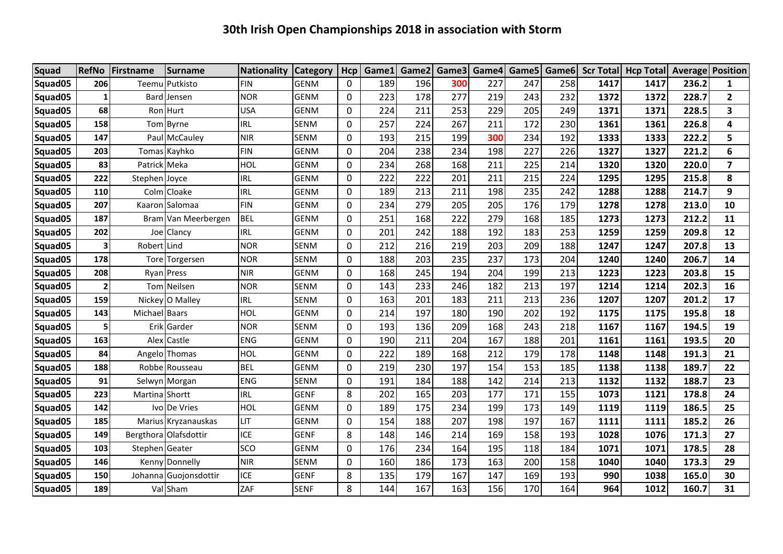| Squad   | <b>RefNo</b> | Firstname      | <b>Surname</b>        | <b>Nationality</b> | <b>Category</b> | Hcp         | Game1 |     | Game2 Game3 | Game4 |     | Game5 Game6 |      | <b>Scr Total Hcp Total</b> | Average | Position       |
|---------|--------------|----------------|-----------------------|--------------------|-----------------|-------------|-------|-----|-------------|-------|-----|-------------|------|----------------------------|---------|----------------|
| Squad05 | 206          |                | Teemu Putkisto        | <b>FIN</b>         | <b>GENM</b>     | 0           | 189   | 196 | 300         | 227   | 247 | 258         | 1417 | 1417                       | 236.2   | 1              |
| Squad05 | $\mathbf{1}$ |                | Bard Jensen           | <b>NOR</b>         | <b>GENM</b>     | $\mathbf 0$ | 223   | 178 | 277         | 219   | 243 | 232         | 1372 | 1372                       | 228.7   | $\overline{2}$ |
| Squad05 | 68           |                | Ron Hurt              | <b>USA</b>         | GENM            | 0           | 224   | 211 | 253         | 229   | 205 | 249         | 1371 | 1371                       | 228.5   | 3              |
| Squad05 | 158          |                | Tom Byrne             | <b>IRL</b>         | <b>SENM</b>     | 0           | 257   | 224 | 267         | 211   | 172 | 230         | 1361 | 1361                       | 226.8   | 4              |
| Squad05 | 147          |                | Paul McCauley         | <b>NIR</b>         | <b>SENM</b>     | $\mathbf 0$ | 193   | 215 | 199         | 300   | 234 | 192         | 1333 | 1333                       | 222.2   | 5              |
| Squad05 | 203          |                | Tomas Kayhko          | <b>FIN</b>         | <b>GENM</b>     | 0           | 204   | 238 | 234         | 198   | 227 | 226         | 1327 | 1327                       | 221.2   | 6              |
| Squad05 | 83           | Patrick Meka   |                       | HOL                | <b>GENM</b>     | 0           | 234   | 268 | 168         | 211   | 225 | 214         | 1320 | 1320                       | 220.0   | $\overline{7}$ |
| Squad05 | 222          | Stephen Joyce  |                       | <b>IRL</b>         | <b>GENM</b>     | 0           | 222   | 222 | 201         | 211   | 215 | 224         | 1295 | 1295                       | 215.8   | 8              |
| Squad05 | 110          |                | Colm Cloake           | <b>IRL</b>         | <b>GENM</b>     | 0           | 189   | 213 | 211         | 198   | 235 | 242         | 1288 | 1288                       | 214.7   | 9              |
| Squad05 | 207          |                | Kaaron Salomaa        | <b>FIN</b>         | <b>GENM</b>     | 0           | 234   | 279 | 205         | 205   | 176 | 179         | 1278 | 1278                       | 213.0   | 10             |
| Squad05 | 187          |                | Bram Van Meerbergen   | <b>BEL</b>         | <b>GENM</b>     | 0           | 251   | 168 | 222         | 279   | 168 | 185         | 1273 | 1273                       | 212.2   | 11             |
| Squad05 | 202          |                | Joe Clancy            | <b>IRL</b>         | <b>GENM</b>     | 0           | 201   | 242 | 188         | 192   | 183 | 253         | 1259 | 1259                       | 209.8   | 12             |
| Squad05 | 3            | Robert Lind    |                       | <b>NOR</b>         | <b>SENM</b>     | 0           | 212   | 216 | 219         | 203   | 209 | 188         | 1247 | 1247                       | 207.8   | 13             |
| Squad05 | 178          |                | Tore Torgersen        | <b>NOR</b>         | <b>SENM</b>     | 0           | 188   | 203 | 235         | 237   | 173 | 204         | 1240 | 1240                       | 206.7   | 14             |
| Squad05 | 208          |                | Ryan Press            | <b>NIR</b>         | <b>GENM</b>     | 0           | 168   | 245 | 194         | 204   | 199 | 213         | 1223 | 1223                       | 203.8   | 15             |
| Squad05 | $\mathbf{2}$ |                | Tom Neilsen           | <b>NOR</b>         | <b>SENM</b>     | 0           | 143   | 233 | 246         | 182   | 213 | 197         | 1214 | 1214                       | 202.3   | 16             |
| Squad05 | 159          |                | Nickey O Malley       | <b>IRL</b>         | <b>SENM</b>     | 0           | 163   | 201 | 183         | 211   | 213 | 236         | 1207 | 1207                       | 201.2   | 17             |
| Squad05 | 143          | Michael Baars  |                       | HOL                | <b>GENM</b>     | $\mathbf 0$ | 214   | 197 | 180         | 190   | 202 | 192         | 1175 | 1175                       | 195.8   | 18             |
| Squad05 | 51           |                | Erik Garder           | <b>NOR</b>         | SENM            | 0           | 193   | 136 | 209         | 168   | 243 | 218         | 1167 | 1167                       | 194.5   | 19             |
| Squad05 | 163          |                | Alex Castle           | <b>ENG</b>         | <b>GENM</b>     | 0           | 190   | 211 | 204         | 167   | 188 | 201         | 1161 | 1161                       | 193.5   | 20             |
| Squad05 | 84           |                | Angelo Thomas         | HOL                | <b>GENM</b>     | $\mathbf 0$ | 222   | 189 | 168         | 212   | 179 | 178         | 1148 | 1148                       | 191.3   | 21             |
| Squad05 | 188          |                | Robbe Rousseau        | <b>BEL</b>         | <b>GENM</b>     | $\Omega$    | 219   | 230 | 197         | 154   | 153 | 185         | 1138 | 1138                       | 189.7   | 22             |
| Squad05 | 91           |                | Selwyn Morgan         | <b>ENG</b>         | <b>SENM</b>     | $\mathbf 0$ | 191   | 184 | 188         | 142   | 214 | 213         | 1132 | 1132                       | 188.7   | 23             |
| Squad05 | 223          | Martina Shortt |                       | <b>IRL</b>         | <b>GENF</b>     | 8           | 202   | 165 | 203         | 177   | 171 | 155         | 1073 | 1121                       | 178.8   | 24             |
| Squad05 | 142          |                | Ivo De Vries          | HOL                | GENM            | 0           | 189   | 175 | 234         | 199   | 173 | 149         | 1119 | 1119                       | 186.5   | 25             |
| Squad05 | 185          |                | Marius Kryzanauskas   | LIT                | <b>GENM</b>     | $\mathbf 0$ | 154   | 188 | 207         | 198   | 197 | 167         | 1111 | 1111                       | 185.2   | 26             |
| Squad05 | 149          |                | Bergthora Olafsdottir | <b>ICE</b>         | <b>GENF</b>     | 8           | 148   | 146 | 214         | 169   | 158 | 193         | 1028 | 1076                       | 171.3   | 27             |
| Squad05 | 103          | Stephen Geater |                       | SCO                | <b>GENM</b>     | 0           | 176   | 234 | 164         | 195   | 118 | 184         | 1071 | 1071                       | 178.5   | 28             |
| Squad05 | 146          |                | Kenny Donnelly        | <b>NIR</b>         | <b>SENM</b>     | 0           | 160   | 186 | 173         | 163   | 200 | 158         | 1040 | 1040                       | 173.3   | 29             |
| Squad05 | 150          |                | Johanna Guojonsdottir | <b>ICE</b>         | <b>GENF</b>     | 8           | 135   | 179 | 167         | 147   | 169 | 193         | 990  | 1038                       | 165.0   | 30             |
| Squad05 | 189          |                | Val Sham              | ZAF                | <b>SENF</b>     | 8           | 144   | 167 | 163         | 156   | 170 | 164         | 964  | 1012                       | 160.7   | 31             |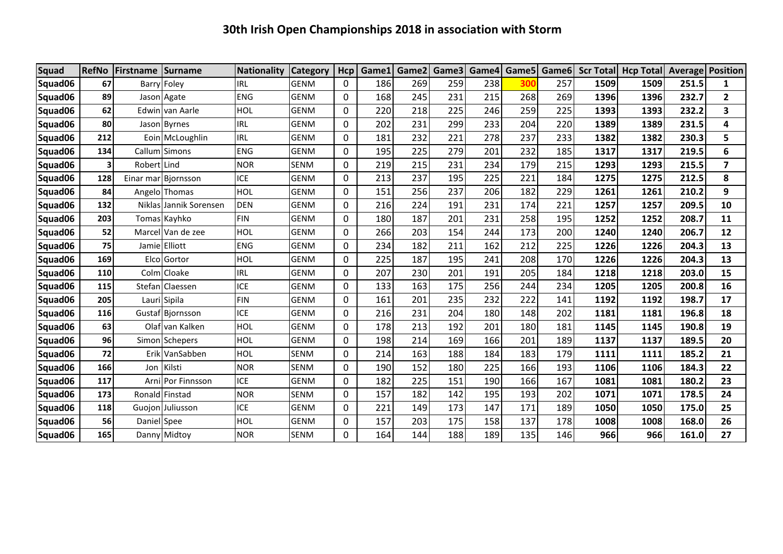| <b>Squad</b> |           | <b>RefNo Firstname</b> | Surname                | Nationality | <b>Category</b> | Hcp      | Game1 | Game2 | Game3 | Game4 | Game5      | Game <sub>6</sub> |      | Scr Total   Hcp Total   Average   Position |       |                |
|--------------|-----------|------------------------|------------------------|-------------|-----------------|----------|-------|-------|-------|-------|------------|-------------------|------|--------------------------------------------|-------|----------------|
| Squad06      | 67        |                        | Barry Foley            | <b>IRL</b>  | <b>GENM</b>     | 0        | 186   | 269   | 259   | 238   | <b>300</b> | 257               | 1509 | 1509                                       | 251.5 | 1              |
| Squad06      | 89        |                        | Jason Agate            | <b>ENG</b>  | <b>GENM</b>     | 0        | 168   | 245   | 231   | 215   | 268        | 269               | 1396 | 1396                                       | 232.7 | $\overline{2}$ |
| Squad06      | 62        |                        | Edwin van Aarle        | <b>HOL</b>  | <b>GENM</b>     | 0        | 220   | 218   | 225   | 246   | 259        | 225               | 1393 | 1393                                       | 232.2 | 3              |
| Squad06      | 80        |                        | Jason Byrnes           | <b>IRL</b>  | <b>GENM</b>     | 0        | 202   | 231   | 299   | 233   | 204        | 220               | 1389 | 1389                                       | 231.5 | 4              |
| Squad06      | 212       |                        | Eoin McLoughlin        | <b>IRL</b>  | <b>GENM</b>     | 0        | 181   | 232   | 221   | 278   | 237        | 233               | 1382 | 1382                                       | 230.3 | 5              |
| Squad06      | 134       |                        | Callum Simons          | <b>ENG</b>  | <b>GENM</b>     | 0        | 195   | 225   | 279   | 201   | 232        | 185               | 1317 | 1317                                       | 219.5 | 6              |
| Squad06      | 3         | Robert Lind            |                        | <b>NOR</b>  | <b>SENM</b>     | 0        | 219   | 215   | 231   | 234   | 179        | 215               | 1293 | 1293                                       | 215.5 | $\overline{ }$ |
| Squad06      | 128       | Einar mar              | Biornsson              | <b>ICE</b>  | <b>GENM</b>     | 0        | 213   | 237   | 195   | 225   | 221        | 184               | 1275 | 1275                                       | 212.5 | 8              |
| Squad06      | 84        |                        | Angelo Thomas          | HOL         | <b>GENM</b>     | 0        | 151   | 256   | 237   | 206   | 182        | 229               | 1261 | 1261                                       | 210.2 | 9              |
| Squad06      | 132       |                        | Niklas Jannik Sorensen | <b>DEN</b>  | <b>GENM</b>     | 0        | 216   | 224   | 191   | 231   | 174        | 221               | 1257 | 1257                                       | 209.5 | 10             |
| Squad06      | 203       |                        | Tomas Kayhko           | <b>FIN</b>  | <b>GENM</b>     | 0        | 180   | 187   | 201   | 231   | 258        | 195               | 1252 | 1252                                       | 208.7 | 11             |
| Squad06      | 52        |                        | Marcel Van de zee      | HOL         | <b>GENM</b>     | 0        | 266   | 203   | 154   | 244   | 173        | 200               | 1240 | 1240                                       | 206.7 | 12             |
| Squad06      | <b>75</b> |                        | Jamie Elliott          | <b>ENG</b>  | <b>GENM</b>     | 0        | 234   | 182   | 211   | 162   | 212        | 225               | 1226 | 1226                                       | 204.3 | 13             |
| Squad06      | 169       |                        | Elco Gortor            | <b>HOL</b>  | <b>GENM</b>     | 0        | 225   | 187   | 195   | 241   | 208        | 170               | 1226 | 1226                                       | 204.3 | 13             |
| Squad06      | 110       |                        | ColmICloake            | <b>IRL</b>  | <b>GENM</b>     | 0        | 207   | 230   | 201   | 191   | 205        | 184               | 1218 | 1218                                       | 203.0 | 15             |
| Squad06      | 115       |                        | Stefan Claessen        | <b>ICE</b>  | <b>GENM</b>     | 0        | 133   | 163   | 175   | 256   | 244        | 234               | 1205 | 1205                                       | 200.8 | 16             |
| Squad06      | 205       |                        | Lauri Sipila           | <b>FIN</b>  | <b>GENM</b>     | 0        | 161   | 201   | 235   | 232   | 222        | 141               | 1192 | 1192                                       | 198.7 | 17             |
| Squad06      | 116       |                        | Gustaf Biornsson       | <b>ICE</b>  | <b>GENM</b>     | 0        | 216   | 231   | 204   | 180   | 148        | 202               | 1181 | 1181                                       | 196.8 | 18             |
| Squad06      | 63        |                        | Olaf van Kalken        | HOL         | <b>GENM</b>     | $\Omega$ | 178   | 213   | 192   | 201   | 180        | 181               | 1145 | 1145                                       | 190.8 | 19             |
| Squad06      | 96        |                        | Simon Schepers         | <b>HOL</b>  | <b>GENM</b>     | 0        | 198   | 214   | 169   | 166   | 201        | 189               | 1137 | 1137                                       | 189.5 | 20             |
| Squad06      | 72        |                        | Erik VanSabben         | <b>HOL</b>  | <b>SENM</b>     | 0        | 214   | 163   | 188   | 184   | 183        | 179               | 1111 | 1111                                       | 185.2 | 21             |
| Squad06      | 166       | Jon                    | Kilsti                 | <b>NOR</b>  | <b>SENM</b>     | $\Omega$ | 190   | 152   | 180   | 225   | 166        | 193               | 1106 | 1106                                       | 184.3 | 22             |
| Squad06      | 117       |                        | Arni Por Finnsson      | <b>ICE</b>  | <b>GENM</b>     | 0        | 182   | 225   | 151   | 190   | 166        | 167               | 1081 | 1081                                       | 180.2 | 23             |
| Squad06      | 173       |                        | Ronald Finstad         | <b>NOR</b>  | <b>SENM</b>     | 0        | 157   | 182   | 142   | 195   | 193        | 202               | 1071 | 1071                                       | 178.5 | 24             |
| Squad06      | 118       |                        | Guojon Juliusson       | <b>ICE</b>  | <b>GENM</b>     | 0        | 221   | 149   | 173   | 147   | 171        | 189               | 1050 | 1050                                       | 175.0 | 25             |
| Squad06      | 56        | Daniel Spee            |                        | HOL         | <b>GENM</b>     | 0        | 157   | 203   | 175   | 158   | 137        | 178               | 1008 | 1008                                       | 168.0 | 26             |
| Squad06      | 165       |                        | Danny Midtoy           | <b>NOR</b>  | <b>SENM</b>     | $\Omega$ | 164   | 144   | 188   | 189   | 135        | 146               | 966  | 966                                        | 161.0 | 27             |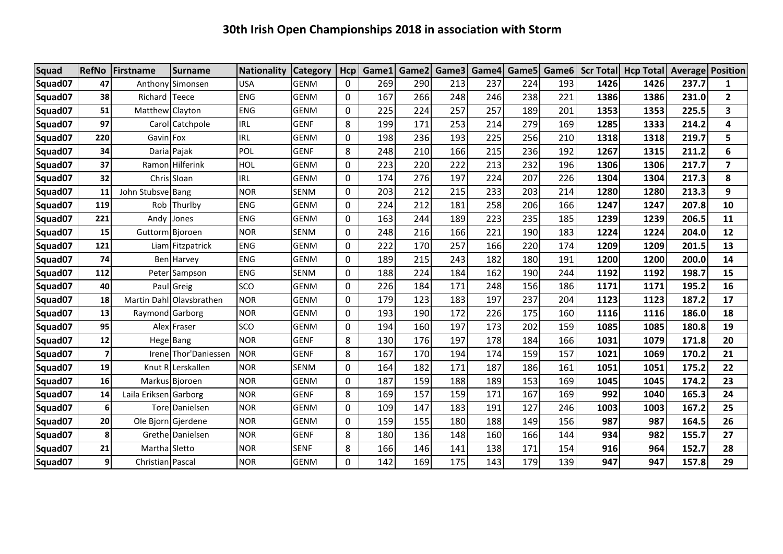| <b>Squad</b> | <b>RefNo</b>   | Firstname             | <b>Surname</b>           | Nationality | <b>Category</b> | Hcp          | Game1 | Game2 | Game3 |     | Game4 Game5 Game6 |     |      | Scr Total Hcp Total | <b>Average Position</b> |                         |
|--------------|----------------|-----------------------|--------------------------|-------------|-----------------|--------------|-------|-------|-------|-----|-------------------|-----|------|---------------------|-------------------------|-------------------------|
| Squad07      | 47             |                       | Anthony Simonsen         | <b>USA</b>  | <b>GENM</b>     | 0            | 269   | 290   | 213   | 237 | 224               | 193 | 1426 | 1426                | 237.7                   | $\mathbf{1}$            |
| Squad07      | 38             | Richard               | Teece                    | <b>ENG</b>  | <b>GENM</b>     | 0            | 167   | 266   | 248   | 246 | 238               | 221 | 1386 | 1386                | 231.0                   | $\mathbf{2}$            |
| Squad07      | 51             | Matthew Clayton       |                          | ENG         | <b>GENM</b>     | 0            | 225   | 224   | 257   | 257 | 189               | 201 | 1353 | 1353                | 225.5                   | 3                       |
| Squad07      | 97             |                       | Carol Catchpole          | <b>IRL</b>  | <b>GENF</b>     | 8            | 199   | 171   | 253   | 214 | 279               | 169 | 1285 | 1333                | 214.2                   | 4                       |
| Squad07      | 220            | Gavin Fox             |                          | <b>IRL</b>  | <b>GENM</b>     | $\mathbf{0}$ | 198   | 236   | 193   | 225 | 256               | 210 | 1318 | 1318                | 219.7                   | 5                       |
| Squad07      | 34             |                       | Daria Pajak              | POL         | <b>GENF</b>     | 8            | 248   | 210   | 166   | 215 | 236               | 192 | 1267 | 1315                | 211.2                   | 6                       |
| Squad07      | 37             |                       | Ramon Hilferink          | HOL         | <b>GENM</b>     | $\mathbf 0$  | 223   | 220   | 222   | 213 | 232               | 196 | 1306 | 1306                | 217.7                   | $\overline{\mathbf{z}}$ |
| Squad07      | 32             |                       | Chris Sloan              | <b>IRL</b>  | <b>GENM</b>     | $\mathbf 0$  | 174   | 276   | 197   | 224 | 207               | 226 | 1304 | 1304                | 217.3                   | 8                       |
| Squad07      | 11             | John Stubsve Bang     |                          | <b>NOR</b>  | <b>SENM</b>     | $\mathbf{0}$ | 203   | 212   | 215   | 233 | 203               | 214 | 1280 | 1280                | 213.3                   | 9                       |
| Squad07      | 119            |                       | Rob Thurlby              | <b>ENG</b>  | <b>GENM</b>     | 0            | 224   | 212   | 181   | 258 | 206               | 166 | 1247 | 1247                | 207.8                   | 10                      |
| Squad07      | 221            | Andy                  | Jones                    | <b>ENG</b>  | <b>GENM</b>     | $\mathbf{0}$ | 163   | 244   | 189   | 223 | 235               | 185 | 1239 | 1239                | 206.5                   | 11                      |
| Squad07      | 15             | Guttorm Bjoroen       |                          | <b>NOR</b>  | <b>SENM</b>     | $\Omega$     | 248   | 216   | 166   | 221 | 190               | 183 | 1224 | 1224                | 204.0                   | 12                      |
| Squad07      | 121            |                       | Liam Fitzpatrick         | <b>ENG</b>  | <b>GENM</b>     | $\Omega$     | 222   | 170   | 257   | 166 | 220               | 174 | 1209 | 1209                | 201.5                   | 13                      |
| Squad07      | 74             |                       | <b>Ben</b> Harvey        | <b>ENG</b>  | <b>GENM</b>     | $\mathbf{0}$ | 189   | 215   | 243   | 182 | 180               | 191 | 1200 | 1200                | 200.0                   | 14                      |
| Squad07      | 112            |                       | Peter Sampson            | <b>ENG</b>  | <b>SENM</b>     | $\mathbf{0}$ | 188   | 224   | 184   | 162 | 190               | 244 | 1192 | 1192                | 198.7                   | 15                      |
| Squad07      | 40             |                       | Paul Greig               | <b>SCO</b>  | <b>GENM</b>     | $\mathbf{0}$ | 226   | 184   | 171   | 248 | 156               | 186 | 1171 | 1171                | 195.2                   | 16                      |
| Squad07      | 18             |                       | Martin DahllOlavsbrathen | <b>NOR</b>  | <b>GENM</b>     | $\Omega$     | 179   | 123   | 183   | 197 | 237               | 204 | 1123 | 1123                | 187.2                   | 17                      |
| Squad07      | 13             | Raymond Garborg       |                          | <b>NOR</b>  | <b>GENM</b>     | $\Omega$     | 193   | 190   | 172   | 226 | 175               | 160 | 1116 | 1116                | 186.0                   | 18                      |
| Squad07      | 95             |                       | Alex Fraser              | <b>SCO</b>  | <b>GENM</b>     | $\Omega$     | 194   | 160   | 197   | 173 | 202               | 159 | 1085 | 1085                | 180.8                   | 19                      |
| Squad07      | 12             |                       | Hege Bang                | <b>NOR</b>  | <b>GENF</b>     | 8            | 130   | 176   | 197   | 178 | 184               | 166 | 1031 | 1079                | 171.8                   | 20                      |
| Squad07      |                |                       | Irene Thor'Daniessen     | <b>NOR</b>  | <b>GENF</b>     | 8            | 167   | 170   | 194   | 174 | 159               | 157 | 1021 | 1069                | 170.2                   | 21                      |
| Squad07      | 19             |                       | Knut R Lerskallen        | <b>NOR</b>  | <b>SENM</b>     | 0            | 164   | 182   | 171   | 187 | 186               | 161 | 1051 | 1051                | 175.2                   | 22                      |
| Squad07      | 16             |                       | Markus Bjoroen           | <b>NOR</b>  | <b>GENM</b>     | 0            | 187   | 159   | 188   | 189 | 153               | 169 | 1045 | 1045                | 174.2                   | 23                      |
| Squad07      | 14             | Laila Eriksen Garborg |                          | <b>NOR</b>  | <b>GENF</b>     | 8            | 169   | 157   | 159   | 171 | 167               | 169 | 992  | 1040                | 165.3                   | 24                      |
| Squad07      | 6              |                       | Tore Danielsen           | <b>NOR</b>  | <b>GENM</b>     | 0            | 109   | 147   | 183   | 191 | 127               | 246 | 1003 | 1003                | 167.2                   | 25                      |
| Squad07      | 20             |                       | Ole Bjorn Gjerdene       | <b>NOR</b>  | <b>GENM</b>     | $\mathbf 0$  | 159   | 155   | 180   | 188 | 149               | 156 | 987  | 987                 | 164.5                   | 26                      |
| Squad07      | 8              |                       | Grethe Danielsen         | <b>NOR</b>  | <b>GENF</b>     | 8            | 180   | 136   | 148   | 160 | 166               | 144 | 934  | 982                 | 155.7                   | 27                      |
| Squad07      | 21             | Martha Sletto         |                          | <b>NOR</b>  | <b>SENF</b>     | 8            | 166   | 146   | 141   | 138 | 171               | 154 | 916  | 964                 | 152.7                   | 28                      |
| Squad07      | $\overline{9}$ | Christian Pascal      |                          | <b>NOR</b>  | <b>GENM</b>     | $\Omega$     | 142   | 169   | 175   | 143 | 179               | 139 | 947  | 947                 | 157.8                   | 29                      |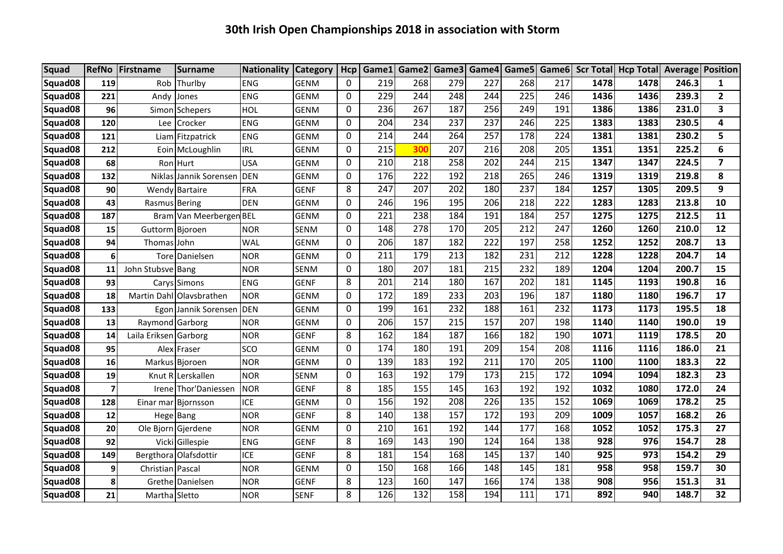| <b>Squad</b>        |                | RefNo Firstname       | <b>Surname</b>           | <b>Nationality Category</b> |             | <b>Hcp</b>   |     | Game1 Game2 |     |     |     |     |      | Game3 Game4 Game5 Game6 Scr Total Hcp Total Average Position |       |                         |
|---------------------|----------------|-----------------------|--------------------------|-----------------------------|-------------|--------------|-----|-------------|-----|-----|-----|-----|------|--------------------------------------------------------------|-------|-------------------------|
| Squad08             | 119            |                       | Rob Thurlby              | <b>ENG</b>                  | <b>GENM</b> | $\Omega$     | 219 | 268         | 279 | 227 | 268 | 217 | 1478 | 1478                                                         | 246.3 | $\mathbf{1}$            |
| Squad08             | 221            | Andy                  | Jones                    | <b>ENG</b>                  | <b>GENM</b> | 0            | 229 | 244         | 248 | 244 | 225 | 246 | 1436 | 1436                                                         | 239.3 | $\overline{2}$          |
| Squad08             | 96             |                       | Simon Schepers           | HOL                         | <b>GENM</b> | 0            | 236 | 267         | 187 | 256 | 249 | 191 | 1386 | 1386                                                         | 231.0 | $\overline{\mathbf{3}}$ |
| Squad08             | 120            | Lee                   | Crocker                  | <b>ENG</b>                  | GENM        | $\mathbf{0}$ | 204 | 234         | 237 | 237 | 246 | 225 | 1383 | 1383                                                         | 230.5 | 4                       |
| Squad08             | 121            |                       | Liam Fitzpatrick         | <b>ENG</b>                  | <b>GENM</b> | 0            | 214 | 244         | 264 | 257 | 178 | 224 | 1381 | 1381                                                         | 230.2 | 5                       |
| Squad08             | 212            |                       | Eoin McLoughlin          | <b>IRL</b>                  | <b>GENM</b> | 0            | 215 | 300         | 207 | 216 | 208 | 205 | 1351 | 1351                                                         | 225.2 | 6                       |
| Squad <sub>08</sub> | 68             |                       | Ron Hurt                 | <b>USA</b>                  | <b>GENM</b> | 0            | 210 | 218         | 258 | 202 | 244 | 215 | 1347 | 1347                                                         | 224.5 | $\overline{\mathbf{z}}$ |
| Squad08             | 132            |                       | Niklas Jannik Sorensen   | <b>DEN</b>                  | <b>GENM</b> | 0            | 176 | 222         | 192 | 218 | 265 | 246 | 1319 | 1319                                                         | 219.8 | 8                       |
| Squad08             | 90             |                       | Wendy Bartaire           | <b>FRA</b>                  | <b>GENF</b> | 8            | 247 | 207         | 202 | 180 | 237 | 184 | 1257 | 1305                                                         | 209.5 | 9                       |
| Squad08             | 43             | Rasmus Bering         |                          | <b>DEN</b>                  | <b>GENM</b> | $\mathbf{0}$ | 246 | 196         | 195 | 206 | 218 | 222 | 1283 | 1283                                                         | 213.8 | 10                      |
| Squad08             | 187            |                       | Bram Van Meerbergen BEL  |                             | GENM        | 0            | 221 | 238         | 184 | 191 | 184 | 257 | 1275 | 1275                                                         | 212.5 | 11                      |
| Squad08             | 15             | Guttorm Bjoroen       |                          | <b>NOR</b>                  | SENM        | $\mathbf{0}$ | 148 | 278         | 170 | 205 | 212 | 247 | 1260 | 1260                                                         | 210.0 | 12                      |
| Squad08             | 94             | Thomas John           |                          | <b>WAL</b>                  | <b>GENM</b> | 0            | 206 | 187         | 182 | 222 | 197 | 258 | 1252 | 1252                                                         | 208.7 | 13                      |
| Squad08             | 6 <sup>1</sup> |                       | <b>Torel Danielsen</b>   | <b>NOR</b>                  | <b>GENM</b> | $\mathbf{0}$ | 211 | 179         | 213 | 182 | 231 | 212 | 1228 | 1228                                                         | 204.7 | 14                      |
| Squad08             | 11             | John Stubsve Bang     |                          | <b>NOR</b>                  | <b>SENM</b> | 0            | 180 | 207         | 181 | 215 | 232 | 189 | 1204 | 1204                                                         | 200.7 | 15                      |
| Squad08             | 93             |                       | Carys Simons             | <b>ENG</b>                  | <b>GENF</b> | 8            | 201 | 214         | 180 | 167 | 202 | 181 | 1145 | 1193                                                         | 190.8 | 16                      |
| Squad08             | 18             |                       | Martin Dahl Olavsbrathen | <b>NOR</b>                  | <b>GENM</b> | $\mathbf{0}$ | 172 | 189         | 233 | 203 | 196 | 187 | 1180 | 1180                                                         | 196.7 | 17                      |
| Squad08             | 133            |                       | Egon Jannik Sorensen     | <b>DEN</b>                  | <b>GENM</b> | $\mathbf{0}$ | 199 | 161         | 232 | 188 | 161 | 232 | 1173 | 1173                                                         | 195.5 | 18                      |
| Squad08             | 13             | Raymond Garborg       |                          | <b>NOR</b>                  | <b>GENM</b> | 0            | 206 | 157         | 215 | 157 | 207 | 198 | 1140 | 1140                                                         | 190.0 | 19                      |
| Squad08             | 14             | Laila Eriksen Garborg |                          | <b>NOR</b>                  | <b>GENF</b> | 8            | 162 | 184         | 187 | 166 | 182 | 190 | 1071 | 1119                                                         | 178.5 | 20                      |
| Squad08             | 95             |                       | Alex Fraser              | SCO                         | <b>GENM</b> | 0            | 174 | 180         | 191 | 209 | 154 | 208 | 1116 | 1116                                                         | 186.0 | 21                      |
| Squad <sub>08</sub> | 16             |                       | Markus Bjoroen           | <b>NOR</b>                  | <b>GENM</b> | 0            | 139 | 183         | 192 | 211 | 170 | 205 | 1100 | 1100                                                         | 183.3 | 22                      |
| Squad08             | 19             |                       | Knut R Lerskallen        | <b>NOR</b>                  | <b>SENM</b> | 0            | 163 | 192         | 179 | 173 | 215 | 172 | 1094 | 1094                                                         | 182.3 | 23                      |
| Squad08             | 7 <sup>1</sup> |                       | Irene Thor'Daniessen     | <b>NOR</b>                  | <b>GENF</b> | 8            | 185 | 155         | 145 | 163 | 192 | 192 | 1032 | 1080                                                         | 172.0 | 24                      |
| Squad08             | 128            | Einar mar             | Bjornsson                | ICE                         | <b>GENM</b> | 0            | 156 | 192         | 208 | 226 | 135 | 152 | 1069 | 1069                                                         | 178.2 | 25                      |
| Squad <sub>08</sub> | 12             |                       | Hege Bang                | <b>NOR</b>                  | <b>GENF</b> | 8            | 140 | 138         | 157 | 172 | 193 | 209 | 1009 | 1057                                                         | 168.2 | 26                      |
| Squad08             | 20             |                       | Ole Bjorn Gjerdene       | <b>NOR</b>                  | <b>GENM</b> | 0            | 210 | 161         | 192 | 144 | 177 | 168 | 1052 | 1052                                                         | 175.3 | 27                      |
| Squad08             | 92             |                       | Vicki Gillespie          | <b>ENG</b>                  | <b>GENF</b> | 8            | 169 | 143         | 190 | 124 | 164 | 138 | 928  | 976                                                          | 154.7 | 28                      |
| Squad08             | 149            |                       | Bergthora Olafsdottir    | <b>ICE</b>                  | <b>GENF</b> | 8            | 181 | 154         | 168 | 145 | 137 | 140 | 925  | 973                                                          | 154.2 | 29                      |
| Squad <sub>08</sub> | 9 <sub>l</sub> | Christian Pascal      |                          | <b>NOR</b>                  | <b>GENM</b> | $\mathbf{0}$ | 150 | 168         | 166 | 148 | 145 | 181 | 958  | 958                                                          | 159.7 | 30                      |
| Squad08             | 8              |                       | Grethe Danielsen         | <b>NOR</b>                  | <b>GENF</b> | 8            | 123 | 160         | 147 | 166 | 174 | 138 | 908  | 956                                                          | 151.3 | 31                      |
| Squad08             | 21             | Martha Sletto         |                          | <b>NOR</b>                  | <b>SENF</b> | 8            | 126 | 132         | 158 | 194 | 111 | 171 | 892  | 940                                                          | 148.7 | 32                      |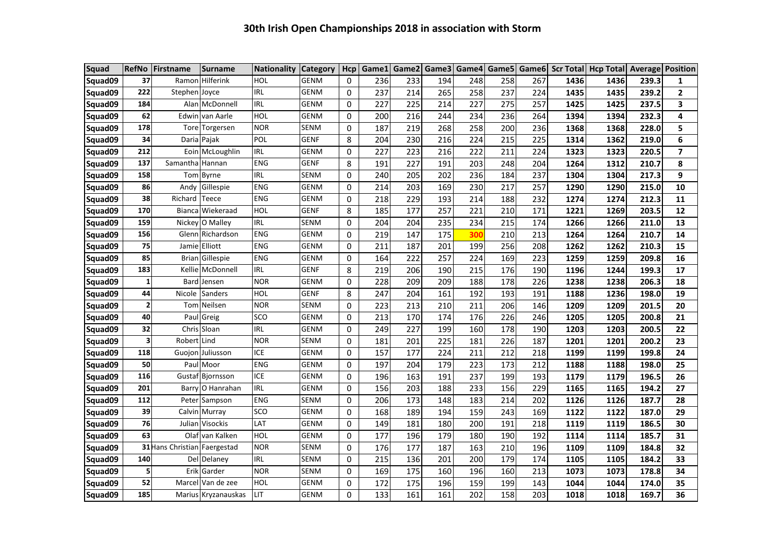| <b>Squad</b> | <b>RefNo</b>            | <b>Firstname</b>             | <b>Surname</b>      | <b>Nationality</b> | <b>Category</b> | Hcp      | Game1 | Game2 |     | Game3 Game4 | Game5 |     | Game6 Scr Total | <b>Hcp Total Average Position</b> |       |                         |
|--------------|-------------------------|------------------------------|---------------------|--------------------|-----------------|----------|-------|-------|-----|-------------|-------|-----|-----------------|-----------------------------------|-------|-------------------------|
| Squad09      | 37                      | Ramon                        | Hilferink           | HOL                | GENM            | 0        | 236   | 233   | 194 | 248         | 258   | 267 | 1436            | 1436                              | 239.3 | 1                       |
| Squad09      | 222                     | Stephen Joyce                |                     | <b>IRL</b>         | GENM            | 0        | 237   | 214   | 265 | 258         | 237   | 224 | 1435            | 1435                              | 239.2 | $\mathbf{2}$            |
| Squad09      | 184                     |                              | Alan McDonnell      | <b>IRL</b>         | <b>GENM</b>     | 0        | 227   | 225   | 214 | 227         | 275   | 257 | 1425            | 1425                              | 237.5 | 3                       |
| Squad09      | 62                      |                              | Edwin van Aarle     | HOL                | GENM            | 0        | 200   | 216   | 244 | 234         | 236   | 264 | 1394            | 1394                              | 232.3 | 4                       |
| Squad09      | 178                     |                              | Tore Torgersen      | <b>NOR</b>         | SENM            | 0        | 187   | 219   | 268 | 258         | 200   | 236 | 1368            | 1368                              | 228.0 | 5                       |
| Squad09      | 34                      |                              | Daria Pajak         | POL                | GENF            | 8        | 204   | 230   | 216 | 224         | 215   | 225 | 1314            | 1362                              | 219.0 | 6                       |
| Squad09      | 212                     |                              | Eoin McLoughlin     | <b>IRL</b>         | GENM            | 0        | 227   | 223   | 216 | 222         | 211   | 224 | 1323            | 1323                              | 220.5 | $\overline{\mathbf{z}}$ |
| Squad09      | 137                     | Samantha                     | Hannan              | <b>ENG</b>         | <b>GENF</b>     | 8        | 191   | 227   | 191 | 203         | 248   | 204 | 1264            | 1312                              | 210.7 | 8                       |
| Squad09      | 158                     |                              | Tom Byrne           | <b>IRL</b>         | SENM            | 0        | 240   | 205   | 202 | 236         | 184   | 237 | 1304            | 1304                              | 217.3 | 9                       |
| Squad09      | 86                      | Andv                         | Gillespie           | <b>ENG</b>         | <b>GENM</b>     | $\Omega$ | 214   | 203   | 169 | 230         | 217   | 257 | 1290            | 1290                              | 215.0 | 10                      |
| Squad09      | 38                      | Richard                      | Teece               | <b>ENG</b>         | <b>GENM</b>     | 0        | 218   | 229   | 193 | 214         | 188   | 232 | 1274            | 1274                              | 212.3 | 11                      |
| Squad09      | 170                     | Bianca                       | Wiekeraad           | HOL                | <b>GENF</b>     | 8        | 185   | 177   | 257 | 221         | 210   | 171 | 1221            | 1269                              | 203.5 | 12                      |
| Squad09      | 159                     | Nickey                       | O Malley            | <b>IRL</b>         | SENM            | 0        | 204   | 204   | 235 | 234         | 215   | 174 | 1266            | 1266                              | 211.0 | 13                      |
| Squad09      | 156                     |                              | Glenn Richardson    | <b>ENG</b>         | <b>GENM</b>     | 0        | 219   | 147   | 175 | 300         | 210   | 213 | 1264            | 1264                              | 210.7 | 14                      |
| Squad09      | 75                      | Jamie                        | Elliott             | <b>ENG</b>         | <b>GENM</b>     | 0        | 211   | 187   | 201 | 199         | 256   | 208 | 1262            | 1262                              | 210.3 | 15                      |
| Squad09      | 85                      | Brian                        | Gillespie           | <b>ENG</b>         | <b>GENM</b>     | 0        | 164   | 222   | 257 | 224         | 169   | 223 | 1259            | 1259                              | 209.8 | 16                      |
| Squad09      | 183                     | Kellie                       | McDonnell           | <b>IRL</b>         | <b>GENF</b>     | 8        | 219   | 206   | 190 | 215         | 176   | 190 | 1196            | 1244                              | 199.3 | 17                      |
| Squad09      | $\mathbf{1}$            | <b>Bard</b>                  | Jensen              | <b>NOR</b>         | <b>GENM</b>     | 0        | 228   | 209   | 209 | 188         | 178   | 226 | 1238            | 1238                              | 206.3 | 18                      |
| Squad09      | 44                      | Nicole                       | <b>Sanders</b>      | HOL                | <b>GENF</b>     | 8        | 247   | 204   | 161 | 192         | 193   | 191 | 1188            | 1236                              | 198.0 | 19                      |
| Squad09      | $\overline{\mathbf{2}}$ |                              | Tom Neilsen         | <b>NOR</b>         | SENM            | $\Omega$ | 223   | 213   | 210 | 211         | 206   | 146 | 1209            | 1209                              | 201.5 | 20                      |
| Squad09      | 40                      |                              | Paul Greig          | SCO                | <b>GENM</b>     | 0        | 213   | 170   | 174 | 176         | 226   | 246 | 1205            | 1205                              | 200.8 | 21                      |
| Squad09      | 32                      |                              | Chris Sloan         | <b>IRL</b>         | <b>GENM</b>     | 0        | 249   | 227   | 199 | 160         | 178   | 190 | 1203            | 1203                              | 200.5 | 22                      |
| Squad09      | 3                       | Robert Lind                  |                     | <b>NOR</b>         | SENM            | 0        | 181   | 201   | 225 | 181         | 226   | 187 | 1201            | 1201                              | 200.2 | 23                      |
| Squad09      | 118                     |                              | Guojon Juliusson    | <b>ICE</b>         | <b>GENM</b>     | 0        | 157   | 177   | 224 | 211         | 212   | 218 | 1199            | 1199                              | 199.8 | 24                      |
| Squad09      | 50                      |                              | Paul Moor           | <b>ENG</b>         | <b>GENM</b>     | 0        | 197   | 204   | 179 | 223         | 173   | 212 | 1188            | 1188                              | 198.0 | 25                      |
| Squad09      | 116                     | Gustaf                       | Bjornsson           | ICE                | GENM            | 0        | 196   | 163   | 191 | 237         | 199   | 193 | 1179            | 1179                              | 196.5 | 26                      |
| Squad09      | 201                     | Barry                        | O Hanrahan          | <b>IRL</b>         | GENM            | 0        | 156   | 203   | 188 | 233         | 156   | 229 | 1165            | 1165                              | 194.2 | 27                      |
| Squad09      | 112                     | Peter                        | Sampson             | <b>ENG</b>         | SENM            | 0        | 206   | 173   | 148 | 183         | 214   | 202 | 1126            | 1126                              | 187.7 | 28                      |
| Squad09      | 39                      |                              | Calvin Murray       | SCO                | GENM            | 0        | 168   | 189   | 194 | 159         | 243   | 169 | 1122            | 1122                              | 187.0 | 29                      |
| Squad09      | 76                      | Julian                       | <b>Visockis</b>     | LAT                | GENM            | 0        | 149   | 181   | 180 | 200         | 191   | 218 | 1119            | 1119                              | 186.5 | 30                      |
| Squad09      | 63                      | Olaf                         | van Kalken          | HOL                | <b>GENM</b>     | 0        | 177   | 196   | 179 | 180         | 190   | 192 | 1114            | 1114                              | 185.7 | 31                      |
| Squad09      |                         | 31 Hans Christian Faergestad |                     | <b>NOR</b>         | SENM            | 0        | 176   | 177   | 187 | 163         | 210   | 196 | 1109            | 1109                              | 184.8 | 32                      |
| Squad09      | 140                     |                              | Del Delaney         | <b>IRL</b>         | SENM            | 0        | 215   | 136   | 201 | 200         | 179   | 174 | 1105            | 1105                              | 184.2 | 33                      |
| Squad09      | 5                       | Erik                         | Garder              | <b>NOR</b>         | SENM            | 0        | 169   | 175   | 160 | 196         | 160   | 213 | 1073            | 1073                              | 178.8 | 34                      |
| Squad09      | 52                      |                              | Marcel Van de zee   | HOL                | <b>GENM</b>     | 0        | 172   | 175   | 196 | 159         | 199   | 143 | 1044            | 1044                              | 174.0 | 35                      |
| Squad09      | 185                     |                              | Marius Kryzanauskas | LIT                | <b>GENM</b>     | 0        | 133   | 161   | 161 | 202         | 158   | 203 | 1018            | 1018                              | 169.7 | 36                      |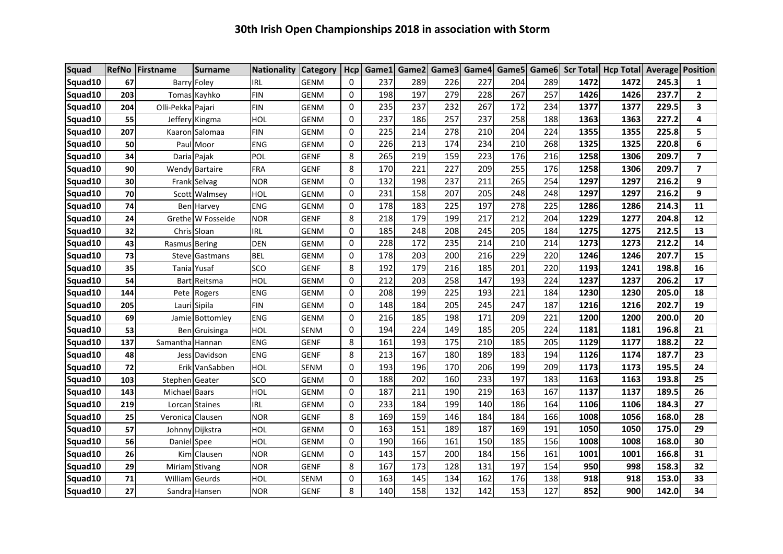| <b>Squad</b> |     | RefNo Firstname   | <b>Surname</b>     | <b>Nationality Category</b> |             | Hcp          |     |     |     |     |     |     |      | Game1 Game2 Game3 Game4 Game5 Game6 Scr Total Hcp Total Average Position |       |                |
|--------------|-----|-------------------|--------------------|-----------------------------|-------------|--------------|-----|-----|-----|-----|-----|-----|------|--------------------------------------------------------------------------|-------|----------------|
| Squad10      | 67  |                   | Barry Foley        | <b>IRL</b>                  | <b>GENM</b> | $\Omega$     | 237 | 289 | 226 | 227 | 204 | 289 | 1472 | 1472                                                                     | 245.3 | 1              |
| Squad10      | 203 |                   | Tomas Kayhko       | FIN                         | <b>GENM</b> | 0            | 198 | 197 | 279 | 228 | 267 | 257 | 1426 | 1426                                                                     | 237.7 | $\mathbf{2}$   |
| Squad10      | 204 | Olli-Pekka Pajari |                    | FIN                         | <b>GENM</b> | 0            | 235 | 237 | 232 | 267 | 172 | 234 | 1377 | 1377                                                                     | 229.5 | 3              |
| Squad10      | 55  |                   | Jeffery Kingma     | HOL                         | <b>GENM</b> | $\Omega$     | 237 | 186 | 257 | 237 | 258 | 188 | 1363 | 1363                                                                     | 227.2 | 4              |
| Squad10      | 207 |                   | Kaaron Salomaa     | <b>FIN</b>                  | <b>GENM</b> | 0            | 225 | 214 | 278 | 210 | 204 | 224 | 1355 | 1355                                                                     | 225.8 | 5              |
| Squad10      | 50  |                   | Paul Moor          | <b>ENG</b>                  | <b>GENM</b> | 0            | 226 | 213 | 174 | 234 | 210 | 268 | 1325 | 1325                                                                     | 220.8 | 6              |
| Squad10      | 34  |                   | Daria Pajak        | POL                         | GENF        | 8            | 265 | 219 | 159 | 223 | 176 | 216 | 1258 | 1306                                                                     | 209.7 | $\overline{7}$ |
| Squad10      | 90  |                   | Wendy Bartaire     | <b>FRA</b>                  | <b>GENF</b> | 8            | 170 | 221 | 227 | 209 | 255 | 176 | 1258 | 1306                                                                     | 209.7 | $\overline{7}$ |
| Squad10      | 30  |                   | Frank Selvag       | <b>NOR</b>                  | GENM        | 0            | 132 | 198 | 237 | 211 | 265 | 254 | 1297 | 1297                                                                     | 216.2 | 9              |
| Squad10      | 70  |                   | Scott Walmsey      | HOL                         | <b>GENM</b> | $\Omega$     | 231 | 158 | 207 | 205 | 248 | 248 | 1297 | 1297                                                                     | 216.2 | 9              |
| Squad10      | 74  |                   | <b>Ben</b> Harvey  | ENG                         | <b>GENM</b> | 0            | 178 | 183 | 225 | 197 | 278 | 225 | 1286 | 1286                                                                     | 214.3 | 11             |
| Squad10      | 24  |                   | Grethe W Fosseide  | <b>NOR</b>                  | <b>GENF</b> | 8            | 218 | 179 | 199 | 217 | 212 | 204 | 1229 | 1277                                                                     | 204.8 | 12             |
| Squad10      | 32  |                   | Chris Sloan        | IRL                         | <b>GENM</b> | 0            | 185 | 248 | 208 | 245 | 205 | 184 | 1275 | 1275                                                                     | 212.5 | 13             |
| Squad10      | 43  | Rasmus Bering     |                    | <b>DEN</b>                  | <b>GENM</b> | $\Omega$     | 228 | 172 | 235 | 214 | 210 | 214 | 1273 | 1273                                                                     | 212.2 | 14             |
| Squad10      | 73  |                   | Steve Gastmans     | <b>BEL</b>                  | <b>GENM</b> | $\mathbf{0}$ | 178 | 203 | 200 | 216 | 229 | 220 | 1246 | 1246                                                                     | 207.7 | 15             |
| Squad10      | 35  |                   | <b>Tania Yusaf</b> | SCO                         | <b>GENF</b> | 8            | 192 | 179 | 216 | 185 | 201 | 220 | 1193 | 1241                                                                     | 198.8 | 16             |
| Squad10      | 54  |                   | Bart Reitsma       | HOL                         | <b>GENM</b> | $\mathbf{0}$ | 212 | 203 | 258 | 147 | 193 | 224 | 1237 | 1237                                                                     | 206.2 | 17             |
| Squad10      | 144 |                   | Pete Rogers        | ENG                         | <b>GENM</b> | 0            | 208 | 199 | 225 | 193 | 221 | 184 | 1230 | 1230                                                                     | 205.0 | 18             |
| Squad10      | 205 |                   | Lauri Sipila       | <b>FIN</b>                  | <b>GENM</b> | $\Omega$     | 148 | 184 | 205 | 245 | 247 | 187 | 1216 | 1216                                                                     | 202.7 | 19             |
| Squad10      | 69  |                   | Jamie Bottomley    | ENG                         | <b>GENM</b> | 0            | 216 | 185 | 198 | 171 | 209 | 221 | 1200 | 1200                                                                     | 200.0 | 20             |
| Squad10      | 53  |                   | Ben Gruisinga      | HOL                         | SENM        | $\Omega$     | 194 | 224 | 149 | 185 | 205 | 224 | 1181 | 1181                                                                     | 196.8 | 21             |
| Squad10      | 137 | Samantha Hannan   |                    | ENG                         | <b>GENF</b> | 8            | 161 | 193 | 175 | 210 | 185 | 205 | 1129 | 1177                                                                     | 188.2 | 22             |
| Squad10      | 48  |                   | Jess Davidson      | <b>ENG</b>                  | <b>GENF</b> | 8            | 213 | 167 | 180 | 189 | 183 | 194 | 1126 | 1174                                                                     | 187.7 | 23             |
| Squad10      | 72  |                   | Erik VanSabben     | HOL                         | SENM        | $\mathbf{0}$ | 193 | 196 | 170 | 206 | 199 | 209 | 1173 | 1173                                                                     | 195.5 | 24             |
| Squad10      | 103 | Stephen Geater    |                    | SCO                         | <b>GENM</b> | 0            | 188 | 202 | 160 | 233 | 197 | 183 | 1163 | 1163                                                                     | 193.8 | 25             |
| Squad10      | 143 | Michael Baars     |                    | HOL                         | <b>GENM</b> | 0            | 187 | 211 | 190 | 219 | 163 | 167 | 1137 | 1137                                                                     | 189.5 | 26             |
| Squad10      | 219 |                   | Lorcan Staines     | <b>IRL</b>                  | <b>GENM</b> | 0            | 233 | 184 | 199 | 140 | 186 | 164 | 1106 | 1106                                                                     | 184.3 | 27             |
| Squad10      | 25  | Veronica Clausen  |                    | <b>NOR</b>                  | <b>GENF</b> | 8            | 169 | 159 | 146 | 184 | 184 | 166 | 1008 | 1056                                                                     | 168.0 | 28             |
| Squad10      | 57  |                   | Johnny Dijkstra    | HOL                         | <b>GENM</b> | $\mathbf 0$  | 163 | 151 | 189 | 187 | 169 | 191 | 1050 | 1050                                                                     | 175.0 | 29             |
| Squad10      | 56  | Daniel Spee       |                    | HOL                         | <b>GENM</b> | $\Omega$     | 190 | 166 | 161 | 150 | 185 | 156 | 1008 | 1008                                                                     | 168.0 | 30             |
| Squad10      | 26  |                   | Kim Clausen        | <b>NOR</b>                  | <b>GENM</b> | 0            | 143 | 157 | 200 | 184 | 156 | 161 | 1001 | 1001                                                                     | 166.8 | 31             |
| Squad10      | 29  |                   | Miriam Stivang     | <b>NOR</b>                  | <b>GENF</b> | 8            | 167 | 173 | 128 | 131 | 197 | 154 | 950  | 998                                                                      | 158.3 | 32             |
| Squad10      | 71  |                   | William Geurds     | HOL                         | SENM        | $\Omega$     | 163 | 145 | 134 | 162 | 176 | 138 | 918  | 918                                                                      | 153.0 | 33             |
| Squad10      | 27  |                   | Sandra Hansen      | <b>NOR</b>                  | <b>GENF</b> | 8            | 140 | 158 | 132 | 142 | 153 | 127 | 852  | 900                                                                      | 142.0 | 34             |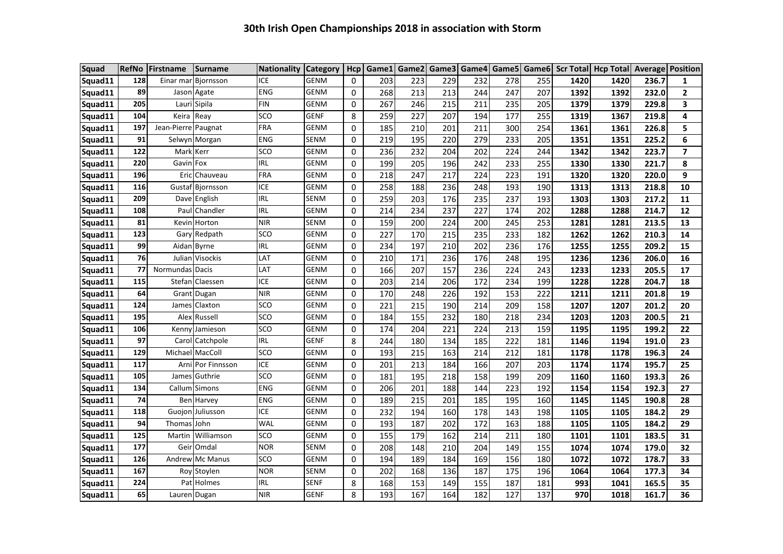| <b>Squad</b> |            | RefNo Firstname     | <b>Surname</b>     | <b>Nationality Category</b> |             | Hcp      | Game1 | Game2 | Game3 |     |     |     |      | Game4 Game5 Game6 Scr Total Hcp Total Average Position |       |                |
|--------------|------------|---------------------|--------------------|-----------------------------|-------------|----------|-------|-------|-------|-----|-----|-----|------|--------------------------------------------------------|-------|----------------|
| Squad11      | 128        | Einar mar           | Biornsson          | ICE                         | <b>GENM</b> | 0        | 203   | 223   | 229   | 232 | 278 | 255 | 1420 | 1420                                                   | 236.7 | 1              |
| Squad11      | 89         | Jason               | Agate              | <b>ENG</b>                  | <b>GENM</b> | 0        | 268   | 213   | 213   | 244 | 247 | 207 | 1392 | 1392                                                   | 232.0 | $\mathbf{2}$   |
| Squad11      | 205        |                     | Lauri Sipila       | <b>FIN</b>                  | GENM        | 0        | 267   | 246   | 215   | 211 | 235 | 205 | 1379 | 1379                                                   | 229.8 | 3              |
| Squad11      | 104        | Keira               | Reay               | SCO                         | <b>GENF</b> | 8        | 259   | 227   | 207   | 194 | 177 | 255 | 1319 | 1367                                                   | 219.8 | 4              |
| Squad11      | 197        | Jean-Pierre Paugnat |                    | FRA                         | GENM        | 0        | 185   | 210   | 201   | 211 | 300 | 254 | 1361 | 1361                                                   | 226.8 | 5              |
| Squad11      | 91         |                     | Selwyn Morgan      | <b>ENG</b>                  | SENM        | 0        | 219   | 195   | 220   | 279 | 233 | 205 | 1351 | 1351                                                   | 225.2 | 6              |
| Squad11      | 122        | <b>Mark Kerr</b>    |                    | SCO                         | <b>GENM</b> | 0        | 236   | 232   | 204   | 202 | 224 | 244 | 1342 | 1342                                                   | 223.7 | $\overline{ }$ |
| Squad11      | 220        | Gavin Fox           |                    | <b>IRL</b>                  | <b>GENM</b> | $\Omega$ | 199   | 205   | 196   | 242 | 233 | 255 | 1330 | 1330                                                   | 221.7 | 8              |
| Squad11      | 196        |                     | Eric Chauveau      | <b>FRA</b>                  | <b>GENM</b> | $\Omega$ | 218   | 247   | 217   | 224 | 223 | 191 | 1320 | 1320                                                   | 220.0 | 9              |
| Squad11      | <b>116</b> |                     | Gustaf Bjornsson   | ICE                         | <b>GENM</b> | 0        | 258   | 188   | 236   | 248 | 193 | 190 | 1313 | 1313                                                   | 218.8 | 10             |
| Squad11      | 209        | Dave                | English            | IRL                         | SENM        | 0        | 259   | 203   | 176   | 235 | 237 | 193 | 1303 | 1303                                                   | 217.2 | 11             |
| Squad11      | 108        | Paull               | Chandler           | IRL                         | <b>GENM</b> | 0        | 214   | 234   | 237   | 227 | 174 | 202 | 1288 | 1288                                                   | 214.7 | 12             |
| Squad11      | 81         |                     | Kevin Horton       | <b>NIR</b>                  | <b>SENM</b> | $\Omega$ | 159   | 200   | 224   | 200 | 245 | 253 | 1281 | 1281                                                   | 213.5 | 13             |
| Squad11      | 123        | Gary                | Redpath            | SCO                         | <b>GENM</b> | 0        | 227   | 170   | 215   | 235 | 233 | 182 | 1262 | 1262                                                   | 210.3 | 14             |
| Squad11      | 99         |                     | Aidan Byrne        | <b>IRL</b>                  | <b>GENM</b> | 0        | 234   | 197   | 210   | 202 | 236 | 176 | 1255 | 1255                                                   | 209.2 | 15             |
| Squad11      | 76         |                     | Julian Visockis    | LAT                         | <b>GENM</b> | 0        | 210   | 171   | 236   | 176 | 248 | 195 | 1236 | 1236                                                   | 206.0 | 16             |
| Squad11      | 77         | Normundas Dacis     |                    | LAT                         | <b>GENM</b> | $\Omega$ | 166   | 207   | 157   | 236 | 224 | 243 | 1233 | 1233                                                   | 205.5 | 17             |
| Squad11      | 115        |                     | Stefan Claessen    | ICE                         | <b>GENM</b> | $\Omega$ | 203   | 214   | 206   | 172 | 234 | 199 | 1228 | 1228                                                   | 204.7 | 18             |
| Squad11      | 64         |                     | Grant Dugan        | <b>NIR</b>                  | <b>GENM</b> | 0        | 170   | 248   | 226   | 192 | 153 | 222 | 1211 | 1211                                                   | 201.8 | 19             |
| Squad11      | 124        | James               | Claxton            | SCO                         | <b>GENM</b> | 0        | 221   | 215   | 190   | 214 | 209 | 158 | 1207 | 1207                                                   | 201.2 | 20             |
| Squad11      | 195        |                     | Alex Russell       | SCO                         | <b>GENM</b> | $\Omega$ | 184   | 155   | 232   | 180 | 218 | 234 | 1203 | 1203                                                   | 200.5 | 21             |
| Squad11      | 106        |                     | Kenny Jamieson     | SCO                         | <b>GENM</b> | $\Omega$ | 174   | 204   | 221   | 224 | 213 | 159 | 1195 | 1195                                                   | 199.2 | 22             |
| Squad11      | 97         | Carol               | Catchpole          | IRL                         | <b>GENF</b> | 8        | 244   | 180   | 134   | 185 | 222 | 181 | 1146 | 1194                                                   | 191.0 | 23             |
| Squad11      | 129        |                     | Michael MacColl    | SCO                         | <b>GENM</b> | 0        | 193   | 215   | 163   | 214 | 212 | 181 | 1178 | 1178                                                   | 196.3 | 24             |
| Squad11      | 117        |                     | Arnil Por Finnsson | ICE                         | <b>GENM</b> | $\Omega$ | 201   | 213   | 184   | 166 | 207 | 203 | 1174 | 1174                                                   | 195.7 | 25             |
| Squad11      | 105        |                     | James Guthrie      | SCO                         | <b>GENM</b> | $\Omega$ | 181   | 195   | 218   | 158 | 199 | 209 | 1160 | 1160                                                   | 193.3 | 26             |
| Squad11      | 134        |                     | Callum Simons      | <b>ENG</b>                  | <b>GENM</b> | 0        | 206   | 201   | 188   | 144 | 223 | 192 | 1154 | 1154                                                   | 192.3 | 27             |
| Squad11      | 74         |                     | Ben Harvey         | <b>ENG</b>                  | <b>GENM</b> | 0        | 189   | 215   | 201   | 185 | 195 | 160 | 1145 | 1145                                                   | 190.8 | 28             |
| Squad11      | 118        |                     | Guojon Juliusson   | ICE                         | GENM        | 0        | 232   | 194   | 160   | 178 | 143 | 198 | 1105 | 1105                                                   | 184.2 | 29             |
| Squad11      | 94         | Thomas John         |                    | WAL                         | <b>GENM</b> | $\Omega$ | 193   | 187   | 202   | 172 | 163 | 188 | 1105 | 1105                                                   | 184.2 | 29             |
| Squad11      | 125        | Martin              | Williamson         | SCO                         | <b>GENM</b> | 0        | 155   | 179   | 162   | 214 | 211 | 180 | 1101 | 1101                                                   | 183.5 | 31             |
| Squad11      | 177        |                     | Geir Omdal         | <b>NOR</b>                  | <b>SENM</b> | 0        | 208   | 148   | 210   | 204 | 149 | 155 | 1074 | 1074                                                   | 179.0 | 32             |
| Squad11      | 126        |                     | Andrew Mc Manus    | SCO                         | GENM        | 0        | 194   | 189   | 184   | 169 | 156 | 180 | 1072 | 1072                                                   | 178.7 | 33             |
| Squad11      | 167        |                     | Roy Stoylen        | <b>NOR</b>                  | SENM        | 0        | 202   | 168   | 136   | 187 | 175 | 196 | 1064 | 1064                                                   | 177.3 | 34             |
| Squad11      | 224        |                     | Pat Holmes         | IRL                         | <b>SENF</b> | 8        | 168   | 153   | 149   | 155 | 187 | 181 | 993  | 1041                                                   | 165.5 | 35             |
| Squad11      | 65         |                     | Lauren Dugan       | <b>NIR</b>                  | GENF        | 8        | 193   | 167   | 164   | 182 | 127 | 137 | 970  | 1018                                                   | 161.7 | 36             |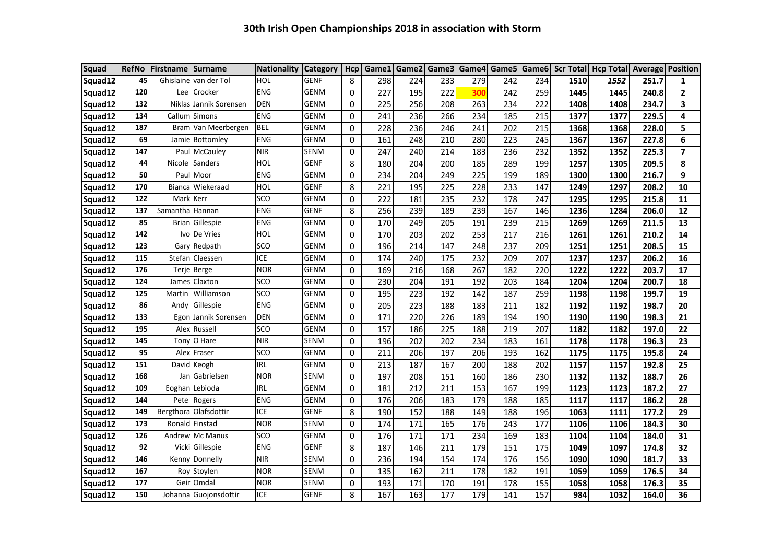| <b>Squad</b> | <b>RefNo</b> | Firstname Surname |                        | Nationality Category |             | Hcp      |     |     |     |     |     |     |      | Game1 Game2 Game3 Game4 Game5 Game6 Scr Total Hcp Total Average Position |       |              |
|--------------|--------------|-------------------|------------------------|----------------------|-------------|----------|-----|-----|-----|-----|-----|-----|------|--------------------------------------------------------------------------|-------|--------------|
| Squad12      | 45           |                   | Ghislaine van der Tol  | HOL                  | <b>GENF</b> | 8        | 298 | 224 | 233 | 279 | 242 | 234 | 1510 | 1552                                                                     | 251.7 | 1            |
| Squad12      | 120          |                   | Lee Crocker            | <b>ENG</b>           | <b>GENM</b> | 0        | 227 | 195 | 222 | 300 | 242 | 259 | 1445 | 1445                                                                     | 240.8 | $\mathbf{2}$ |
| Squad12      | 132          |                   | Niklas Jannik Sorensen | <b>DEN</b>           | <b>GENM</b> | 0        | 225 | 256 | 208 | 263 | 234 | 222 | 1408 | 1408                                                                     | 234.7 | 3            |
| Squad12      | 134          | Callum            | Simons                 | <b>ENG</b>           | <b>GENM</b> | 0        | 241 | 236 | 266 | 234 | 185 | 215 | 1377 | 1377                                                                     | 229.5 | 4            |
| Squad12      | 187          |                   | Bram Van Meerbergen    | <b>BEL</b>           | <b>GENM</b> | 0        | 228 | 236 | 246 | 241 | 202 | 215 | 1368 | 1368                                                                     | 228.0 | 5            |
| Squad12      | 69           |                   | Jamie Bottomley        | <b>ENG</b>           | <b>GENM</b> | $\Omega$ | 161 | 248 | 210 | 280 | 223 | 245 | 1367 | 1367                                                                     | 227.8 | 6            |
| Squad12      | 147          |                   | Paul McCauley          | <b>NIR</b>           | <b>SENM</b> | 0        | 247 | 240 | 214 | 183 | 236 | 232 | 1352 | 1352                                                                     | 225.3 | 7            |
| Squad12      | 44           | Nicole            | Sanders                | HOL                  | <b>GENF</b> | 8        | 180 | 204 | 200 | 185 | 289 | 199 | 1257 | 1305                                                                     | 209.5 | 8            |
| Squad12      | 50           |                   | Paul Moor              | <b>ENG</b>           | GENM        | 0        | 234 | 204 | 249 | 225 | 199 | 189 | 1300 | 1300                                                                     | 216.7 | 9            |
| Squad12      | 170          |                   | Biancal Wiekeraad      | HOL                  | <b>GENF</b> | 8        | 221 | 195 | 225 | 228 | 233 | 147 | 1249 | 1297                                                                     | 208.2 | 10           |
| Squad12      | 122          | Mark Kerr         |                        | SCO                  | GENM        | 0        | 222 | 181 | 235 | 232 | 178 | 247 | 1295 | 1295                                                                     | 215.8 | 11           |
| Squad12      | 137          | Samantha Hannan   |                        | <b>ENG</b>           | <b>GENF</b> | 8        | 256 | 239 | 189 | 239 | 167 | 146 | 1236 | 1284                                                                     | 206.0 | 12           |
| Squad12      | 85           |                   | Brian Gillespie        | <b>ENG</b>           | GENM        | 0        | 170 | 249 | 205 | 191 | 239 | 215 | 1269 | 1269                                                                     | 211.5 | 13           |
| Squad12      | 142          |                   | Ivo De Vries           | HOL                  | GENM        | 0        | 170 | 203 | 202 | 253 | 217 | 216 | 1261 | 1261                                                                     | 210.2 | 14           |
| Squad12      | 123          |                   | Gary Redpath           | SCO                  | GENM        | 0        | 196 | 214 | 147 | 248 | 237 | 209 | 1251 | 1251                                                                     | 208.5 | 15           |
| Squad12      | 115          |                   | Stefan Claessen        | ICE                  | GENM        | 0        | 174 | 240 | 175 | 232 | 209 | 207 | 1237 | 1237                                                                     | 206.2 | 16           |
| Squad12      | 176          |                   | Terje Berge            | <b>NOR</b>           | GENM        | 0        | 169 | 216 | 168 | 267 | 182 | 220 | 1222 | 1222                                                                     | 203.7 | 17           |
| Squad12      | 124          |                   | James Claxton          | SCO                  | GENM        | 0        | 230 | 204 | 191 | 192 | 203 | 184 | 1204 | 1204                                                                     | 200.7 | 18           |
| Squad12      | 125          |                   | Martin Williamson      | SCO                  | GENM        | 0        | 195 | 223 | 192 | 142 | 187 | 259 | 1198 | 1198                                                                     | 199.7 | 19           |
| Squad12      | 86           |                   | Andy Gillespie         | <b>ENG</b>           | GENM        | 0        | 205 | 223 | 188 | 183 | 211 | 182 | 1192 | 1192                                                                     | 198.7 | 20           |
| Squad12      | 133          |                   | Egon Jannik Sorensen   | <b>DEN</b>           | GENM        | 0        | 171 | 220 | 226 | 189 | 194 | 190 | 1190 | 1190                                                                     | 198.3 | 21           |
| Squad12      | 195          |                   | Alex Russell           | SCO                  | GENM        | 0        | 157 | 186 | 225 | 188 | 219 | 207 | 1182 | 1182                                                                     | 197.0 | 22           |
| Squad12      | 145          |                   | Tony O Hare            | <b>NIR</b>           | SENM        | 0        | 196 | 202 | 202 | 234 | 183 | 161 | 1178 | 1178                                                                     | 196.3 | 23           |
| Squad12      | 95           |                   | Alex Fraser            | SCO                  | GENM        | 0        | 211 | 206 | 197 | 206 | 193 | 162 | 1175 | 1175                                                                     | 195.8 | 24           |
| Squad12      | 151          |                   | David Keogh            | <b>IRL</b>           | GENM        | 0        | 213 | 187 | 167 | 200 | 188 | 202 | 1157 | 1157                                                                     | 192.8 | 25           |
| Squad12      | 168          |                   | Jan Gabrielsen         | <b>NOR</b>           | SENM        | 0        | 197 | 208 | 151 | 160 | 186 | 230 | 1132 | 1132                                                                     | 188.7 | 26           |
| Squad12      | 109          |                   | Eoghan Lebioda         | <b>IRL</b>           | GENM        | 0        | 181 | 212 | 211 | 153 | 167 | 199 | 1123 | 1123                                                                     | 187.2 | 27           |
| Squad12      | 144          |                   | Pete Rogers            | <b>ENG</b>           | GENM        | $\Omega$ | 176 | 206 | 183 | 179 | 188 | 185 | 1117 | 1117                                                                     | 186.2 | 28           |
| Squad12      | 149          |                   | Bergthora Olafsdottir  | ICE                  | <b>GENF</b> | 8        | 190 | 152 | 188 | 149 | 188 | 196 | 1063 | 1111                                                                     | 177.2 | 29           |
| Squad12      | 173          |                   | Ronald Finstad         | <b>NOR</b>           | SENM        | 0        | 174 | 171 | 165 | 176 | 243 | 177 | 1106 | 1106                                                                     | 184.3 | 30           |
| Squad12      | 126          |                   | Andrew Mc Manus        | SCO                  | <b>GENM</b> | 0        | 176 | 171 | 171 | 234 | 169 | 183 | 1104 | 1104                                                                     | 184.0 | 31           |
| Squad12      | 92           |                   | Vicki Gillespie        | <b>ENG</b>           | <b>GENF</b> | 8        | 187 | 146 | 211 | 179 | 151 | 175 | 1049 | 1097                                                                     | 174.8 | 32           |
| Squad12      | 146          |                   | Kenny Donnelly         | <b>NIR</b>           | <b>SENM</b> | 0        | 236 | 194 | 154 | 174 | 176 | 156 | 1090 | 1090                                                                     | 181.7 | 33           |
| Squad12      | 167          |                   | Roy Stoylen            | <b>NOR</b>           | <b>SENM</b> | 0        | 135 | 162 | 211 | 178 | 182 | 191 | 1059 | 1059                                                                     | 176.5 | 34           |
| Squad12      | 177          |                   | Geir Omdal             | <b>NOR</b>           | <b>SENM</b> | 0        | 193 | 171 | 170 | 191 | 178 | 155 | 1058 | 1058                                                                     | 176.3 | 35           |
| Squad12      | 150          |                   | Johanna Guojonsdottir  | ICE                  | <b>GENF</b> | 8        | 167 | 163 | 177 | 179 | 141 | 157 | 984  | 1032                                                                     | 164.0 | 36           |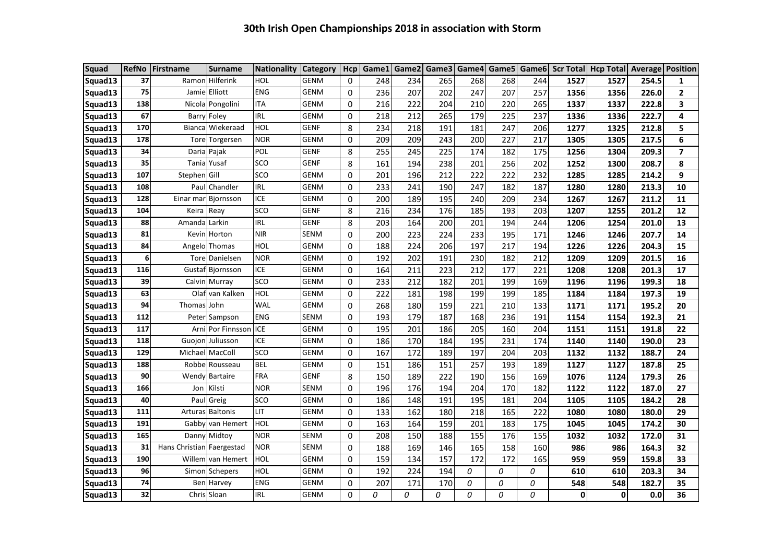| <b>Squad</b> | <b>RefNo</b> | Firstname                 | <b>Surname</b>        | <b>Nationality</b> | <b>Category</b> | <b>Hcp</b> | Game1 |     | Game2   Game3   Game4   Game5 |     |     |     | Game6 Scr Total | <b>Hcp Total Average Position</b> |       |                |
|--------------|--------------|---------------------------|-----------------------|--------------------|-----------------|------------|-------|-----|-------------------------------|-----|-----|-----|-----------------|-----------------------------------|-------|----------------|
| Squad13      | 37           |                           | Ramon Hilferink       | HOL                | <b>GENM</b>     | 0          | 248   | 234 | 265                           | 268 | 268 | 244 | 1527            | 1527                              | 254.5 | 1              |
| Squad13      | 75           |                           | Jamie Elliott         | <b>ENG</b>         | <b>GENM</b>     | 0          | 236   | 207 | 202                           | 247 | 207 | 257 | 1356            | 1356                              | 226.0 | $\mathbf{2}$   |
| Squad13      | 138          |                           | Nicola Pongolini      | <b>ITA</b>         | <b>GENM</b>     | 0          | 216   | 222 | 204                           | 210 | 220 | 265 | 1337            | 1337                              | 222.8 | 3              |
| Squad13      | 67           |                           | <b>Barry Foley</b>    | <b>IRL</b>         | <b>GENM</b>     | 0          | 218   | 212 | 265                           | 179 | 225 | 237 | 1336            | 1336                              | 222.7 | 4              |
| Squad13      | 170          | <b>Bianca</b>             | Wiekeraad             | <b>HOL</b>         | <b>GENF</b>     | 8          | 234   | 218 | 191                           | 181 | 247 | 206 | 1277            | 1325                              | 212.8 | 5              |
| Squad13      | 178          | Tore                      | Torgersen             | <b>NOR</b>         | <b>GENM</b>     | 0          | 209   | 209 | 243                           | 200 | 227 | 217 | 1305            | 1305                              | 217.5 | 6              |
| Squad13      | 34           |                           | Daria Pajak           | POL                | <b>GENF</b>     | 8          | 255   | 245 | 225                           | 174 | 182 | 175 | 1256            | 1304                              | 209.3 | $\overline{ }$ |
| Squad13      | 35           | Tania                     | Yusaf                 | SCO                | <b>GENF</b>     | 8          | 161   | 194 | 238                           | 201 | 256 | 202 | 1252            | 1300                              | 208.7 | 8              |
| Squad13      | 107          | Stephen Gill              |                       | SCO                | <b>GENM</b>     | 0          | 201   | 196 | 212                           | 222 | 222 | 232 | 1285            | 1285                              | 214.2 | 9              |
| Squad13      | 108          |                           | Paul Chandler         | <b>IRL</b>         | <b>GENM</b>     | 0          | 233   | 241 | 190                           | 247 | 182 | 187 | 1280            | 1280                              | 213.3 | 10             |
| Squad13      | 128          |                           | Einar mar Bjornsson   | ICE                | <b>GENM</b>     | 0          | 200   | 189 | 195                           | 240 | 209 | 234 | 1267            | 1267                              | 211.2 | 11             |
| Squad13      | 104          | Keira                     | Reay                  | <b>SCO</b>         | <b>GENF</b>     | 8          | 216   | 234 | 176                           | 185 | 193 | 203 | 1207            | 1255                              | 201.2 | 12             |
| Squad13      | 88           | Amanda Larkin             |                       | <b>IRL</b>         | <b>GENF</b>     | 8          | 203   | 164 | 200                           | 201 | 194 | 244 | 1206            | 1254                              | 201.0 | 13             |
| Squad13      | 81           |                           | Kevin Horton          | <b>NIR</b>         | <b>SENM</b>     | 0          | 200   | 223 | 224                           | 233 | 195 | 171 | 1246            | 1246                              | 207.7 | 14             |
| Squad13      | 84           |                           | Angelo Thomas         | HOL                | <b>GENM</b>     | 0          | 188   | 224 | 206                           | 197 | 217 | 194 | 1226            | 1226                              | 204.3 | 15             |
| Squad13      | 6            |                           | Tore Danielsen        | <b>NOR</b>         | <b>GENM</b>     | 0          | 192   | 202 | 191                           | 230 | 182 | 212 | 1209            | 1209                              | 201.5 | 16             |
| Squad13      | 116          |                           | Gustaf Bjornsson      | <b>ICE</b>         | <b>GENM</b>     | 0          | 164   | 211 | 223                           | 212 | 177 | 221 | 1208            | 1208                              | 201.3 | 17             |
| Squad13      | 39           |                           | Calvin Murray         | <b>SCO</b>         | <b>GENM</b>     | 0          | 233   | 212 | 182                           | 201 | 199 | 169 | 1196            | 1196                              | 199.3 | 18             |
| Squad13      | 63           |                           | Olaf van Kalken       | HOL                | <b>GENM</b>     | 0          | 222   | 181 | 198                           | 199 | 199 | 185 | 1184            | 1184                              | 197.3 | 19             |
| Squad13      | 94           | Thomas                    | John                  | WAL                | <b>GENM</b>     | 0          | 268   | 180 | 159                           | 221 | 210 | 133 | 1171            | 1171                              | 195.2 | 20             |
| Squad13      | 112          |                           | Peter Sampson         | <b>ENG</b>         | <b>SENM</b>     | 0          | 193   | 179 | 187                           | 168 | 236 | 191 | 1154            | 1154                              | 192.3 | 21             |
| Squad13      | 117          |                           | Arni Por Finnssor     | <b>ICE</b>         | <b>GENM</b>     | 0          | 195   | 201 | 186                           | 205 | 160 | 204 | 1151            | 1151                              | 191.8 | 22             |
| Squad13      | 118          |                           | Guojon Juliusson      | ICE                | <b>GENM</b>     | 0          | 186   | 170 | 184                           | 195 | 231 | 174 | 1140            | 1140                              | 190.0 | 23             |
| Squad13      | 129          |                           | Michael MacColl       | SCO                | <b>GENM</b>     | 0          | 167   | 172 | 189                           | 197 | 204 | 203 | 1132            | 1132                              | 188.7 | 24             |
| Squad13      | 188          |                           | Robbe Rousseau        | <b>BEL</b>         | <b>GENM</b>     | 0          | 151   | 186 | 151                           | 257 | 193 | 189 | 1127            | 1127                              | 187.8 | 25             |
| Squad13      | 90           |                           | <b>Wendy Bartaire</b> | <b>FRA</b>         | <b>GENF</b>     | 8          | 150   | 189 | 222                           | 190 | 156 | 169 | 1076            | 1124                              | 179.3 | 26             |
| Squad13      | 166          | Jon                       | Kilsti                | <b>NOR</b>         | <b>SENM</b>     | 0          | 196   | 176 | 194                           | 204 | 170 | 182 | 1122            | 1122                              | 187.0 | 27             |
| Squad13      | 40           |                           | Paul Greig            | SCO                | <b>GENM</b>     | 0          | 186   | 148 | 191                           | 195 | 181 | 204 | 1105            | 1105                              | 184.2 | 28             |
| Squad13      | 111          |                           | Arturas Baltonis      | LIT                | GENM            | 0          | 133   | 162 | 180                           | 218 | 165 | 222 | 1080            | 1080                              | 180.0 | 29             |
| Squad13      | 191          |                           | Gabby van Hemert      | HOL                | <b>GENM</b>     | 0          | 163   | 164 | 159                           | 201 | 183 | 175 | 1045            | 1045                              | 174.2 | 30             |
| Squad13      | 165          |                           | Danny Midtoy          | <b>NOR</b>         | <b>SENM</b>     | 0          | 208   | 150 | 188                           | 155 | 176 | 155 | 1032            | 1032                              | 172.0 | 31             |
| Squad13      | 31           | Hans Christian Faergestad |                       | <b>NOR</b>         | <b>SENM</b>     | 0          | 188   | 169 | 146                           | 165 | 158 | 160 | 986             | 986                               | 164.3 | 32             |
| Squad13      | 190          |                           | Willem van Hemert     | HOL                | <b>GENM</b>     | 0          | 159   | 134 | 157                           | 172 | 172 | 165 | 959             | 959                               | 159.8 | 33             |
| Squad13      | 96           |                           | Simon Schepers        | HOL                | <b>GENM</b>     | 0          | 192   | 224 | 194                           | 0   | 0   | 0   | 610             | 610                               | 203.3 | 34             |
| Squad13      | 74           |                           | Ben Harvey            | <b>ENG</b>         | <b>GENM</b>     | 0          | 207   | 171 | 170                           | 0   | 0   | 0   | 548             | 548                               | 182.7 | 35             |
| Squad13      | 32           |                           | Chris Sloan           | <b>IRL</b>         | GENM            | 0          | 0     | 0   | 0                             | 0   | 0   | 0   | 0               | 0                                 | 0.0   | 36             |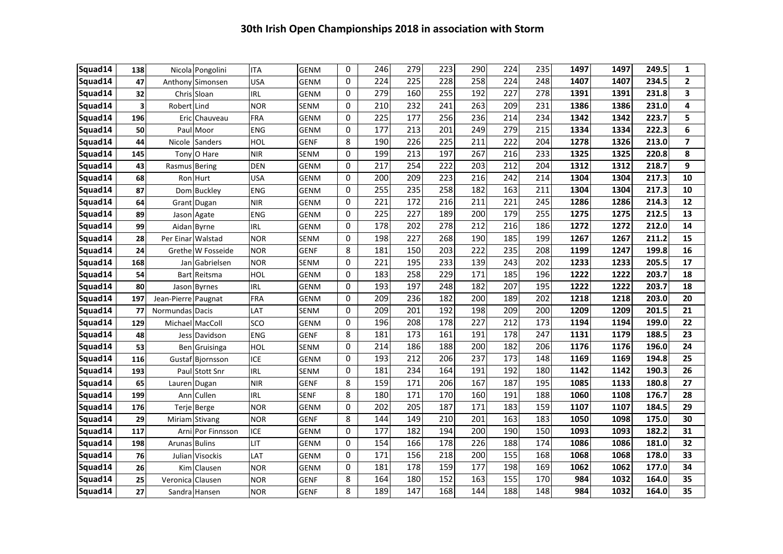| Squad14 | 138 |                     | Nicola Pongolini  | <b>ITA</b> | <b>GENM</b> | 0 | 246 | 279              | 223              | 290 | 224 | 235 | 1497 | 1497 | 249.5 | $\mathbf{1}$   |
|---------|-----|---------------------|-------------------|------------|-------------|---|-----|------------------|------------------|-----|-----|-----|------|------|-------|----------------|
| Squad14 | 47  |                     | Anthony Simonsen  | <b>USA</b> | GENM        | 0 | 224 | 225              | 228              | 258 | 224 | 248 | 1407 | 1407 | 234.5 | $\mathbf{2}$   |
| Squad14 | 32  |                     | Chris Sloan       | <b>IRL</b> | <b>GENM</b> | 0 | 279 | 160              | 255              | 192 | 227 | 278 | 1391 | 1391 | 231.8 | 3              |
| Squad14 | 3   | Robert              | Lind              | <b>NOR</b> | SENM        | 0 | 210 | 232              | 241              | 263 | 209 | 231 | 1386 | 1386 | 231.0 | 4              |
| Squad14 | 196 | Eric                | Chauveau          | <b>FRA</b> | <b>GENM</b> | 0 | 225 | 177              | 256              | 236 | 214 | 234 | 1342 | 1342 | 223.7 | 5              |
| Squad14 | 50  | Paul                | Moor              | <b>ENG</b> | <b>GENM</b> | 0 | 177 | 213              | 201              | 249 | 279 | 215 | 1334 | 1334 | 222.3 | 6              |
| Squad14 | 44  | Nicole              | Sanders           | <b>HOL</b> | GENF        | 8 | 190 | $\overline{226}$ | 225              | 211 | 222 | 204 | 1278 | 1326 | 213.0 | $\overline{7}$ |
| Squad14 | 145 |                     | Tony O Hare       | <b>NIR</b> | SENM        | 0 | 199 | 213              | 197              | 267 | 216 | 233 | 1325 | 1325 | 220.8 | 8              |
| Squad14 | 43  | Rasmus Bering       |                   | <b>DEN</b> | <b>GENM</b> | 0 | 217 | 254              | $\overline{222}$ | 203 | 212 | 204 | 1312 | 1312 | 218.7 | 9              |
| Squad14 | 68  |                     | Ron Hurt          | <b>USA</b> | <b>GENM</b> | 0 | 200 | 209              | 223              | 216 | 242 | 214 | 1304 | 1304 | 217.3 | 10             |
| Squad14 | 87  |                     | Dom Buckley       | <b>ENG</b> | <b>GENM</b> | 0 | 255 | 235              | 258              | 182 | 163 | 211 | 1304 | 1304 | 217.3 | 10             |
| Squad14 | 64  |                     | Grant Dugan       | <b>NIR</b> | <b>GENM</b> | 0 | 221 | 172              | 216              | 211 | 221 | 245 | 1286 | 1286 | 214.3 | 12             |
| Squad14 | 89  | Jason               | Agate             | <b>ENG</b> | <b>GENM</b> | 0 | 225 | 227              | 189              | 200 | 179 | 255 | 1275 | 1275 | 212.5 | 13             |
| Squad14 | 99  | Aidan Byrne         |                   | <b>IRL</b> | GENM        | 0 | 178 | 202              | 278              | 212 | 216 | 186 | 1272 | 1272 | 212.0 | 14             |
| Squad14 | 28  | Per Einar           | Walstad           | <b>NOR</b> | SENM        | 0 | 198 | 227              | 268              | 190 | 185 | 199 | 1267 | 1267 | 211.2 | 15             |
| Squad14 | 24  |                     | Grethe W Fosseide | <b>NOR</b> | <b>GENF</b> | 8 | 181 | 150              | 203              | 222 | 235 | 208 | 1199 | 1247 | 199.8 | 16             |
| Squad14 | 168 | Jan                 | Gabrielsen        | <b>NOR</b> | SENM        | 0 | 221 | 195              | 233              | 139 | 243 | 202 | 1233 | 1233 | 205.5 | 17             |
| Squad14 | 54  | <b>Bart</b>         | Reitsma           | <b>HOL</b> | GENM        | 0 | 183 | 258              | 229              | 171 | 185 | 196 | 1222 | 1222 | 203.7 | 18             |
| Squad14 | 80  | Jason               | <b>Byrnes</b>     | <b>IRL</b> | GENM        | 0 | 193 | 197              | 248              | 182 | 207 | 195 | 1222 | 1222 | 203.7 | 18             |
| Squad14 | 197 | Jean-Pierre Paugnat |                   | <b>FRA</b> | GENM        | 0 | 209 | 236              | 182              | 200 | 189 | 202 | 1218 | 1218 | 203.0 | 20             |
| Squad14 | 77  | Normundas Dacis     |                   | LAT        | SENM        | 0 | 209 | 201              | 192              | 198 | 209 | 200 | 1209 | 1209 | 201.5 | 21             |
| Squad14 | 129 | Michael             | MacColl           | SCO        | <b>GENM</b> | 0 | 196 | 208              | 178              | 227 | 212 | 173 | 1194 | 1194 | 199.0 | 22             |
| Squad14 | 48  |                     | Jess Davidson     | <b>ENG</b> | <b>GENF</b> | 8 | 181 | 173              | 161              | 191 | 178 | 247 | 1131 | 1179 | 188.5 | 23             |
| Squad14 | 53  |                     | Ben Gruisinga     | <b>HOL</b> | <b>SENM</b> | 0 | 214 | 186              | 188              | 200 | 182 | 206 | 1176 | 1176 | 196.0 | 24             |
| Squad14 | 116 |                     | Gustaf Bjornsson  | <b>ICE</b> | <b>GENM</b> | 0 | 193 | 212              | 206              | 237 | 173 | 148 | 1169 | 1169 | 194.8 | 25             |
| Squad14 | 193 |                     | Paul Stott Snr    | <b>IRL</b> | <b>SENM</b> | 0 | 181 | 234              | 164              | 191 | 192 | 180 | 1142 | 1142 | 190.3 | 26             |
| Squad14 | 65  | Lauren              | Dugan             | <b>NIR</b> | <b>GENF</b> | 8 | 159 | 171              | 206              | 167 | 187 | 195 | 1085 | 1133 | 180.8 | 27             |
| Squad14 | 199 | Ann                 | Cullen            | <b>IRL</b> | <b>SENF</b> | 8 | 180 | 171              | 170              | 160 | 191 | 188 | 1060 | 1108 | 176.7 | 28             |
| Squad14 | 176 |                     | Terje Berge       | <b>NOR</b> | <b>GENM</b> | 0 | 202 | 205              | 187              | 171 | 183 | 159 | 1107 | 1107 | 184.5 | 29             |
| Squad14 | 29  |                     | Miriam Stivang    | <b>NOR</b> | GENF        | 8 | 144 | 149              | 210              | 201 | 163 | 183 | 1050 | 1098 | 175.0 | 30             |
| Squad14 | 117 |                     | Arni Por Finnsson | <b>ICE</b> | GENM        | 0 | 177 | 182              | 194              | 200 | 190 | 150 | 1093 | 1093 | 182.2 | 31             |
| Squad14 | 198 | Arunas Bulins       |                   | LIT        | <b>GENM</b> | 0 | 154 | 166              | 178              | 226 | 188 | 174 | 1086 | 1086 | 181.0 | 32             |
| Squad14 | 76  |                     | Julian Visockis   | LAT        | <b>GENM</b> | 0 | 171 | 156              | 218              | 200 | 155 | 168 | 1068 | 1068 | 178.0 | 33             |
| Squad14 | 26  | <b>Kim</b>          | Clausen           | <b>NOR</b> | <b>GENM</b> | 0 | 181 | 178              | 159              | 177 | 198 | 169 | 1062 | 1062 | 177.0 | 34             |
| Squad14 | 25  | Veronica            | Clausen           | <b>NOR</b> | <b>GENF</b> | 8 | 164 | 180              | 152              | 163 | 155 | 170 | 984  | 1032 | 164.0 | 35             |
| Squad14 | 27  |                     | Sandra Hansen     | <b>NOR</b> | <b>GENF</b> | 8 | 189 | 147              | 168              | 144 | 188 | 148 | 984  | 1032 | 164.0 | 35             |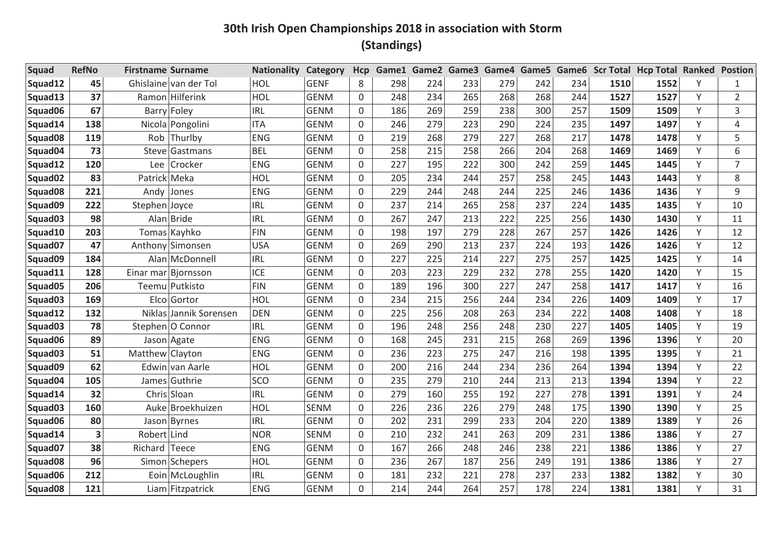| <b>Squad</b>        | <b>RefNo</b> | <b>Firstname Surname</b> |                        | <b>Nationality</b> | Category    | Hcp         | Game1 | Game2 Game3 |     |     |     |     |      | Game4 Game5 Game6 Scr Total Hcp Total Ranked Postion |   |                |
|---------------------|--------------|--------------------------|------------------------|--------------------|-------------|-------------|-------|-------------|-----|-----|-----|-----|------|------------------------------------------------------|---|----------------|
| Squad12             | 45           |                          | Ghislaine van der Tol  | HOL                | <b>GENF</b> | 8           | 298   | 224         | 233 | 279 | 242 | 234 | 1510 | 1552                                                 |   | 1              |
| Squad13             | 37           |                          | Ramon Hilferink        | HOL                | <b>GENM</b> | 0           | 248   | 234         | 265 | 268 | 268 | 244 | 1527 | 1527                                                 | Y | $\overline{2}$ |
| Squad06             | 67           |                          | <b>Barry Foley</b>     | <b>IRL</b>         | <b>GENM</b> | 0           | 186   | 269         | 259 | 238 | 300 | 257 | 1509 | 1509                                                 | Y | 3              |
| Squad14             | 138          |                          | Nicola Pongolini       | <b>ITA</b>         | <b>GENM</b> | 0           | 246   | 279         | 223 | 290 | 224 | 235 | 1497 | 1497                                                 | Υ | 4              |
| Squad <sub>08</sub> | 119          |                          | Rob Thurlby            | <b>ENG</b>         | <b>GENM</b> | 0           | 219   | 268         | 279 | 227 | 268 | 217 | 1478 | 1478                                                 | Y | 5              |
| Squad04             | 73           | Steve                    | Gastmans               | <b>BEL</b>         | <b>GENM</b> | 0           | 258   | 215         | 258 | 266 | 204 | 268 | 1469 | 1469                                                 | Y | 6              |
| Squad12             | 120          | Lee                      | Crocker                | <b>ENG</b>         | <b>GENM</b> | 0           | 227   | 195         | 222 | 300 | 242 | 259 | 1445 | 1445                                                 | Y | $\overline{7}$ |
| Squad <sub>02</sub> | 83           | Patrick Meka             |                        | HOL                | <b>GENM</b> | 0           | 205   | 234         | 244 | 257 | 258 | 245 | 1443 | 1443                                                 | Y | 8              |
| Squad <sub>08</sub> | 221          |                          | Andy Jones             | <b>ENG</b>         | <b>GENM</b> | 0           | 229   | 244         | 248 | 244 | 225 | 246 | 1436 | 1436                                                 | Y | 9              |
| Squad09             | 222          | Stephen Joyce            |                        | <b>IRL</b>         | <b>GENM</b> | 0           | 237   | 214         | 265 | 258 | 237 | 224 | 1435 | 1435                                                 | Y | 10             |
| Squad <sub>03</sub> | 98           |                          | Alan Bride             | <b>IRL</b>         | <b>GENM</b> | $\mathbf 0$ | 267   | 247         | 213 | 222 | 225 | 256 | 1430 | 1430                                                 | Y | 11             |
| Squad10             | 203          |                          | Tomas Kayhko           | <b>FIN</b>         | <b>GENM</b> | 0           | 198   | 197         | 279 | 228 | 267 | 257 | 1426 | 1426                                                 | Y | 12             |
| Squad07             | 47           |                          | Anthony Simonsen       | <b>USA</b>         | <b>GENM</b> | 0           | 269   | 290         | 213 | 237 | 224 | 193 | 1426 | 1426                                                 | Υ | 12             |
| Squad09             | 184          |                          | Alan McDonnell         | <b>IRL</b>         | <b>GENM</b> | 0           | 227   | 225         | 214 | 227 | 275 | 257 | 1425 | 1425                                                 | Y | 14             |
| Squad11             | 128          |                          | Einar mar Bjornsson    | <b>ICE</b>         | <b>GENM</b> | 0           | 203   | 223         | 229 | 232 | 278 | 255 | 1420 | 1420                                                 | Y | 15             |
| Squad05             | 206          |                          | Teemu Putkisto         | <b>FIN</b>         | <b>GENM</b> | 0           | 189   | 196         | 300 | 227 | 247 | 258 | 1417 | 1417                                                 | Υ | 16             |
| Squad <sub>03</sub> | 169          |                          | Elco Gortor            | HOL                | <b>GENM</b> | 0           | 234   | 215         | 256 | 244 | 234 | 226 | 1409 | 1409                                                 | Y | 17             |
| Squad12             | 132          |                          | Niklas Jannik Sorensen | <b>DEN</b>         | <b>GENM</b> | 0           | 225   | 256         | 208 | 263 | 234 | 222 | 1408 | 1408                                                 | Y | 18             |
| Squad <sub>03</sub> | 78           |                          | Stephen O Connor       | <b>IRL</b>         | <b>GENM</b> | 0           | 196   | 248         | 256 | 248 | 230 | 227 | 1405 | 1405                                                 | Υ | 19             |
| Squad06             | 89           |                          | Jason Agate            | <b>ENG</b>         | <b>GENM</b> | $\Omega$    | 168   | 245         | 231 | 215 | 268 | 269 | 1396 | 1396                                                 | Y | 20             |
| Squad <sub>03</sub> | 51           | Matthew Clayton          |                        | <b>ENG</b>         | <b>GENM</b> | 0           | 236   | 223         | 275 | 247 | 216 | 198 | 1395 | 1395                                                 | Y | 21             |
| Squad09             | 62           |                          | Edwin van Aarle        | HOL                | <b>GENM</b> | $\Omega$    | 200   | 216         | 244 | 234 | 236 | 264 | 1394 | 1394                                                 | Y | 22             |
| Squad04             | 105          |                          | James Guthrie          | SCO                | <b>GENM</b> | $\mathbf 0$ | 235   | 279         | 210 | 244 | 213 | 213 | 1394 | 1394                                                 | Y | 22             |
| Squad14             | 32           |                          | Chris Sloan            | <b>IRL</b>         | <b>GENM</b> | $\Omega$    | 279   | 160         | 255 | 192 | 227 | 278 | 1391 | 1391                                                 | Y | 24             |
| Squad <sub>03</sub> | 160          |                          | Auke Broekhuizen       | HOL                | <b>SENM</b> | 0           | 226   | 236         | 226 | 279 | 248 | 175 | 1390 | 1390                                                 | Y | 25             |
| Squad06             | 80           |                          | Jason Byrnes           | <b>IRL</b>         | <b>GENM</b> | $\Omega$    | 202   | 231         | 299 | 233 | 204 | 220 | 1389 | 1389                                                 | Y | 26             |
| Squad14             | 3            | Robert Lind              |                        | <b>NOR</b>         | <b>SENM</b> | 0           | 210   | 232         | 241 | 263 | 209 | 231 | 1386 | 1386                                                 | Y | 27             |
| Squad07             | 38           | Richard Teece            |                        | <b>ENG</b>         | <b>GENM</b> | $\Omega$    | 167   | 266         | 248 | 246 | 238 | 221 | 1386 | 1386                                                 | Y | 27             |
| Squad <sub>08</sub> | 96           |                          | Simon Schepers         | HOL                | <b>GENM</b> | 0           | 236   | 267         | 187 | 256 | 249 | 191 | 1386 | 1386                                                 | Y | 27             |
| Squad06             | 212          |                          | Eoin McLoughlin        | <b>IRL</b>         | <b>GENM</b> | $\Omega$    | 181   | 232         | 221 | 278 | 237 | 233 | 1382 | 1382                                                 | Y | 30             |
| Squad08             | 121          |                          | Liam Fitzpatrick       | <b>ENG</b>         | <b>GENM</b> | $\Omega$    | 214   | 244         | 264 | 257 | 178 | 224 | 1381 | 1381                                                 | Y | 31             |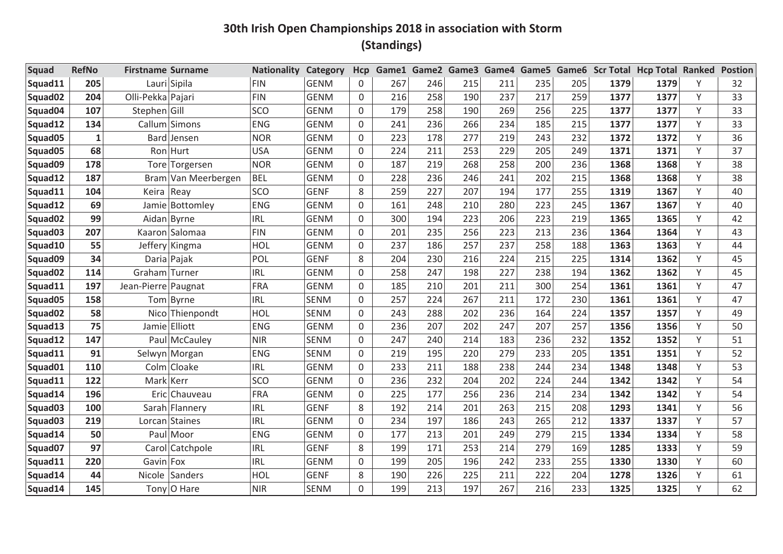| Squad               | <b>RefNo</b> | <b>Firstname Surname</b> |                     | <b>Nationality</b> | <b>Category</b> | <b>Hcp</b> | Game1 |     |     | Game2 Game3 Game4 Game5 |     |     |      | Game6 Scr Total Hcp Total Ranked |   | <b>Postion</b> |
|---------------------|--------------|--------------------------|---------------------|--------------------|-----------------|------------|-------|-----|-----|-------------------------|-----|-----|------|----------------------------------|---|----------------|
| Squad11             | 205          |                          | Lauri Sipila        | <b>FIN</b>         | <b>GENM</b>     | 0          | 267   | 246 | 215 | 211                     | 235 | 205 | 1379 | 1379                             | Υ | 32             |
| Squad02             | 204          | Olli-Pekka Pajari        |                     | <b>FIN</b>         | <b>GENM</b>     | 0          | 216   | 258 | 190 | 237                     | 217 | 259 | 1377 | 1377                             | Y | 33             |
| Squad04             | 107          | Stephen Gill             |                     | SCO                | <b>GENM</b>     | 0          | 179   | 258 | 190 | 269                     | 256 | 225 | 1377 | 1377                             | Y | 33             |
| Squad12             | 134          |                          | Callum Simons       | <b>ENG</b>         | <b>GENM</b>     | 0          | 241   | 236 | 266 | 234                     | 185 | 215 | 1377 | 1377                             | Υ | 33             |
| Squad05             | $\mathbf{1}$ |                          | Bard Jensen         | <b>NOR</b>         | <b>GENM</b>     | 0          | 223   | 178 | 277 | 219                     | 243 | 232 | 1372 | 1372                             | Y | 36             |
| Squad05             | 68           |                          | Ron Hurt            | <b>USA</b>         | <b>GENM</b>     | 0          | 224   | 211 | 253 | 229                     | 205 | 249 | 1371 | 1371                             | Υ | 37             |
| Squad09             | 178          |                          | Tore Torgersen      | <b>NOR</b>         | <b>GENM</b>     | 0          | 187   | 219 | 268 | 258                     | 200 | 236 | 1368 | 1368                             | Y | 38             |
| Squad12             | 187          |                          | Bram Van Meerbergen | <b>BEL</b>         | <b>GENM</b>     | 0          | 228   | 236 | 246 | 241                     | 202 | 215 | 1368 | 1368                             | Υ | 38             |
| Squad11             | 104          | Keira                    | Reay                | SCO                | <b>GENF</b>     | 8          | 259   | 227 | 207 | 194                     | 177 | 255 | 1319 | 1367                             | Y | 40             |
| Squad12             | 69           |                          | Jamie Bottomley     | <b>ENG</b>         | <b>GENM</b>     | 0          | 161   | 248 | 210 | 280                     | 223 | 245 | 1367 | 1367                             | Υ | 40             |
| Squad02             | 99           |                          | Aidan Byrne         | <b>IRL</b>         | <b>GENM</b>     | 0          | 300   | 194 | 223 | 206                     | 223 | 219 | 1365 | 1365                             | Y | 42             |
| Squad03             | 207          |                          | Kaaron Salomaa      | <b>FIN</b>         | <b>GENM</b>     | 0          | 201   | 235 | 256 | 223                     | 213 | 236 | 1364 | 1364                             | Y | 43             |
| Squad10             | 55           |                          | Jeffery Kingma      | HOL                | <b>GENM</b>     | 0          | 237   | 186 | 257 | 237                     | 258 | 188 | 1363 | 1363                             | Υ | 44             |
| Squad09             | 34           |                          | Daria Pajak         | POL                | <b>GENF</b>     | 8          | 204   | 230 | 216 | 224                     | 215 | 225 | 1314 | 1362                             | Υ | 45             |
| Squad <sub>02</sub> | 114          | Graham Turner            |                     | <b>IRL</b>         | <b>GENM</b>     | 0          | 258   | 247 | 198 | 227                     | 238 | 194 | 1362 | 1362                             | Y | 45             |
| Squad11             | 197          | Jean-Pierre Paugnat      |                     | <b>FRA</b>         | <b>GENM</b>     | 0          | 185   | 210 | 201 | 211                     | 300 | 254 | 1361 | 1361                             | Υ | 47             |
| Squad05             | 158          |                          | Tom Byrne           | <b>IRL</b>         | <b>SENM</b>     | 0          | 257   | 224 | 267 | 211                     | 172 | 230 | 1361 | 1361                             | Y | 47             |
| Squad02             | 58           |                          | Nico Thienpondt     | HOL                | <b>SENM</b>     | 0          | 243   | 288 | 202 | 236                     | 164 | 224 | 1357 | 1357                             | Υ | 49             |
| Squad13             | 75           | Jamie                    | Elliott             | <b>ENG</b>         | <b>GENM</b>     | 0          | 236   | 207 | 202 | 247                     | 207 | 257 | 1356 | 1356                             | Υ | 50             |
| Squad12             | 147          | Paul                     | McCauley            | <b>NIR</b>         | <b>SENM</b>     | $\Omega$   | 247   | 240 | 214 | 183                     | 236 | 232 | 1352 | 1352                             | Υ | 51             |
| Squad11             | 91           |                          | Selwyn Morgan       | <b>ENG</b>         | <b>SENM</b>     | 0          | 219   | 195 | 220 | 279                     | 233 | 205 | 1351 | 1351                             | Υ | 52             |
| Squad01             | 110          |                          | Colm Cloake         | <b>IRL</b>         | <b>GENM</b>     | 0          | 233   | 211 | 188 | 238                     | 244 | 234 | 1348 | 1348                             | Υ | 53             |
| Squad11             | 122          | <b>Mark</b>              | Kerr                | SCO                | <b>GENM</b>     | 0          | 236   | 232 | 204 | 202                     | 224 | 244 | 1342 | 1342                             | Y | 54             |
| Squad14             | 196          | Eric                     | Chauveau            | <b>FRA</b>         | <b>GENM</b>     | 0          | 225   | 177 | 256 | 236                     | 214 | 234 | 1342 | 1342                             | Υ | 54             |
| Squad03             | 100          |                          | Sarah Flannery      | <b>IRL</b>         | <b>GENF</b>     | 8          | 192   | 214 | 201 | 263                     | 215 | 208 | 1293 | 1341                             | Υ | 56             |
| Squad <sub>03</sub> | 219          |                          | Lorcan Staines      | <b>IRL</b>         | <b>GENM</b>     | $\Omega$   | 234   | 197 | 186 | 243                     | 265 | 212 | 1337 | 1337                             | Υ | 57             |
| Squad14             | 50           | Paul                     | Moor                | <b>ENG</b>         | <b>GENM</b>     | 0          | 177   | 213 | 201 | 249                     | 279 | 215 | 1334 | 1334                             | Y | 58             |
| Squad07             | 97           | Carol                    | Catchpole           | <b>IRL</b>         | <b>GENF</b>     | 8          | 199   | 171 | 253 | 214                     | 279 | 169 | 1285 | 1333                             | Υ | 59             |
| Squad11             | 220          | Gavin Fox                |                     | <b>IRL</b>         | <b>GENM</b>     | 0          | 199   | 205 | 196 | 242                     | 233 | 255 | 1330 | 1330                             | Y | 60             |
| Squad14             | 44           | Nicole                   | Sanders             | HOL                | <b>GENF</b>     | 8          | 190   | 226 | 225 | 211                     | 222 | 204 | 1278 | 1326                             | Υ | 61             |
| Squad14             | 145          |                          | Tony O Hare         | <b>NIR</b>         | <b>SENM</b>     | $\Omega$   | 199   | 213 | 197 | 267                     | 216 | 233 | 1325 | 1325                             | Y | 62             |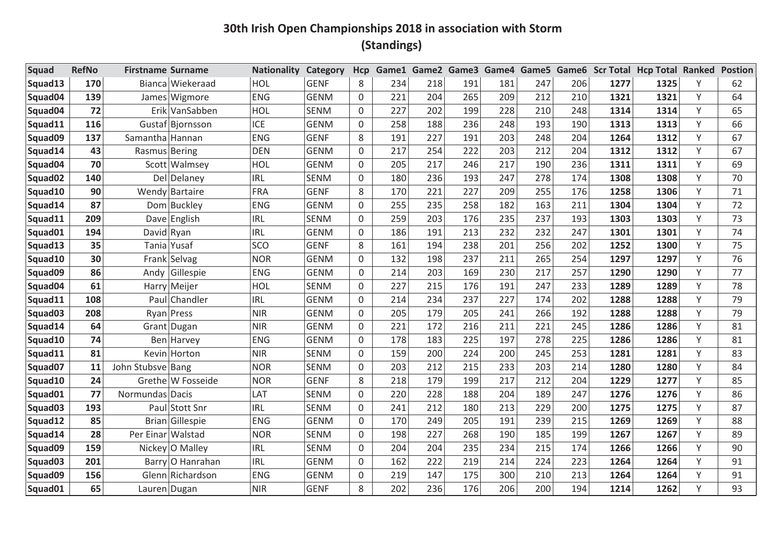| <b>Squad</b>        | <b>RefNo</b> | <b>Firstname Surname</b> |                       | <b>Nationality</b> | <b>Category</b> | <b>Hcp</b>  |     |     |     | Game1 Game2 Game3 Game4 Game5 |     |     |      | Game6 Scr Total Hcp Total Ranked |   | <b>Postion</b> |
|---------------------|--------------|--------------------------|-----------------------|--------------------|-----------------|-------------|-----|-----|-----|-------------------------------|-----|-----|------|----------------------------------|---|----------------|
| Squad13             | 170          |                          | Bianca Wiekeraad      | HOL                | <b>GENF</b>     | 8           | 234 | 218 | 191 | 181                           | 247 | 206 | 1277 | 1325                             | Y | 62             |
| Squad04             | 139          |                          | James Wigmore         | <b>ENG</b>         | <b>GENM</b>     | 0           | 221 | 204 | 265 | 209                           | 212 | 210 | 1321 | 1321                             | Υ | 64             |
| Squad04             | 72           |                          | Erik VanSabben        | HOL                | <b>SENM</b>     | 0           | 227 | 202 | 199 | 228                           | 210 | 248 | 1314 | 1314                             | Y | 65             |
| Squad11             | 116          |                          | Gustaf Bjornsson      | ICE                | <b>GENM</b>     | 0           | 258 | 188 | 236 | 248                           | 193 | 190 | 1313 | 1313                             | Υ | 66             |
| Squad09             | 137          | Samantha Hannan          |                       | <b>ENG</b>         | <b>GENF</b>     | 8           | 191 | 227 | 191 | 203                           | 248 | 204 | 1264 | 1312                             | Y | 67             |
| Squad14             | 43           | Rasmus Bering            |                       | <b>DEN</b>         | <b>GENM</b>     | 0           | 217 | 254 | 222 | 203                           | 212 | 204 | 1312 | 1312                             | Υ | 67             |
| Squad04             | 70           |                          | Scott Walmsey         | HOL                | <b>GENM</b>     | 0           | 205 | 217 | 246 | 217                           | 190 | 236 | 1311 | 1311                             | Y | 69             |
| Squad <sub>02</sub> | 140          |                          | Del Delaney           | <b>IRL</b>         | <b>SENM</b>     | 0           | 180 | 236 | 193 | 247                           | 278 | 174 | 1308 | 1308                             | Υ | 70             |
| Squad10             | 90           |                          | <b>Wendy Bartaire</b> | <b>FRA</b>         | <b>GENF</b>     | 8           | 170 | 221 | 227 | 209                           | 255 | 176 | 1258 | 1306                             | Y | 71             |
| Squad14             | 87           |                          | Dom Buckley           | <b>ENG</b>         | <b>GENM</b>     | 0           | 255 | 235 | 258 | 182                           | 163 | 211 | 1304 | 1304                             | Υ | 72             |
| Squad11             | 209          |                          | Dave English          | <b>IRL</b>         | <b>SENM</b>     | $\mathbf 0$ | 259 | 203 | 176 | 235                           | 237 | 193 | 1303 | 1303                             | Y | 73             |
| Squad01             | 194          | David Ryan               |                       | <b>IRL</b>         | <b>GENM</b>     | 0           | 186 | 191 | 213 | 232                           | 232 | 247 | 1301 | 1301                             | Υ | 74             |
| Squad13             | 35           |                          | Tania Yusaf           | SCO                | <b>GENF</b>     | 8           | 161 | 194 | 238 | 201                           | 256 | 202 | 1252 | 1300                             | Υ | 75             |
| Squad10             | 30           |                          | Frank Selvag          | <b>NOR</b>         | <b>GENM</b>     | 0           | 132 | 198 | 237 | 211                           | 265 | 254 | 1297 | 1297                             | Y | 76             |
| Squad09             | 86           | Andy                     | Gillespie             | <b>ENG</b>         | <b>GENM</b>     | 0           | 214 | 203 | 169 | 230                           | 217 | 257 | 1290 | 1290                             | Υ | 77             |
| Squad04             | 61           |                          | Harry Meijer          | HOL                | <b>SENM</b>     | 0           | 227 | 215 | 176 | 191                           | 247 | 233 | 1289 | 1289                             | Υ | 78             |
| Squad11             | 108          |                          | Paul Chandler         | <b>IRL</b>         | <b>GENM</b>     | 0           | 214 | 234 | 237 | 227                           | 174 | 202 | 1288 | 1288                             | Y | 79             |
| Squad03             | 208          |                          | Ryan Press            | <b>NIR</b>         | <b>GENM</b>     | 0           | 205 | 179 | 205 | 241                           | 266 | 192 | 1288 | 1288                             | Υ | 79             |
| Squad14             | 64           |                          | Grant Dugan           | <b>NIR</b>         | <b>GENM</b>     | 0           | 221 | 172 | 216 | 211                           | 221 | 245 | 1286 | 1286                             | Y | 81             |
| Squad10             | 74           |                          | Ben Harvey            | <b>ENG</b>         | <b>GENM</b>     | $\Omega$    | 178 | 183 | 225 | 197                           | 278 | 225 | 1286 | 1286                             | Υ | 81             |
| Squad11             | 81           |                          | Kevin Horton          | <b>NIR</b>         | <b>SENM</b>     | 0           | 159 | 200 | 224 | 200                           | 245 | 253 | 1281 | 1281                             | Υ | 83             |
| Squad07             | 11           | John Stubsve Bang        |                       | <b>NOR</b>         | <b>SENM</b>     | 0           | 203 | 212 | 215 | 233                           | 203 | 214 | 1280 | 1280                             | Υ | 84             |
| Squad10             | 24           |                          | Grethe W Fosseide     | <b>NOR</b>         | <b>GENF</b>     | 8           | 218 | 179 | 199 | 217                           | 212 | 204 | 1229 | 1277                             | Y | 85             |
| Squad01             | 77           | Normundas Dacis          |                       | LAT                | <b>SENM</b>     | 0           | 220 | 228 | 188 | 204                           | 189 | 247 | 1276 | 1276                             | Υ | 86             |
| Squad <sub>03</sub> | 193          |                          | Paul Stott Snr        | <b>IRL</b>         | <b>SENM</b>     | 0           | 241 | 212 | 180 | 213                           | 229 | 200 | 1275 | 1275                             | Υ | 87             |
| Squad12             | 85           |                          | Brian Gillespie       | <b>ENG</b>         | <b>GENM</b>     | 0           | 170 | 249 | 205 | 191                           | 239 | 215 | 1269 | 1269                             | Υ | 88             |
| Squad14             | 28           | Per Einar Walstad        |                       | <b>NOR</b>         | <b>SENM</b>     | 0           | 198 | 227 | 268 | 190                           | 185 | 199 | 1267 | 1267                             | Y | 89             |
| Squad09             | 159          |                          | Nickey O Malley       | <b>IRL</b>         | <b>SENM</b>     | $\Omega$    | 204 | 204 | 235 | 234                           | 215 | 174 | 1266 | 1266                             | Υ | 90             |
| Squad <sub>03</sub> | 201          |                          | Barry O Hanrahan      | <b>IRL</b>         | <b>GENM</b>     | 0           | 162 | 222 | 219 | 214                           | 224 | 223 | 1264 | 1264                             | Y | 91             |
| Squad09             | 156          |                          | Glenn Richardson      | <b>ENG</b>         | <b>GENM</b>     | 0           | 219 | 147 | 175 | 300                           | 210 | 213 | 1264 | 1264                             | Υ | 91             |
| Squad01             | 65           |                          | Lauren Dugan          | <b>NIR</b>         | <b>GENF</b>     | 8           | 202 | 236 | 176 | 206                           | 200 | 194 | 1214 | 1262                             | Y | 93             |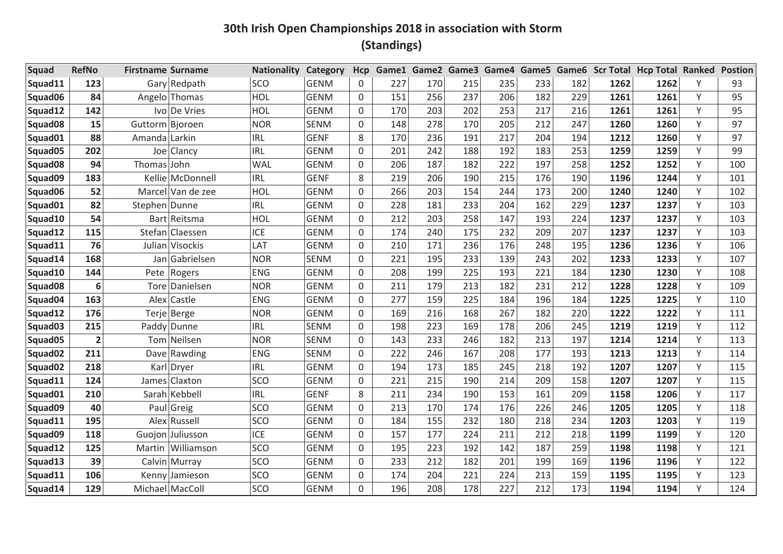| <b>Squad</b>        | <b>RefNo</b>   | <b>Firstname Surname</b> |                   | <b>Nationality</b> | <b>Category</b> | <b>Hcp</b> |     |     |     | Game1 Game2 Game3 Game4 Game5 |     |     |      | Game6 Scr Total Hcp Total Ranked |   | <b>Postion</b> |
|---------------------|----------------|--------------------------|-------------------|--------------------|-----------------|------------|-----|-----|-----|-------------------------------|-----|-----|------|----------------------------------|---|----------------|
| Squad11             | 123            |                          | Gary Redpath      | SCO                | <b>GENM</b>     | 0          | 227 | 170 | 215 | 235                           | 233 | 182 | 1262 | 1262                             | Υ | 93             |
| Squad06             | 84             |                          | Angelo Thomas     | HOL                | <b>GENM</b>     | 0          | 151 | 256 | 237 | 206                           | 182 | 229 | 1261 | 1261                             | Υ | 95             |
| Squad12             | 142            |                          | Ivo De Vries      | HOL                | <b>GENM</b>     | 0          | 170 | 203 | 202 | 253                           | 217 | 216 | 1261 | 1261                             | Y | 95             |
| Squad08             | 15             | Guttorm Bjoroen          |                   | <b>NOR</b>         | <b>SENM</b>     | 0          | 148 | 278 | 170 | 205                           | 212 | 247 | 1260 | 1260                             | Υ | 97             |
| Squad01             | 88             | Amanda Larkin            |                   | <b>IRL</b>         | <b>GENF</b>     | 8          | 170 | 236 | 191 | 217                           | 204 | 194 | 1212 | 1260                             | Y | 97             |
| Squad05             | 202            | Joel                     | Clancy            | <b>IRL</b>         | <b>GENM</b>     | 0          | 201 | 242 | 188 | 192                           | 183 | 253 | 1259 | 1259                             | Υ | 99             |
| Squad <sub>08</sub> | 94             | Thomas John              |                   | <b>WAL</b>         | <b>GENM</b>     | 0          | 206 | 187 | 182 | 222                           | 197 | 258 | 1252 | 1252                             | Y | 100            |
| Squad09             | 183            |                          | Kellie McDonnell  | <b>IRL</b>         | <b>GENF</b>     | 8          | 219 | 206 | 190 | 215                           | 176 | 190 | 1196 | 1244                             | Υ | 101            |
| Squad06             | 52             |                          | Marcel Van de zee | HOL                | <b>GENM</b>     | 0          | 266 | 203 | 154 | 244                           | 173 | 200 | 1240 | 1240                             | Υ | 102            |
| Squad01             | 82             | Stephen Dunne            |                   | <b>IRL</b>         | <b>GENM</b>     | 0          | 228 | 181 | 233 | 204                           | 162 | 229 | 1237 | 1237                             | Y | 103            |
| Squad10             | 54             |                          | Bart Reitsma      | HOL                | <b>GENM</b>     | 0          | 212 | 203 | 258 | 147                           | 193 | 224 | 1237 | 1237                             | Υ | 103            |
| Squad12             | 115            | Stefan                   | Claessen          | ICE                | <b>GENM</b>     | 0          | 174 | 240 | 175 | 232                           | 209 | 207 | 1237 | 1237                             | Υ | 103            |
| Squad11             | 76             |                          | Julian Visockis   | LAT                | <b>GENM</b>     | 0          | 210 | 171 | 236 | 176                           | 248 | 195 | 1236 | 1236                             | Υ | 106            |
| Squad14             | 168            |                          | Jan Gabrielsen    | <b>NOR</b>         | <b>SENM</b>     | 0          | 221 | 195 | 233 | 139                           | 243 | 202 | 1233 | 1233                             | Υ | 107            |
| Squad10             | 144            | Pete                     | Rogers            | <b>ENG</b>         | <b>GENM</b>     | 0          | 208 | 199 | 225 | 193                           | 221 | 184 | 1230 | 1230                             | Υ | 108            |
| Squad <sub>08</sub> | 6              |                          | Tore Danielsen    | <b>NOR</b>         | <b>GENM</b>     | 0          | 211 | 179 | 213 | 182                           | 231 | 212 | 1228 | 1228                             | Υ | 109            |
| Squad04             | 163            | Alex                     | Castle            | <b>ENG</b>         | <b>GENM</b>     | 0          | 277 | 159 | 225 | 184                           | 196 | 184 | 1225 | 1225                             | Y | 110            |
| Squad12             | 176            |                          | Terje Berge       | <b>NOR</b>         | <b>GENM</b>     | 0          | 169 | 216 | 168 | 267                           | 182 | 220 | 1222 | 1222                             | Υ | 111            |
| Squad <sub>03</sub> | 215            |                          | Paddy Dunne       | <b>IRL</b>         | <b>SENM</b>     | 0          | 198 | 223 | 169 | 178                           | 206 | 245 | 1219 | 1219                             | Y | 112            |
| Squad05             | $\overline{2}$ |                          | Tom Neilsen       | <b>NOR</b>         | <b>SENM</b>     | $\Omega$   | 143 | 233 | 246 | 182                           | 213 | 197 | 1214 | 1214                             | Υ | 113            |
| Squad <sub>02</sub> | 211            |                          | Dave Rawding      | <b>ENG</b>         | <b>SENM</b>     | 0          | 222 | 246 | 167 | 208                           | 177 | 193 | 1213 | 1213                             | Υ | 114            |
| Squad <sub>02</sub> | 218            | Karl                     | Dryer             | <b>IRL</b>         | <b>GENM</b>     | $\Omega$   | 194 | 173 | 185 | 245                           | 218 | 192 | 1207 | 1207                             | Υ | 115            |
| Squad11             | 124            | James                    | Claxton           | SCO                | <b>GENM</b>     | 0          | 221 | 215 | 190 | 214                           | 209 | 158 | 1207 | 1207                             | Y | 115            |
| Squad01             | 210            |                          | Sarah Kebbell     | <b>IRL</b>         | <b>GENF</b>     | 8          | 211 | 234 | 190 | 153                           | 161 | 209 | 1158 | 1206                             | Υ | 117            |
| Squad09             | 40             |                          | Paul Greig        | SCO                | <b>GENM</b>     | 0          | 213 | 170 | 174 | 176                           | 226 | 246 | 1205 | 1205                             | Y | 118            |
| Squad11             | 195            |                          | Alex Russell      | SCO                | <b>GENM</b>     | $\Omega$   | 184 | 155 | 232 | 180                           | 218 | 234 | 1203 | 1203                             | Υ | 119            |
| Squad09             | 118            |                          | Guojon Juliusson  | <b>ICE</b>         | <b>GENM</b>     | 0          | 157 | 177 | 224 | 211                           | 212 | 218 | 1199 | 1199                             | Y | 120            |
| Squad12             | 125            |                          | Martin Williamson | SCO                | <b>GENM</b>     | $\Omega$   | 195 | 223 | 192 | 142                           | 187 | 259 | 1198 | 1198                             | Υ | 121            |
| Squad13             | 39             |                          | Calvin Murray     | SCO                | <b>GENM</b>     | 0          | 233 | 212 | 182 | 201                           | 199 | 169 | 1196 | 1196                             | Y | 122            |
| Squad11             | 106            |                          | Kenny Jamieson    | SCO                | <b>GENM</b>     | 0          | 174 | 204 | 221 | 224                           | 213 | 159 | 1195 | 1195                             | Υ | 123            |
| Squad14             | 129            |                          | Michael MacColl   | SCO                | <b>GENM</b>     | $\Omega$   | 196 | 208 | 178 | 227                           | 212 | 173 | 1194 | 1194                             | Υ | 124            |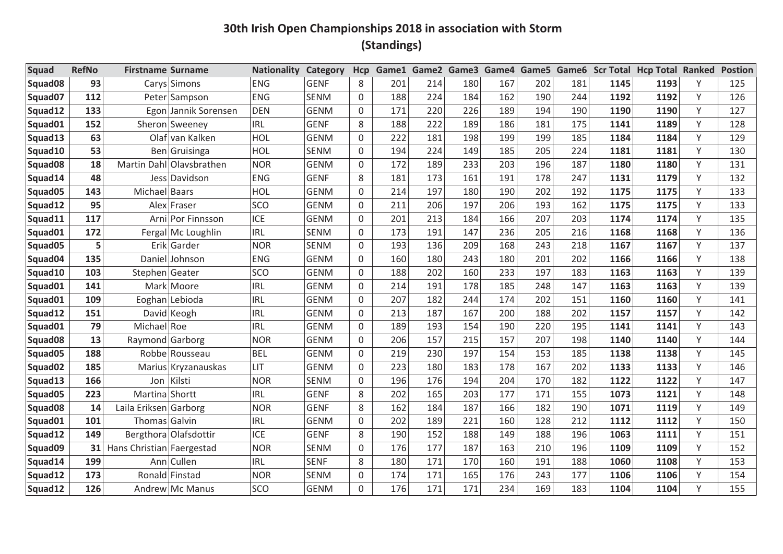| <b>Squad</b>        | <b>RefNo</b> | <b>Firstname Surname</b>  |                          | <b>Nationality</b> | Category    | Hcp          | Game1 | Game2 | Game3 |     | Game4 Game5 |     |      | Game6 Scr Total Hcp Total Ranked |   | <b>Postion</b> |
|---------------------|--------------|---------------------------|--------------------------|--------------------|-------------|--------------|-------|-------|-------|-----|-------------|-----|------|----------------------------------|---|----------------|
| Squad <sub>08</sub> | 93           |                           | Carys Simons             | <b>ENG</b>         | <b>GENF</b> | 8            | 201   | 214   | 180   | 167 | 202         | 181 | 1145 | 1193                             | Υ | 125            |
| Squad07             | 112          |                           | Peter Sampson            | <b>ENG</b>         | <b>SENM</b> | 0            | 188   | 224   | 184   | 162 | 190         | 244 | 1192 | 1192                             | Υ | 126            |
| Squad12             | 133          |                           | Egon Jannik Sorensen     | <b>DEN</b>         | <b>GENM</b> | 0            | 171   | 220   | 226   | 189 | 194         | 190 | 1190 | 1190                             | Y | 127            |
| Squad01             | 152          |                           | Sheron Sweeney           | <b>IRL</b>         | <b>GENF</b> | 8            | 188   | 222   | 189   | 186 | 181         | 175 | 1141 | 1189                             | Υ | 128            |
| Squad13             | 63           |                           | Olaf van Kalken          | HOL                | <b>GENM</b> | $\mathbf 0$  | 222   | 181   | 198   | 199 | 199         | 185 | 1184 | 1184                             | Υ | 129            |
| Squad10             | 53           |                           | Ben Gruisinga            | HOL                | <b>SENM</b> | $\mathsf{O}$ | 194   | 224   | 149   | 185 | 205         | 224 | 1181 | 1181                             | Υ | 130            |
| Squad08             | 18           |                           | Martin Dahl Olavsbrathen | <b>NOR</b>         | <b>GENM</b> | 0            | 172   | 189   | 233   | 203 | 196         | 187 | 1180 | 1180                             | Y | 131            |
| Squad14             | 48           |                           | Jess Davidson            | <b>ENG</b>         | <b>GENF</b> | 8            | 181   | 173   | 161   | 191 | 178         | 247 | 1131 | 1179                             | Υ | 132            |
| Squad05             | 143          | Michael Baars             |                          | HOL                | <b>GENM</b> | $\mathsf{O}$ | 214   | 197   | 180   | 190 | 202         | 192 | 1175 | 1175                             | Y | 133            |
| Squad12             | 95           | Alex                      | Fraser                   | SCO                | <b>GENM</b> | $\mathsf{O}$ | 211   | 206   | 197   | 206 | 193         | 162 | 1175 | 1175                             | Υ | 133            |
| Squad11             | 117          |                           | Arni Por Finnsson        | ICE                | <b>GENM</b> | $\mathbf 0$  | 201   | 213   | 184   | 166 | 207         | 203 | 1174 | 1174                             | Υ | 135            |
| Squad01             | 172          |                           | Fergal Mc Loughlin       | <b>IRL</b>         | <b>SENM</b> | $\mathsf{O}$ | 173   | 191   | 147   | 236 | 205         | 216 | 1168 | 1168                             | Y | 136            |
| Squad05             | 5            |                           | Erik Garder              | <b>NOR</b>         | <b>SENM</b> | 0            | 193   | 136   | 209   | 168 | 243         | 218 | 1167 | 1167                             | Υ | 137            |
| Squad04             | 135          |                           | Daniel Johnson           | <b>ENG</b>         | <b>GENM</b> | 0            | 160   | 180   | 243   | 180 | 201         | 202 | 1166 | 1166                             | Υ | 138            |
| Squad10             | 103          | Stephen Geater            |                          | SCO                | <b>GENM</b> | 0            | 188   | 202   | 160   | 233 | 197         | 183 | 1163 | 1163                             | Y | 139            |
| Squad01             | 141          |                           | Mark Moore               | <b>IRL</b>         | <b>GENM</b> | $\mathsf{O}$ | 214   | 191   | 178   | 185 | 248         | 147 | 1163 | 1163                             | Υ | 139            |
| Squad01             | 109          |                           | Eoghan Lebioda           | <b>IRL</b>         | <b>GENM</b> | 0            | 207   | 182   | 244   | 174 | 202         | 151 | 1160 | 1160                             | Y | 141            |
| Squad12             | 151          |                           | David Keogh              | <b>IRL</b>         | <b>GENM</b> | $\mathsf{O}$ | 213   | 187   | 167   | 200 | 188         | 202 | 1157 | 1157                             | Y | 142            |
| Squad01             | 79           | Michael Roe               |                          | <b>IRL</b>         | <b>GENM</b> | 0            | 189   | 193   | 154   | 190 | 220         | 195 | 1141 | 1141                             | Υ | 143            |
| Squad08             | 13           | Raymond Garborg           |                          | <b>NOR</b>         | <b>GENM</b> | $\Omega$     | 206   | 157   | 215   | 157 | 207         | 198 | 1140 | 1140                             | Υ | 144            |
| Squad05             | 188          |                           | Robbe Rousseau           | <b>BEL</b>         | <b>GENM</b> | $\mathsf{O}$ | 219   | 230   | 197   | 154 | 153         | 185 | 1138 | 1138                             | Υ | 145            |
| Squad <sub>02</sub> | 185          |                           | Marius Kryzanauskas      | LIT                | <b>GENM</b> | 0            | 223   | 180   | 183   | 178 | 167         | 202 | 1133 | 1133                             | Υ | 146            |
| Squad13             | 166          |                           | Jon Kilsti               | <b>NOR</b>         | <b>SENM</b> | 0            | 196   | 176   | 194   | 204 | 170         | 182 | 1122 | 1122                             | Y | 147            |
| Squad05             | 223          | Martina Shortt            |                          | <b>IRL</b>         | <b>GENF</b> | 8            | 202   | 165   | 203   | 177 | 171         | 155 | 1073 | 1121                             | Υ | 148            |
| Squad <sub>08</sub> | 14           | Laila Eriksen Garborg     |                          | <b>NOR</b>         | <b>GENF</b> | 8            | 162   | 184   | 187   | 166 | 182         | 190 | 1071 | 1119                             | Υ | 149            |
| Squad01             | 101          | Thomas Galvin             |                          | <b>IRL</b>         | <b>GENM</b> | 0            | 202   | 189   | 221   | 160 | 128         | 212 | 1112 | 1112                             | Y | 150            |
| Squad12             | 149          |                           | Bergthora Olafsdottir    | <b>ICE</b>         | <b>GENF</b> | 8            | 190   | 152   | 188   | 149 | 188         | 196 | 1063 | 1111                             | Υ | 151            |
| Squad09             | 31           | Hans Christian Faergestad |                          | <b>NOR</b>         | SENM        | 0            | 176   | 177   | 187   | 163 | 210         | 196 | 1109 | 1109                             | Υ | 152            |
| Squad14             | 199          |                           | Ann Cullen               | <b>IRL</b>         | <b>SENF</b> | 8            | 180   | 171   | 170   | 160 | 191         | 188 | 1060 | 1108                             | Υ | 153            |
| Squad12             | 173          |                           | Ronald Finstad           | <b>NOR</b>         | <b>SENM</b> | $\Omega$     | 174   | 171   | 165   | 176 | 243         | 177 | 1106 | 1106                             | Υ | 154            |
| Squad12             | 126          |                           | Andrew Mc Manus          | SCO                | <b>GENM</b> | 0            | 176   | 171   | 171   | 234 | 169         | 183 | 1104 | 1104                             | V | 155            |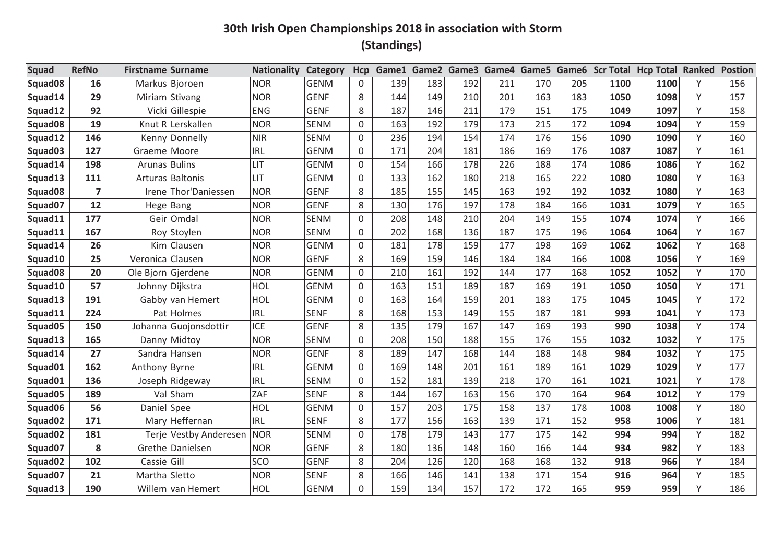| <b>Squad</b>        | <b>RefNo</b>   | <b>Firstname Surname</b> |                        | <b>Nationality</b> | Category    | Hcp          | Game1 | Game <sub>2</sub> | Game3 | Game4 | Game5 |     |      | Game6 Scr Total Hcp Total Ranked |   | <b>Postion</b> |
|---------------------|----------------|--------------------------|------------------------|--------------------|-------------|--------------|-------|-------------------|-------|-------|-------|-----|------|----------------------------------|---|----------------|
| Squad <sub>08</sub> | 16             |                          | Markus Bjoroen         | <b>NOR</b>         | <b>GENM</b> | 0            | 139   | 183               | 192   | 211   | 170   | 205 | 1100 | 1100                             | Υ | 156            |
| Squad14             | 29             |                          | Miriam Stivang         | <b>NOR</b>         | <b>GENF</b> | 8            | 144   | 149               | 210   | 201   | 163   | 183 | 1050 | 1098                             | Υ | 157            |
| Squad12             | 92             |                          | Vicki Gillespie        | <b>ENG</b>         | <b>GENF</b> | 8            | 187   | 146               | 211   | 179   | 151   | 175 | 1049 | 1097                             | Y | 158            |
| Squad08             | 19             |                          | Knut R Lerskallen      | <b>NOR</b>         | <b>SENM</b> | 0            | 163   | 192               | 179   | 173   | 215   | 172 | 1094 | 1094                             | Υ | 159            |
| Squad12             | 146            |                          | Kenny Donnelly         | <b>NIR</b>         | <b>SENM</b> | $\mathbf 0$  | 236   | 194               | 154   | 174   | 176   | 156 | 1090 | 1090                             | Υ | 160            |
| Squad <sub>03</sub> | 127            | Graeme Moore             |                        | <b>IRL</b>         | <b>GENM</b> | $\mathsf{O}$ | 171   | 204               | 181   | 186   | 169   | 176 | 1087 | 1087                             | Υ | 161            |
| Squad14             | 198            | Arunas Bulins            |                        | LIT                | <b>GENM</b> | 0            | 154   | 166               | 178   | 226   | 188   | 174 | 1086 | 1086                             | Y | 162            |
| Squad13             | 111            |                          | Arturas Baltonis       | LIT                | <b>GENM</b> | 0            | 133   | 162               | 180   | 218   | 165   | 222 | 1080 | 1080                             | Υ | 163            |
| Squad <sub>08</sub> | $\overline{7}$ |                          | Irene Thor'Daniessen   | <b>NOR</b>         | <b>GENF</b> | 8            | 185   | 155               | 145   | 163   | 192   | 192 | 1032 | 1080                             | Y | 163            |
| Squad07             | 12             |                          | Hege Bang              | <b>NOR</b>         | <b>GENF</b> | 8            | 130   | 176               | 197   | 178   | 184   | 166 | 1031 | 1079                             | Υ | 165            |
| Squad11             | 177            |                          | Geir Omdal             | <b>NOR</b>         | <b>SENM</b> | $\mathbf 0$  | 208   | 148               | 210   | 204   | 149   | 155 | 1074 | 1074                             | Υ | 166            |
| Squad11             | 167            |                          | Roy Stoylen            | <b>NOR</b>         | <b>SENM</b> | $\mathsf{O}$ | 202   | 168               | 136   | 187   | 175   | 196 | 1064 | 1064                             | Y | 167            |
| Squad14             | 26             |                          | Kim Clausen            | <b>NOR</b>         | <b>GENM</b> | 0            | 181   | 178               | 159   | 177   | 198   | 169 | 1062 | 1062                             | Υ | 168            |
| Squad10             | 25             | Veronica Clausen         |                        | <b>NOR</b>         | <b>GENF</b> | 8            | 169   | 159               | 146   | 184   | 184   | 166 | 1008 | 1056                             | Υ | 169            |
| Squad <sub>08</sub> | 20             |                          | Ole Bjorn Gjerdene     | <b>NOR</b>         | <b>GENM</b> | $\mathsf{O}$ | 210   | 161               | 192   | 144   | 177   | 168 | 1052 | 1052                             | Y | 170            |
| Squad10             | 57             |                          | Johnny Dijkstra        | HOL                | <b>GENM</b> | 0            | 163   | 151               | 189   | 187   | 169   | 191 | 1050 | 1050                             | Υ | 171            |
| Squad13             | 191            |                          | Gabby van Hemert       | HOL                | <b>GENM</b> | 0            | 163   | 164               | 159   | 201   | 183   | 175 | 1045 | 1045                             | Y | 172            |
| Squad11             | 224            |                          | Pat Holmes             | <b>IRL</b>         | <b>SENF</b> | 8            | 168   | 153               | 149   | 155   | 187   | 181 | 993  | 1041                             | Y | 173            |
| Squad05             | 150            |                          | Johanna Guojonsdottir  | ICE                | <b>GENF</b> | 8            | 135   | 179               | 167   | 147   | 169   | 193 | 990  | 1038                             | Υ | 174            |
| Squad13             | 165            |                          | Danny Midtoy           | <b>NOR</b>         | <b>SENM</b> | $\Omega$     | 208   | 150               | 188   | 155   | 176   | 155 | 1032 | 1032                             | Y | 175            |
| Squad14             | 27             |                          | Sandra Hansen          | <b>NOR</b>         | <b>GENF</b> | 8            | 189   | 147               | 168   | 144   | 188   | 148 | 984  | 1032                             | Υ | 175            |
| Squad01             | 162            | Anthony Byrne            |                        | <b>IRL</b>         | <b>GENM</b> | 0            | 169   | 148               | 201   | 161   | 189   | 161 | 1029 | 1029                             | Υ | 177            |
| Squad01             | 136            |                          | Joseph Ridgeway        | <b>IRL</b>         | <b>SENM</b> | 0            | 152   | 181               | 139   | 218   | 170   | 161 | 1021 | 1021                             | Y | 178            |
| Squad05             | 189            |                          | Val Sham               | ZAF                | <b>SENF</b> | 8            | 144   | 167               | 163   | 156   | 170   | 164 | 964  | 1012                             | Υ | 179            |
| Squad06             | 56             | Daniel Spee              |                        | HOL                | <b>GENM</b> | 0            | 157   | 203               | 175   | 158   | 137   | 178 | 1008 | 1008                             | Υ | 180            |
| Squad02             | 171            |                          | Mary Heffernan         | <b>IRL</b>         | <b>SENF</b> | 8            | 177   | 156               | 163   | 139   | 171   | 152 | 958  | 1006                             | Y | 181            |
| Squad <sub>02</sub> | 181            |                          | Terje Vestby Anderesen | <b>NOR</b>         | <b>SENM</b> | $\mathsf{O}$ | 178   | 179               | 143   | 177   | 175   | 142 | 994  | 994                              | Υ | 182            |
| Squad07             | 8              |                          | Grethe Danielsen       | <b>NOR</b>         | <b>GENF</b> | 8            | 180   | 136               | 148   | 160   | 166   | 144 | 934  | 982                              | Υ | 183            |
| Squad <sub>02</sub> | 102            | Cassie Gill              |                        | SCO                | <b>GENF</b> | 8            | 204   | 126               | 120   | 168   | 168   | 132 | 918  | 966                              | Y | 184            |
| Squad07             | 21             | Martha Sletto            |                        | <b>NOR</b>         | <b>SENF</b> | 8            | 166   | 146               | 141   | 138   | 171   | 154 | 916  | 964                              | Υ | 185            |
| Squad13             | 190            |                          | Willem van Hemert      | HOL                | <b>GENM</b> | 0            | 159   | 134               | 157   | 172   | 172   | 165 | 959  | 959                              | V | 186            |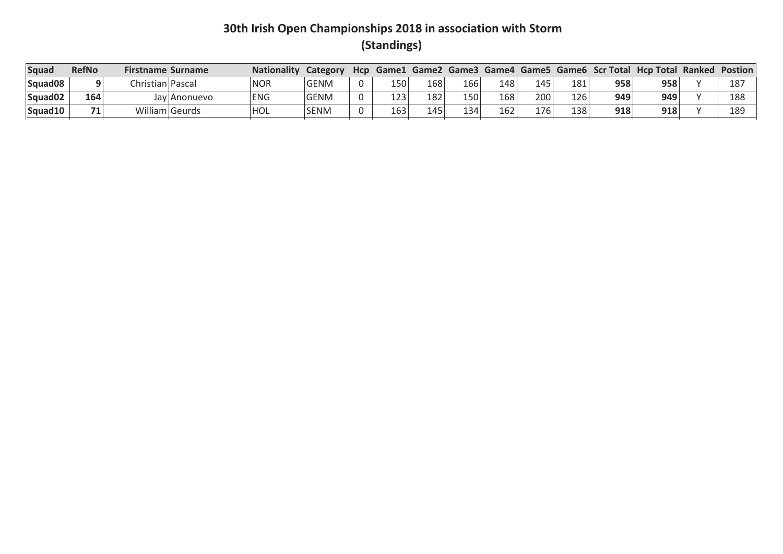| Squad               | <b>RefNo</b> | <b>Firstname Surname</b> | <b>Nationality</b> | Category    | Hcp      |     |     |     |     |                  |     |     | Game1 Game2 Game3 Game4 Game5 Game6 Scr Total Hcp Total Ranked Postion |     |
|---------------------|--------------|--------------------------|--------------------|-------------|----------|-----|-----|-----|-----|------------------|-----|-----|------------------------------------------------------------------------|-----|
| Squad <sub>08</sub> |              | Christian   Pascal       | <b>NOR</b>         | <b>GENM</b> |          | 150 | 168 | 166 | 148 | 145              | 181 | 958 | 958                                                                    | 187 |
| Squad <sub>02</sub> | 164          | Jav Anonuevo             | <b>ENG</b>         | <b>GENM</b> | $\sim$   | 123 | 182 | 150 | 168 | 200 <sub>1</sub> | 126 | 949 | 949                                                                    | 188 |
| Squad10             | 71           | William Geurds           | HOL                | <b>SENM</b> | $\Omega$ | 163 | 145 | 134 | 162 | 176              | 138 | 918 | 918                                                                    | 189 |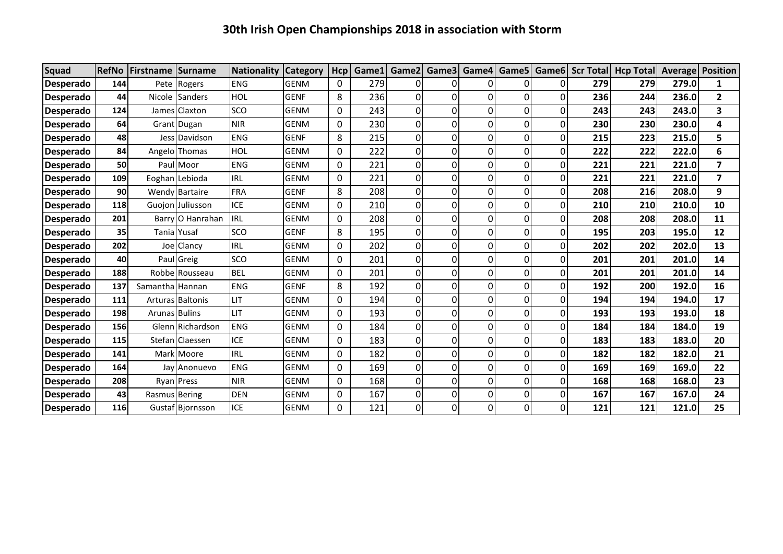| <b>Squad</b>     | <b>RefNo</b> | Firstname       | Surname                 | Nationality | <b>Category</b> | Hcp          | Game1 | Game2          | Game3          | Game4       |                |   |     | Game5   Game6   Scr Total   Hcp Total | <b>Average Position</b> |                         |
|------------------|--------------|-----------------|-------------------------|-------------|-----------------|--------------|-------|----------------|----------------|-------------|----------------|---|-----|---------------------------------------|-------------------------|-------------------------|
| <b>Desperado</b> | 144          |                 | Pete Rogers             | <b>ENG</b>  | <b>GENM</b>     | 0            | 279   | 0              | 01             | 0           | 01             | 0 | 279 | 279                                   | 279.0                   | 1                       |
| <b>Desperado</b> | 44           |                 | Nicole Sanders          | HOL         | <b>GENF</b>     | 8            | 236   | 0              | $\overline{0}$ | 0           | 01             | 0 | 236 | 244                                   | 236.0                   | $\overline{\mathbf{2}}$ |
| Desperado        | 124          |                 | James Claxton           | SCO         | <b>GENM</b>     | $\mathbf 0$  | 243   | 0              | 0              | 0           | οI             | 0 | 243 | 243                                   | 243.0                   | 3                       |
| <b>Desperado</b> | 64           |                 | Grant Dugan             | <b>NIR</b>  | <b>GENM</b>     | $\mathbf 0$  | 230   | 0              | οI             | 0           | ΟI             | 0 | 230 | 230                                   | 230.0                   | 4                       |
| <b>Desperado</b> | 48           |                 | Jess Davidson           | <b>ENG</b>  | <b>GENF</b>     | 8            | 215   | $\mathbf 0$    | ٥I             | $\Omega$    | $\overline{0}$ | 0 | 215 | 223                                   | 215.0                   | 5                       |
| <b>Desperado</b> | 84           |                 | Angelo Thomas           | HOL         | <b>GENM</b>     | $\mathbf 0$  | 222   | 0              | 0              | 0           | 0              | 0 | 222 | 222                                   | 222.0                   | 6                       |
| <b>Desperado</b> | 50           |                 | PaullMoor               | <b>ENG</b>  | <b>GENM</b>     | $\mathbf 0$  | 221   | 0              | 0              | $\Omega$    | ΩI             | 0 | 221 | 221                                   | 221.0                   | $\overline{7}$          |
| <b>Desperado</b> | 109          |                 | Eoghan Lebioda          | <b>IRL</b>  | <b>GENM</b>     | $\mathbf 0$  | 221   | 0              | 0              | 0           | 01             | 0 | 221 | 221                                   | 221.0                   | $\overline{\mathbf{z}}$ |
| <b>Desperado</b> | 90           |                 | Wendy Bartaire          | <b>FRA</b>  | <b>GENF</b>     | 8            | 208   | 0              | 0              | $\Omega$    | ΟI             | 0 | 208 | 216                                   | 208.0                   | 9                       |
| Desperado        | 118          |                 | Guojon Juliusson        | <b>ICE</b>  | <b>GENM</b>     | 0            | 210   | 0              | 0              | 0           | ΟI             | N | 210 | 210                                   | 210.0                   | 10                      |
| <b>Desperado</b> | 201          |                 | Barry O Hanrahan        | <b>IRL</b>  | <b>GENM</b>     | 0            | 208   | 0              | οI             | 0           | ΟI             | 0 | 208 | 208                                   | 208.0                   | 11                      |
| <b>Desperado</b> | 35           |                 | Tania Yusaf             | SCO         | <b>GENF</b>     | 8            | 195   | 0              | οI             | 0           | $\overline{0}$ | 0 | 195 | 203                                   | 195.0                   | 12                      |
| <b>Desperado</b> | 202          |                 | Joe Clancy              | <b>IRL</b>  | <b>GENM</b>     | $\mathbf 0$  | 202   | 0              | 0              | $\mathbf 0$ | $\overline{0}$ | 0 | 202 | 202                                   | 202.0                   | 13                      |
| <b>Desperado</b> | 40           |                 | Paul Greig              | SCO         | <b>GENM</b>     | $\mathbf{0}$ | 201   | 0              | 0              | $\Omega$    | ΩI             | 0 | 201 | 201                                   | 201.0                   | 14                      |
| Desperado        | 188          |                 | Robbe Rousseau          | <b>BEL</b>  | <b>GENM</b>     | $\mathbf 0$  | 201   | 0              | 0              | 0           | 0              | 0 | 201 | 201                                   | 201.0                   | 14                      |
| <b>Desperado</b> | 137          | Samantha Hannan |                         | <b>ENG</b>  | <b>GENF</b>     | 8            | 192   | 0              | 0              | $\Omega$    | οI             | 0 | 192 | 200                                   | 192.0                   | 16                      |
| <b>Desperado</b> | 111          |                 | <b>Arturas Baltonis</b> | LIT.        | <b>GENM</b>     | $\mathbf 0$  | 194   | 0              | 0              | 0           | $\overline{0}$ | 0 | 194 | 194                                   | 194.0                   | 17                      |
| <b>Desperado</b> | 198          | Arunas Bulins   |                         | <b>LIT</b>  | <b>GENM</b>     | 0            | 193   | 0              | οI             | 0           | ΟI             | 0 | 193 | 193                                   | 193.0                   | 18                      |
| <b>Desperado</b> | 156          |                 | Glenn Richardson        | <b>ENG</b>  | <b>GENM</b>     | $\mathbf 0$  | 184   | 0              | οI             | 0           | $\overline{0}$ | 0 | 184 | 184                                   | 184.0                   | 19                      |
| <b>Desperado</b> | 115          |                 | Stefan Claessen         | <b>ICE</b>  | <b>GENM</b>     | $\mathbf 0$  | 183   | 0              | οI             | 0           | οI             | 0 | 183 | 183                                   | 183.0                   | 20                      |
| <b>Desperado</b> | 141          |                 | Mark Moore              | <b>IRL</b>  | <b>GENM</b>     | $\Omega$     | 182   | 0              | 0              | $\Omega$    | ΩI             | 0 | 182 | 182                                   | 182.0                   | 21                      |
| <b>Desperado</b> | 164          |                 | Jay Anonuevo            | <b>ENG</b>  | <b>GENM</b>     | $\mathbf{0}$ | 169   | 0              | 0              | $\Omega$    | 01             | 0 | 169 | 169                                   | 169.0                   | 22                      |
| <b>Desperado</b> | 208          |                 | Ryan Press              | <b>NIR</b>  | <b>GENM</b>     | $\mathbf{0}$ | 168   | 0              | 0              | 0           | ΟI             | 0 | 168 | 168                                   | 168.0                   | 23                      |
| Desperado        | 43           | Rasmus Bering   |                         | <b>DEN</b>  | <b>GENM</b>     | 0            | 167   | 0              | 0              | 0           | 0              | 0 | 167 | 167                                   | 167.0                   | 24                      |
| <b>Desperado</b> | 116          |                 | Gustaf Bjornsson        | <b>ICE</b>  | <b>GENM</b>     | $\mathbf{0}$ | 121   | $\overline{0}$ | οI             | 0           | $\Omega$       | 0 | 121 | 121                                   | 121.0                   | 25                      |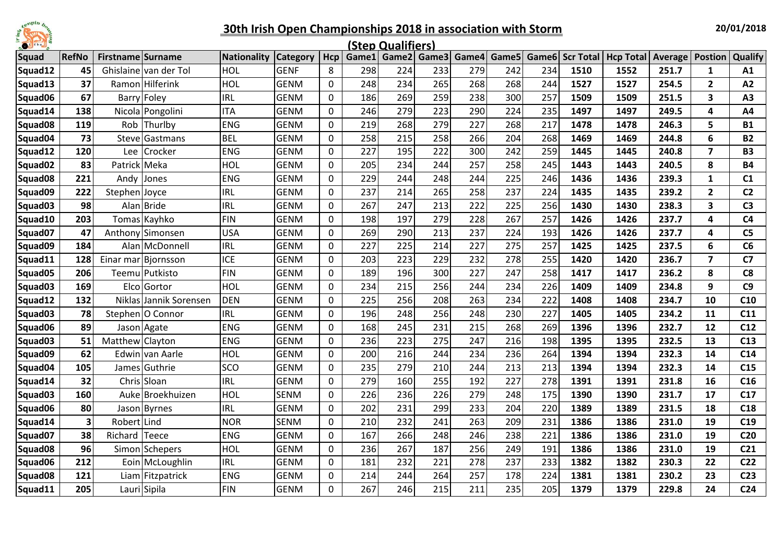

| E<br>$\bullet$      |                         |                          |                       |             |                 |             |       | (Step Qualifiers) |                         |     |     |     |                 |                          |       |                         |                 |
|---------------------|-------------------------|--------------------------|-----------------------|-------------|-----------------|-------------|-------|-------------------|-------------------------|-----|-----|-----|-----------------|--------------------------|-------|-------------------------|-----------------|
| <b>Squad</b>        | <b>RefNo</b>            | <b>Firstname Surname</b> |                       | Nationality | <b>Category</b> | Hcp         | Game1 |                   | Game2 Game3 Game4 Game5 |     |     |     | Game6 Scr Total | <b>Hcp Total Average</b> |       | <b>Postion</b>          | Qualify         |
| Squad12             | 45                      |                          | Ghislaine van der Tol | HOL         | <b>GENF</b>     | 8           | 298   | 224               | 233                     | 279 | 242 | 234 | 1510            | 1552                     | 251.7 | $\mathbf{1}$            | A1              |
| Squad13             | 37                      |                          | Ramon Hilferink       | HOL         | <b>GENM</b>     | $\mathbf 0$ | 248   | 234               | 265                     | 268 | 268 | 244 | 1527            | 1527                     | 254.5 | $\overline{2}$          | A2              |
| Squad06             | 67                      |                          | Barry Foley           | <b>IRL</b>  | <b>GENM</b>     | 0           | 186   | 269               | 259                     | 238 | 300 | 257 | 1509            | 1509                     | 251.5 | 3                       | A <sub>3</sub>  |
| Squad14             | 138                     |                          | Nicola Pongolini      | <b>ITA</b>  | <b>GENM</b>     | 0           | 246   | 279               | 223                     | 290 | 224 | 235 | 1497            | 1497                     | 249.5 | 4                       | A4              |
| Squad08             | 119                     | Rob                      | Thurlby               | <b>ENG</b>  | <b>GENM</b>     | 0           | 219   | 268               | 279                     | 227 | 268 | 217 | 1478            | 1478                     | 246.3 | 5                       | <b>B1</b>       |
| Squad04             | 73                      | Steve                    | <b>Gastmans</b>       | <b>BEL</b>  | <b>GENM</b>     | 0           | 258   | 215               | 258                     | 266 | 204 | 268 | 1469            | 1469                     | 244.8 | 6                       | <b>B2</b>       |
| Squad12             | 120                     | Lee                      | Crocker               | <b>ENG</b>  | <b>GENM</b>     | $\mathbf 0$ | 227   | 195               | 222                     | 300 | 242 | 259 | 1445            | 1445                     | 240.8 | $\overline{\mathbf{z}}$ | <b>B3</b>       |
| Squad <sub>02</sub> | 83                      | Patrick Meka             |                       | HOL         | <b>GENM</b>     | 0           | 205   | 234               | 244                     | 257 | 258 | 245 | 1443            | 1443                     | 240.5 | 8                       | <b>B4</b>       |
| Squad <sub>08</sub> | 221                     | Andv                     | Jones                 | <b>ENG</b>  | <b>GENM</b>     | 0           | 229   | 244               | 248                     | 244 | 225 | 246 | 1436            | 1436                     | 239.3 | $\mathbf{1}$            | C1              |
| Squad09             | 222                     | Stephen                  | Joyce                 | <b>IRL</b>  | <b>GENM</b>     | 0           | 237   | 214               | 265                     | 258 | 237 | 224 | 1435            | 1435                     | 239.2 | $\overline{2}$          | C <sub>2</sub>  |
| Squad03             | 98                      |                          | Alan Bride            | <b>IRL</b>  | <b>GENM</b>     | 0           | 267   | 247               | 213                     | 222 | 225 | 256 | 1430            | 1430                     | 238.3 | 3                       | C <sub>3</sub>  |
| Squad10             | 203                     |                          | Tomas Kayhko          | <b>FIN</b>  | <b>GENM</b>     | $\mathbf 0$ | 198   | 197               | 279                     | 228 | 267 | 257 | 1426            | 1426                     | 237.7 | 4                       | C <sub>4</sub>  |
| Squad07             | 47                      |                          | Anthony Simonsen      | <b>USA</b>  | <b>GENM</b>     | 0           | 269   | 290               | 213                     | 237 | 224 | 193 | 1426            | 1426                     | 237.7 | 4                       | C <sub>5</sub>  |
| Squad09             | 184                     |                          | Alan McDonnell        | <b>IRL</b>  | <b>GENM</b>     | $\mathbf 0$ | 227   | 225               | 214                     | 227 | 275 | 257 | 1425            | 1425                     | 237.5 | 6                       | C6              |
| Squad11             | 128                     |                          | Einar mar Bjornsson   | <b>ICE</b>  | <b>GENM</b>     | 0           | 203   | 223               | 229                     | 232 | 278 | 255 | 1420            | 1420                     | 236.7 | $\overline{\mathbf{z}}$ | C <sub>7</sub>  |
| Squad05             | 206                     |                          | Teemu Putkisto        | <b>FIN</b>  | <b>GENM</b>     | 0           | 189   | 196               | 300                     | 227 | 247 | 258 | 1417            | 1417                     | 236.2 | 8                       | C <sub>8</sub>  |
| Squad03             | 169                     |                          | Elco Gortor           | HOL         | <b>GENM</b>     | $\mathbf 0$ | 234   | 215               | 256                     | 244 | 234 | 226 | 1409            | 1409                     | 234.8 | 9                       | C9              |
| Squad12             | 132                     | <b>Niklas</b>            | Jannik Sorensen       | <b>DEN</b>  | <b>GENM</b>     | 0           | 225   | 256               | 208                     | 263 | 234 | 222 | 1408            | 1408                     | 234.7 | 10                      | C10             |
| Squad03             | 78                      |                          | Stephen   O Connor    | <b>IRL</b>  | <b>GENM</b>     | 0           | 196   | 248               | 256                     | 248 | 230 | 227 | 1405            | 1405                     | 234.2 | 11                      | C <sub>11</sub> |
| Squad06             | 89                      |                          | Jason Agate           | <b>ENG</b>  | <b>GENM</b>     | 0           | 168   | 245               | 231                     | 215 | 268 | 269 | 1396            | 1396                     | 232.7 | 12                      | C12             |
| Squad <sub>03</sub> | 51                      | Matthew Clayton          |                       | <b>ENG</b>  | <b>GENM</b>     | 0           | 236   | 223               | 275                     | 247 | 216 | 198 | 1395            | 1395                     | 232.5 | 13                      | C13             |
| Squad09             | 62                      |                          | Edwin van Aarle       | <b>HOL</b>  | <b>GENM</b>     | $\mathbf 0$ | 200   | 216               | 244                     | 234 | 236 | 264 | 1394            | 1394                     | 232.3 | 14                      | C14             |
| Squad04             | 105                     | James                    | Guthrie               | <b>SCO</b>  | <b>GENM</b>     | 0           | 235   | 279               | 210                     | 244 | 213 | 213 | 1394            | 1394                     | 232.3 | 14                      | C15             |
| Squad14             | 32                      |                          | Chris Sloan           | <b>IRL</b>  | <b>GENM</b>     | 0           | 279   | 160               | 255                     | 192 | 227 | 278 | 1391            | 1391                     | 231.8 | 16                      | C16             |
| Squad03             | 160                     | Auke                     | Broekhuizen           | HOL         | <b>SENM</b>     | $\mathbf 0$ | 226   | 236               | 226                     | 279 | 248 | 175 | 1390            | 1390                     | 231.7 | 17                      | C17             |
| Squad06             | 80                      |                          | Jason Byrnes          | <b>IRL</b>  | <b>GENM</b>     | 0           | 202   | 231               | 299                     | 233 | 204 | 220 | 1389            | 1389                     | 231.5 | 18                      | C18             |
| Squad14             | $\overline{\mathbf{3}}$ | Robert Lind              |                       | <b>NOR</b>  | <b>SENM</b>     | $\mathbf 0$ | 210   | 232               | 241                     | 263 | 209 | 231 | 1386            | 1386                     | 231.0 | 19                      | C19             |
| Squad07             | 38                      | Richard                  | <b>Teece</b>          | <b>ENG</b>  | <b>GENM</b>     | 0           | 167   | 266               | 248                     | 246 | 238 | 221 | 1386            | 1386                     | 231.0 | 19                      | C <sub>20</sub> |
| Squad <sub>08</sub> | 96                      |                          | Simon Schepers        | HOL         | <b>GENM</b>     | 0           | 236   | 267               | 187                     | 256 | 249 | 191 | 1386            | 1386                     | 231.0 | 19                      | C <sub>21</sub> |
| Squad06             | 212                     |                          | Eoin McLoughlin       | <b>IRL</b>  | <b>GENM</b>     | 0           | 181   | 232               | 221                     | 278 | 237 | 233 | 1382            | 1382                     | 230.3 | 22                      | C <sub>22</sub> |
| Squad08             | 121                     |                          | Liam Fitzpatrick      | <b>ENG</b>  | <b>GENM</b>     | $\mathbf 0$ | 214   | 244               | 264                     | 257 | 178 | 224 | 1381            | 1381                     | 230.2 | 23                      | C <sub>23</sub> |
| Squad11             | 205                     |                          | Lauri Sipila          | <b>FIN</b>  | <b>GENM</b>     | $\mathbf 0$ | 267   | 246               | 215                     | 211 | 235 | 205 | 1379            | 1379                     | 229.8 | 24                      | C <sub>24</sub> |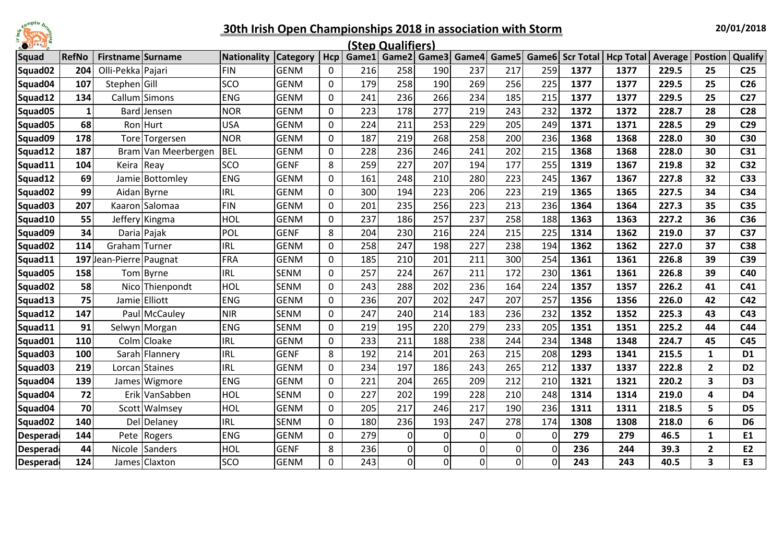

| Ē<br>$\bullet$      |       |                     |                     |             |                 |     |     | (Step Qualifiers) |                   |              |          |             |      |                                                       |       |                |                 |
|---------------------|-------|---------------------|---------------------|-------------|-----------------|-----|-----|-------------------|-------------------|--------------|----------|-------------|------|-------------------------------------------------------|-------|----------------|-----------------|
| <b>Squad</b>        | RefNo | Firstname Surname   |                     | Nationality | <b>Category</b> | Hcp |     |                   | Game1 Game2 Game3 | Game4        |          |             |      | Game5 Game6 Scr Total   Hcp Total   Average   Postion |       |                | Qualify         |
| Squad <sub>02</sub> | 204   | Olli-Pekka Pajari   |                     | <b>FIN</b>  | <b>GENM</b>     | 0   | 216 | 258               | 190               | 237          | 217      | 259         | 1377 | 1377                                                  | 229.5 | 25             | C <sub>25</sub> |
| Squad04             | 107   | Stephen Gill        |                     | SCO         | <b>GENM</b>     | 0   | 179 | 258               | 190               | 269          | 256      | 225         | 1377 | 1377                                                  | 229.5 | 25             | C <sub>26</sub> |
| Squad12             | 134   |                     | Callum Simons       | <b>ENG</b>  | <b>GENM</b>     | 0   | 241 | 236               | 266               | 234          | 185      | 215         | 1377 | 1377                                                  | 229.5 | 25             | C <sub>27</sub> |
| Squad05             |       |                     | Bard Jensen         | <b>NOR</b>  | <b>GENM</b>     | 0   | 223 | 178               | 277               | 219          | 243      | 232         | 1372 | 1372                                                  | 228.7 | 28             | C <sub>28</sub> |
| Squad05             | 68    |                     | Ron Hurt            | <b>USA</b>  | <b>GENM</b>     | 0   | 224 | 211               | 253               | 229          | 205      | 249         | 1371 | 1371                                                  | 228.5 | 29             | C <sub>29</sub> |
| Squad09             | 178   |                     | Tore Torgersen      | <b>NOR</b>  | <b>GENM</b>     | 0   | 187 | 219               | 268               | 258          | 200      | 236         | 1368 | 1368                                                  | 228.0 | 30             | C30             |
| Squad12             | 187   |                     | Bram Van Meerbergen | <b>BEL</b>  | <b>GENM</b>     | 0   | 228 | 236               | 246               | 241          | 202      | 215         | 1368 | 1368                                                  | 228.0 | 30             | C31             |
| Squad11             | 104   | Keira Reay          |                     | SCO         | <b>GENF</b>     | 8   | 259 | 227               | 207               | 194          | 177      | 255         | 1319 | 1367                                                  | 219.8 | 32             | C32             |
| Squad12             | 69    |                     | Jamie Bottomley     | <b>ENG</b>  | <b>GENM</b>     | 0   | 161 | 248               | 210               | 280          | 223      | 245         | 1367 | 1367                                                  | 227.8 | 32             | C <sub>33</sub> |
| Squad02             | 99    | Aidan Byrne         |                     | <b>IRL</b>  | <b>GENM</b>     | 0   | 300 | 194               | 223               | 206          | 223      | 219         | 1365 | 1365                                                  | 227.5 | 34             | C34             |
| Squad03             | 207   |                     | Kaaron Salomaa      | <b>FIN</b>  | <b>GENM</b>     | 0   | 201 | 235               | 256               | 223          | 213      | 236         | 1364 | 1364                                                  | 227.3 | 35             | C35             |
| Squad10             | 55    |                     | Jeffery Kingma      | HOL         | <b>GENM</b>     | 0   | 237 | 186               | 257               | 237          | 258      | 188         | 1363 | 1363                                                  | 227.2 | 36             | C36             |
| Squad09             | 34    | Daria Pajak         |                     | POL         | <b>GENF</b>     | 8   | 204 | 230               | 216               | 224          | 215      | 225         | 1314 | 1362                                                  | 219.0 | 37             | C37             |
| Squad <sub>02</sub> | 114   | Graham Turner       |                     | <b>IRL</b>  | <b>GENM</b>     | 0   | 258 | 247               | 198               | 227          | 238      | 194         | 1362 | 1362                                                  | 227.0 | 37             | C38             |
| Squad11             | 197   | Jean-Pierre Paugnat |                     | <b>FRA</b>  | <b>GENM</b>     | 0   | 185 | 210               | 201               | 211          | 300      | 254         | 1361 | 1361                                                  | 226.8 | 39             | C39             |
| Squad05             | 158   |                     | Tom Byrne           | <b>IRL</b>  | <b>SENM</b>     | 0   | 257 | 224               | 267               | 211          | 172      | 230         | 1361 | 1361                                                  | 226.8 | 39             | C40             |
| Squad02             | 58    |                     | Nico Thienpondt     | HOL         | <b>SENM</b>     | 0   | 243 | 288               | 202               | 236          | 164      | 224         | 1357 | 1357                                                  | 226.2 | 41             | C <sub>41</sub> |
| Squad13             | 75    |                     | Jamie Elliott       | <b>ENG</b>  | <b>GENM</b>     | 0   | 236 | 207               | 202               | 247          | 207      | 257         | 1356 | 1356                                                  | 226.0 | 42             | C42             |
| Squad12             | 147   |                     | Paul McCauley       | <b>NIR</b>  | <b>SENM</b>     | 0   | 247 | 240               | 214               | 183          | 236      | 232         | 1352 | 1352                                                  | 225.3 | 43             | C43             |
| Squad11             | 91    |                     | Selwyn Morgan       | <b>ENG</b>  | <b>SENM</b>     | 0   | 219 | 195               | 220               | 279          | 233      | 205         | 1351 | 1351                                                  | 225.2 | 44             | C44             |
| Squad01             | 110   |                     | Colm Cloake         | <b>IRL</b>  | <b>GENM</b>     | 0   | 233 | 211               | 188               | 238          | 244      | 234         | 1348 | 1348                                                  | 224.7 | 45             | C45             |
| Squad <sub>03</sub> | 100   |                     | Sarah Flannery      | <b>IRL</b>  | <b>GENF</b>     | 8   | 192 | 214               | 201               | 263          | 215      | 208         | 1293 | 1341                                                  | 215.5 | $\mathbf{1}$   | D <sub>1</sub>  |
| Squad <sub>03</sub> | 219   |                     | Lorcan l Staines    | <b>IRL</b>  | <b>GENM</b>     | 0   | 234 | 197               | 186               | 243          | 265      | 212         | 1337 | 1337                                                  | 222.8 | $\overline{2}$ | D <sub>2</sub>  |
| Squad04             | 139   |                     | James Wigmore       | <b>ENG</b>  | <b>GENM</b>     | 0   | 221 | 204               | 265               | 209          | 212      | 210         | 1321 | 1321                                                  | 220.2 | 3              | D <sub>3</sub>  |
| Squad04             | 72    |                     | Erik VanSabben      | HOL         | <b>SENM</b>     | 0   | 227 | 202               | 199               | 228          | 210      | 248         | 1314 | 1314                                                  | 219.0 | 4              | D <sub>4</sub>  |
| Squad04             | 70    |                     | Scott Walmsey       | HOL         | <b>GENM</b>     | 0   | 205 | 217               | 246               | 217          | 190      | 236         | 1311 | 1311                                                  | 218.5 | 5              | D <sub>5</sub>  |
| Squad02             | 140   |                     | <b>Del Delaney</b>  | <b>IRL</b>  | <b>SENM</b>     | 0   | 180 | 236               | 193               | 247          | 278      | 174         | 1308 | 1308                                                  | 218.0 | 6              | D <sub>6</sub>  |
| <b>Desperad</b>     | 144   |                     | Pete Rogers         | <b>ENG</b>  | <b>GENM</b>     | 0   | 279 | 0                 | 0                 | $\pmb{0}$    | $\Omega$ | 0           | 279  | 279                                                   | 46.5  | $\mathbf{1}$   | E1              |
| Desperad            | 44    |                     | Nicole Sanders      | HOL         | <b>GENF</b>     | 8   | 236 | 0                 | 0                 | 0            | 0        | $\Omega$    | 236  | 244                                                   | 39.3  | $\mathbf{2}$   | E2              |
| <b>Desperad</b>     | 124   |                     | James Claxton       | SCO         | <b>GENM</b>     | 0   | 243 | 0                 | 0                 | $\mathsf{o}$ | 0l       | $\mathbf 0$ | 243  | 243                                                   | 40.5  | 3              | E3              |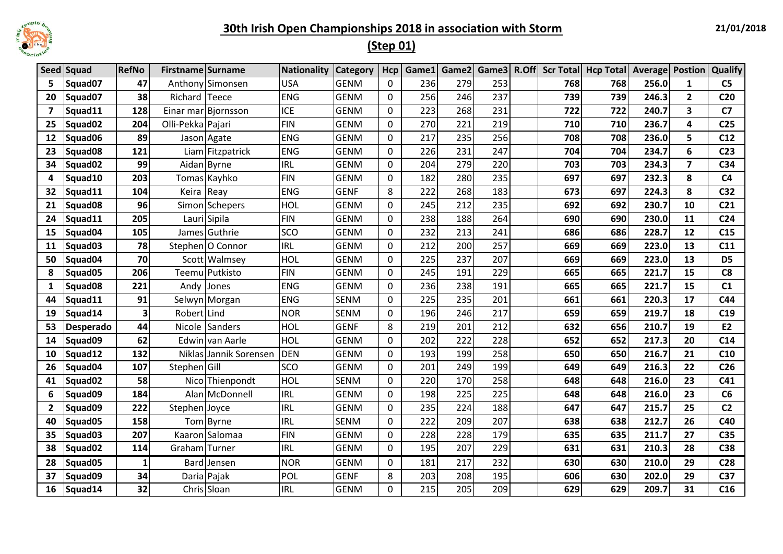

# **(Step 01)**

|                | Seed Squad          | <b>RefNo</b> | Firstname Surname |                        | Nationality | <b>Category</b> | Hcp          | Game1 | Game2 |     |     | Game3 R.Off Scr Total Hcp Total Average Postion |       |                         | <b>Qualify</b>  |
|----------------|---------------------|--------------|-------------------|------------------------|-------------|-----------------|--------------|-------|-------|-----|-----|-------------------------------------------------|-------|-------------------------|-----------------|
| 5              | Squad07             | 47           |                   | Anthony Simonsen       | <b>USA</b>  | <b>GENM</b>     | $\mathbf{0}$ | 236   | 279   | 253 | 768 | 768                                             | 256.0 | $\mathbf{1}$            | C <sub>5</sub>  |
| 20             | Squad07             | 38           | Richard Teece     |                        | <b>ENG</b>  | <b>GENM</b>     | $\mathbf{0}$ | 256   | 246   | 237 | 739 | 739                                             | 246.3 | $\overline{2}$          | C <sub>20</sub> |
| $\overline{7}$ | Squad11             | 128          |                   | Einar mar Bjornsson    | <b>ICE</b>  | <b>GENM</b>     | $\Omega$     | 223   | 268   | 231 | 722 | 722                                             | 240.7 | $\overline{\mathbf{3}}$ | C <sub>7</sub>  |
| 25             | Squad02             | 204          | Olli-Pekka Pajari |                        | <b>FIN</b>  | <b>GENM</b>     | $\mathbf 0$  | 270   | 221   | 219 | 710 | 710                                             | 236.7 | 4                       | C <sub>25</sub> |
| 12             | Squad06             | 89           |                   | Jason Agate            | <b>ENG</b>  | <b>GENM</b>     | $\mathbf 0$  | 217   | 235   | 256 | 708 | 708                                             | 236.0 | 5                       | C12             |
| 23             | Squad <sub>08</sub> | 121          |                   | Liam Fitzpatrick       | <b>ENG</b>  | <b>GENM</b>     | $\mathbf{0}$ | 226   | 231   | 247 | 704 | 704                                             | 234.7 | 6                       | C <sub>23</sub> |
| 34             | Squad02             | 99           |                   | Aidan Byrne            | <b>IRL</b>  | <b>GENM</b>     | 0            | 204   | 279   | 220 | 703 | 703                                             | 234.3 | $\overline{7}$          | C34             |
| 4              | Squad10             | 203          |                   | Tomas Kayhko           | <b>FIN</b>  | <b>GENM</b>     | 0            | 182   | 280   | 235 | 697 | 697                                             | 232.3 | 8                       | C <sub>4</sub>  |
| 32             | Squad11             | 104          | Keira Reay        |                        | <b>ENG</b>  | <b>GENF</b>     | 8            | 222   | 268   | 183 | 673 | 697                                             | 224.3 | 8                       | C <sub>32</sub> |
| 21             | Squad08             | 96           |                   | Simon Schepers         | HOL         | <b>GENM</b>     | 0            | 245   | 212   | 235 | 692 | 692                                             | 230.7 | 10                      | C <sub>21</sub> |
| 24             | Squad11             | 205          |                   | Lauri Sipila           | <b>FIN</b>  | <b>GENM</b>     | $\Omega$     | 238   | 188   | 264 | 690 | 690                                             | 230.0 | 11                      | C <sub>24</sub> |
| 15             | Squad04             | 105          |                   | James Guthrie          | SCO         | <b>GENM</b>     | $\mathbf{0}$ | 232   | 213   | 241 | 686 | 686                                             | 228.7 | 12                      | C15             |
| 11             | Squad03             | 78           |                   | Stephen O Connor       | <b>IRL</b>  | <b>GENM</b>     | 0            | 212   | 200   | 257 | 669 | 669                                             | 223.0 | 13                      | C11             |
| 50             | Squad04             | 70           |                   | Scott Walmsey          | HOL         | <b>GENM</b>     | $\mathbf 0$  | 225   | 237   | 207 | 669 | 669                                             | 223.0 | 13                      | D <sub>5</sub>  |
| 8              | Squad05             | 206          |                   | Teemu Putkisto         | <b>FIN</b>  | <b>GENM</b>     | 0            | 245   | 191   | 229 | 665 | 665                                             | 221.7 | 15                      | C8              |
| 1              | Squad08             | 221          |                   | Andy Jones             | <b>ENG</b>  | <b>GENM</b>     | 0            | 236   | 238   | 191 | 665 | 665                                             | 221.7 | 15                      | C1              |
| 44             | Squad11             | 91           |                   | Selwyn Morgan          | <b>ENG</b>  | <b>SENM</b>     | $\Omega$     | 225   | 235   | 201 | 661 | 661                                             | 220.3 | 17                      | C44             |
| 19             | Squad14             | 3            | Robert Lind       |                        | <b>NOR</b>  | <b>SENM</b>     | 0            | 196   | 246   | 217 | 659 | 659                                             | 219.7 | 18                      | C19             |
| 53             | <b>Desperado</b>    | 44           |                   | Nicole Sanders         | HOL         | <b>GENF</b>     | 8            | 219   | 201   | 212 | 632 | 656                                             | 210.7 | 19                      | E <sub>2</sub>  |
| 14             | Squad09             | 62           |                   | Edwin van Aarle        | HOL         | <b>GENM</b>     | 0            | 202   | 222   | 228 | 652 | 652                                             | 217.3 | 20                      | C14             |
| 10             | Squad12             | 132          |                   | Niklas Jannik Sorensen | <b>DEN</b>  | <b>GENM</b>     | 0            | 193   | 199   | 258 | 650 | 650                                             | 216.7 | 21                      | C10             |
| 26             | Squad04             | 107          | Stephen Gill      |                        | SCO         | <b>GENM</b>     | 0            | 201   | 249   | 199 | 649 | 649                                             | 216.3 | 22                      | C <sub>26</sub> |
| 41             | Squad02             | 58           |                   | Nico Thienpondt        | HOL         | <b>SENM</b>     | $\mathbf 0$  | 220   | 170   | 258 | 648 | 648                                             | 216.0 | 23                      | C <sub>41</sub> |
| 6              | Squad09             | 184          |                   | Alan McDonnell         | <b>IRL</b>  | <b>GENM</b>     | 0            | 198   | 225   | 225 | 648 | 648                                             | 216.0 | 23                      | C6              |
| $\overline{2}$ | Squad09             | 222          | Stephen Joyce     |                        | <b>IRL</b>  | <b>GENM</b>     | $\mathbf{0}$ | 235   | 224   | 188 | 647 | 647                                             | 215.7 | 25                      | C <sub>2</sub>  |
| 40             | Squad05             | 158          |                   | Tom Byrne              | <b>IRL</b>  | <b>SENM</b>     | $\mathbf{0}$ | 222   | 209   | 207 | 638 | 638                                             | 212.7 | 26                      | C40             |
| 35             | Squad03             | 207          |                   | Kaaron Salomaa         | <b>FIN</b>  | <b>GENM</b>     | 0            | 228   | 228   | 179 | 635 | 635                                             | 211.7 | 27                      | C35             |
| 38             | Squad02             | 114          | Graham Turner     |                        | <b>IRL</b>  | <b>GENM</b>     | $\mathbf{0}$ | 195   | 207   | 229 | 631 | 631                                             | 210.3 | 28                      | C38             |
| 28             | Squad05             | 1            |                   | Bard Jensen            | <b>NOR</b>  | <b>GENM</b>     | 0            | 181   | 217   | 232 | 630 | 630                                             | 210.0 | 29                      | C <sub>28</sub> |
| 37             | Squad09             | 34           |                   | Daria Pajak            | POL         | <b>GENF</b>     | 8            | 203   | 208   | 195 | 606 | 630                                             | 202.0 | 29                      | C <sub>37</sub> |
| 16             | Squad14             | 32           |                   | Chris Sloan            | <b>IRL</b>  | <b>GENM</b>     | $\mathbf{0}$ | 215   | 205   | 209 | 629 | 629                                             | 209.7 | 31                      | C16             |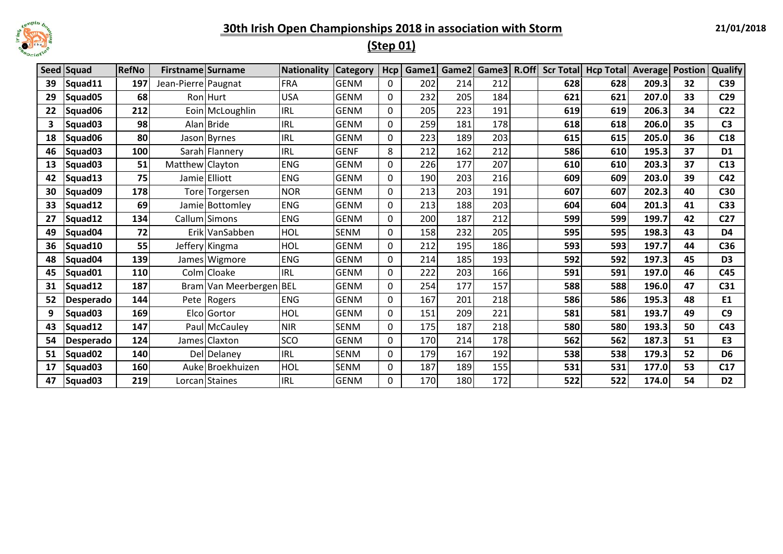

# **(Step 01)**

|    | Seed Squad | <b>RefNo</b> | Firstname Surname   |                         | <b>Nationality</b> | <b>Category</b> | Hcp         |     | Game1 Game2 |     |     | Game3 R.Off Scr Total Hcp Total Average Postion |       |    | <b>Qualify</b>  |
|----|------------|--------------|---------------------|-------------------------|--------------------|-----------------|-------------|-----|-------------|-----|-----|-------------------------------------------------|-------|----|-----------------|
| 39 | Squad11    | 197          | Jean-Pierre Paugnat |                         | <b>FRA</b>         | <b>GENM</b>     | 0           | 202 | 214         | 212 | 628 | 628                                             | 209.3 | 32 | C39             |
| 29 | Squad05    | 68           |                     | Ron Hurt                | <b>USA</b>         | <b>GENM</b>     | $\Omega$    | 232 | 205         | 184 | 621 | 621                                             | 207.0 | 33 | C <sub>29</sub> |
| 22 | Squad06    | 212          |                     | Eoin McLoughlin         | <b>IRL</b>         | <b>GENM</b>     | 0           | 205 | 223         | 191 | 619 | 619                                             | 206.3 | 34 | C <sub>22</sub> |
| 3  | Squad03    | 98           |                     | Alan Bride              | <b>IRL</b>         | <b>GENM</b>     | 0           | 259 | 181         | 178 | 618 | 618                                             | 206.0 | 35 | C <sub>3</sub>  |
| 18 | Squad06    | 80           |                     | Jason Byrnes            | <b>IRL</b>         | <b>GENM</b>     | 0           | 223 | 189         | 203 | 615 | 615                                             | 205.0 | 36 | C18             |
| 46 | Squad03    | 100          |                     | Sarah Flannery          | <b>IRL</b>         | <b>GENF</b>     | 8           | 212 | 162         | 212 | 586 | 610                                             | 195.3 | 37 | D <sub>1</sub>  |
| 13 | Squad03    | 51           | Matthew Clayton     |                         | <b>ENG</b>         | <b>GENM</b>     | 0           | 226 | 177         | 207 | 610 | 610                                             | 203.3 | 37 | C13             |
| 42 | Squad13    | 75           |                     | Jamie Elliott           | <b>ENG</b>         | <b>GENM</b>     | 0           | 190 | 203         | 216 | 609 | 609                                             | 203.0 | 39 | C42             |
| 30 | Squad09    | 178          |                     | Tore Torgersen          | <b>NOR</b>         | <b>GENM</b>     | 0           | 213 | 203         | 191 | 607 | 607                                             | 202.3 | 40 | C30             |
| 33 | Squad12    | 69           |                     | Jamie Bottomley         | <b>ENG</b>         | <b>GENM</b>     | 0           | 213 | 188         | 203 | 604 | 604                                             | 201.3 | 41 | C <sub>33</sub> |
| 27 | Squad12    | 134          |                     | Callum Simons           | <b>ENG</b>         | <b>GENM</b>     | 0           | 200 | 187         | 212 | 599 | 599                                             | 199.7 | 42 | C <sub>27</sub> |
| 49 | Squad04    | 72           |                     | Erik VanSabben          | <b>HOL</b>         | SENM            | 0           | 158 | 232         | 205 | 595 | 595                                             | 198.3 | 43 | D <sub>4</sub>  |
| 36 | Squad10    | 55           |                     | Jeffery Kingma          | <b>HOL</b>         | <b>GENM</b>     | 0           | 212 | 195         | 186 | 593 | 593                                             | 197.7 | 44 | C36             |
| 48 | Squad04    | 139          |                     | James Wigmore           | <b>ENG</b>         | <b>GENM</b>     | 0           | 214 | 185         | 193 | 592 | 592                                             | 197.3 | 45 | D <sub>3</sub>  |
| 45 | Squad01    | 110          |                     | Colm Cloake             | <b>IRL</b>         | <b>GENM</b>     | 0           | 222 | 203         | 166 | 591 | 591                                             | 197.0 | 46 | C45             |
| 31 | Squad12    | 187          |                     | Bram Van Meerbergen BEL |                    | <b>GENM</b>     | 0           | 254 | 177         | 157 | 588 | 588                                             | 196.0 | 47 | C31             |
| 52 | Desperado  | 144          |                     | Pete Rogers             | <b>ENG</b>         | <b>GENM</b>     | 0           | 167 | 201         | 218 | 586 | 586                                             | 195.3 | 48 | E1              |
| 9  | Squad03    | 169          |                     | Elco Gortor             | HOL                | <b>GENM</b>     | 0           | 151 | 209         | 221 | 581 | 581                                             | 193.7 | 49 | C9              |
| 43 | Squad12    | 147          |                     | Paul McCauley           | <b>NIR</b>         | <b>SENM</b>     | 0           | 175 | 187         | 218 | 580 | 580                                             | 193.3 | 50 | C43             |
| 54 | Desperado  | 124          |                     | James Claxton           | <b>SCO</b>         | <b>GENM</b>     | 0           | 170 | 214         | 178 | 562 | 562                                             | 187.3 | 51 | E <sub>3</sub>  |
| 51 | Squad02    | 140          |                     | Del Delaney             | <b>IRL</b>         | SENM            | $\mathbf 0$ | 179 | 167         | 192 | 538 | 538                                             | 179.3 | 52 | D <sub>6</sub>  |
| 17 | Squad03    | 160          |                     | Auke Broekhuizen        | <b>HOL</b>         | <b>SENM</b>     | 0           | 187 | 189         | 155 | 531 | 531                                             | 177.0 | 53 | C17             |
| 47 | Squad03    | 219          |                     | Lorcan Staines          | <b>IRL</b>         | <b>GENM</b>     | 0           | 170 | 180         | 172 | 522 | 522                                             | 174.0 | 54 | D <sub>2</sub>  |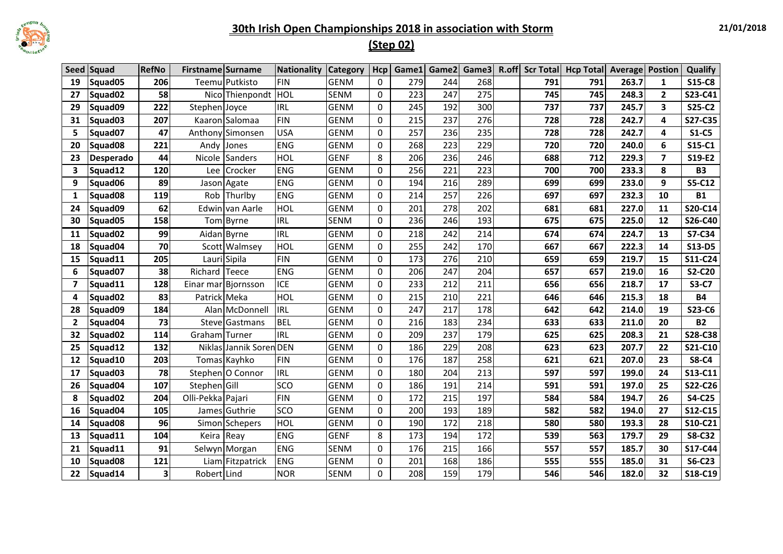

#### **21/01/2018**

## **(Step 02)**

|                | Seed Squad          | <b>RefNo</b>            | Firstname Surname |                         | <b>Nationality</b> | <b>Category</b> | Hcp         | Game1 | Game2 | Game3 | R.off Scr Total | <b>Hcp Total Average Postion</b> |       |                         | Qualify       |
|----------------|---------------------|-------------------------|-------------------|-------------------------|--------------------|-----------------|-------------|-------|-------|-------|-----------------|----------------------------------|-------|-------------------------|---------------|
| 19             | Squad05             | 206                     |                   | Teemu Putkisto          | <b>FIN</b>         | <b>GENM</b>     | 0           | 279   | 244   | 268   | 791             | 791                              | 263.7 | $\mathbf{1}$            | S15-C8        |
| 27             | Squad02             | 58                      |                   | Nico Thienpondt         | HOL                | <b>SENM</b>     | 0           | 223   | 247   | 275   | 745             | 745                              | 248.3 | $\mathbf{2}$            | S23-C41       |
| 29             | Squad09             | 222                     | Stephen Joyce     |                         | <b>IRL</b>         | <b>GENM</b>     | 0           | 245   | 192   | 300   | 737             | 737                              | 245.7 | $\overline{\mathbf{3}}$ | S25-C2        |
| 31             | Squad03             | 207                     |                   | Kaaron Salomaa          | <b>FIN</b>         | <b>GENM</b>     | 0           | 215   | 237   | 276   | 728             | 728                              | 242.7 | 4                       | S27-C35       |
| 5              | Squad07             | 47                      |                   | Anthony Simonsen        | <b>USA</b>         | <b>GENM</b>     | 0           | 257   | 236   | 235   | 728             | 728                              | 242.7 | 4                       | $S1-C5$       |
| 20             | Squad <sub>08</sub> | 221                     |                   | Andy Jones              | <b>ENG</b>         | <b>GENM</b>     | 0           | 268   | 223   | 229   | 720             | 720                              | 240.0 | 6                       | S15-C1        |
| 23             | Desperado           | 44                      | Nicole            | Sanders                 | HOL                | <b>GENF</b>     | 8           | 206   | 236   | 246   | 688             | 712                              | 229.3 | $\overline{\mathbf{z}}$ | S19-E2        |
| 3              | Squad12             | 120                     | Lee               | Crocker                 | <b>ENG</b>         | <b>GENM</b>     | $\mathbf 0$ | 256   | 221   | 223   | 700             | 700                              | 233.3 | 8                       | <b>B3</b>     |
| 9              | Squad06             | 89                      |                   | Jason Agate             | <b>ENG</b>         | <b>GENM</b>     | 0           | 194   | 216   | 289   | 699             | 699                              | 233.0 | 9                       | S5-C12        |
| 1              | Squad08             | 119                     |                   | Rob Thurlby             | <b>ENG</b>         | <b>GENM</b>     | 0           | 214   | 257   | 226   | 697             | 697                              | 232.3 | 10                      | <b>B1</b>     |
| 24             | Squad09             | 62                      |                   | Edwin van Aarle         | <b>HOL</b>         | <b>GENM</b>     | 0           | 201   | 278   | 202   | 681             | 681                              | 227.0 | 11                      | S20-C14       |
| 30             | Squad05             | 158                     |                   | Tom Byrne               | <b>IRL</b>         | <b>SENM</b>     | 0           | 236   | 246   | 193   | 675             | 675                              | 225.0 | 12                      | S26-C40       |
| 11             | Squad02             | 99                      |                   | Aidan Byrne             | <b>IRL</b>         | <b>GENM</b>     | 0           | 218   | 242   | 214   | 674             | 674                              | 224.7 | 13                      | S7-C34        |
| 18             | Squad04             | 70                      |                   | Scott Walmsey           | <b>HOL</b>         | <b>GENM</b>     | 0           | 255   | 242   | 170   | 667             | 667                              | 222.3 | 14                      | S13-D5        |
| 15             | Squad11             | 205                     |                   | Lauri Sipila            | <b>FIN</b>         | <b>GENM</b>     | $\mathbf 0$ | 173   | 276   | 210   | 659             | 659                              | 219.7 | 15                      | S11-C24       |
| 6              | Squad07             | 38                      | Richard           | Teece                   | <b>ENG</b>         | <b>GENM</b>     | 0           | 206   | 247   | 204   | 657             | 657                              | 219.0 | 16                      | <b>S2-C20</b> |
| $\overline{7}$ | Squad11             | 128                     |                   | Einar mar Bjornsson     | <b>ICE</b>         | <b>GENM</b>     | 0           | 233   | 212   | 211   | 656             | 656                              | 218.7 | 17                      | <b>S3-C7</b>  |
| 4              | Squad <sub>02</sub> | 83                      | Patrick Meka      |                         | HOL                | <b>GENM</b>     | $\mathbf 0$ | 215   | 210   | 221   | 646             | 646                              | 215.3 | 18                      | <b>B4</b>     |
| 28             | Squad09             | 184                     |                   | Alan McDonnell          | <b>IRL</b>         | <b>GENM</b>     | 0           | 247   | 217   | 178   | 642             | 642                              | 214.0 | 19                      | S23-C6        |
| $\mathbf{2}$   | Squad04             | 73                      |                   | Steve Gastmans          | <b>BEL</b>         | <b>GENM</b>     | $\Omega$    | 216   | 183   | 234   | 633             | 633                              | 211.0 | 20                      | <b>B2</b>     |
| 32             | Squad <sub>02</sub> | 114                     | Graham Turner     |                         | <b>IRL</b>         | <b>GENM</b>     | $\mathbf 0$ | 209   | 237   | 179   | 625             | 625                              | 208.3 | 21                      | S28-C38       |
| 25             | Squad12             | 132                     |                   | Niklas Jannik Soren DEN |                    | <b>GENM</b>     | $\mathbf 0$ | 186   | 229   | 208   | 623             | 623                              | 207.7 | 22                      | S21-C10       |
| 12             | Squad10             | 203                     |                   | Tomas Kayhko            | <b>FIN</b>         | <b>GENM</b>     | $\mathbf 0$ | 176   | 187   | 258   | 621             | 621                              | 207.0 | 23                      | <b>S8-C4</b>  |
| 17             | Squad03             | 78                      |                   | Stephen O Connor        | <b>IRL</b>         | <b>GENM</b>     | $\mathbf 0$ | 180   | 204   | 213   | 597             | 597                              | 199.0 | 24                      | S13-C11       |
| 26             | Squad04             | 107                     | Stephen Gill      |                         | SCO                | <b>GENM</b>     | 0           | 186   | 191   | 214   | 591             | 591                              | 197.0 | 25                      | S22-C26       |
| 8              | Squad02             | 204                     | Olli-Pekka Pajari |                         | <b>FIN</b>         | <b>GENM</b>     | 0           | 172   | 215   | 197   | 584             | 584                              | 194.7 | 26                      | <b>S4-C25</b> |
| 16             | Squad04             | 105                     |                   | James Guthrie           | SCO                | <b>GENM</b>     | 0           | 200   | 193   | 189   | 582             | 582                              | 194.0 | 27                      | S12-C15       |
| 14             | Squad08             | 96                      |                   | Simon Schepers          | <b>HOL</b>         | <b>GENM</b>     | 0           | 190   | 172   | 218   | 580             | 580                              | 193.3 | 28                      | S10-C21       |
| 13             | Squad11             | 104                     | Keira Reay        |                         | <b>ENG</b>         | <b>GENF</b>     | 8           | 173   | 194   | 172   | 539             | 563                              | 179.7 | 29                      | <b>S8-C32</b> |
| 21             | Squad11             | 91                      |                   | Selwyn Morgan           | <b>ENG</b>         | <b>SENM</b>     | 0           | 176   | 215   | 166   | 557             | 557                              | 185.7 | 30                      | S17-C44       |
| 10             | Squad <sub>08</sub> | 121                     |                   | Liam Fitzpatrick        | <b>ENG</b>         | <b>GENM</b>     | 0           | 201   | 168   | 186   | 555             | 555                              | 185.0 | 31                      | <b>S6-C23</b> |
| 22             | Squad14             | $\overline{\mathbf{3}}$ | Robert Lind       |                         | <b>NOR</b>         | <b>SENM</b>     | $\Omega$    | 208   | 159   | 179   | 546             | 546                              | 182.0 | 32                      | S18-C19       |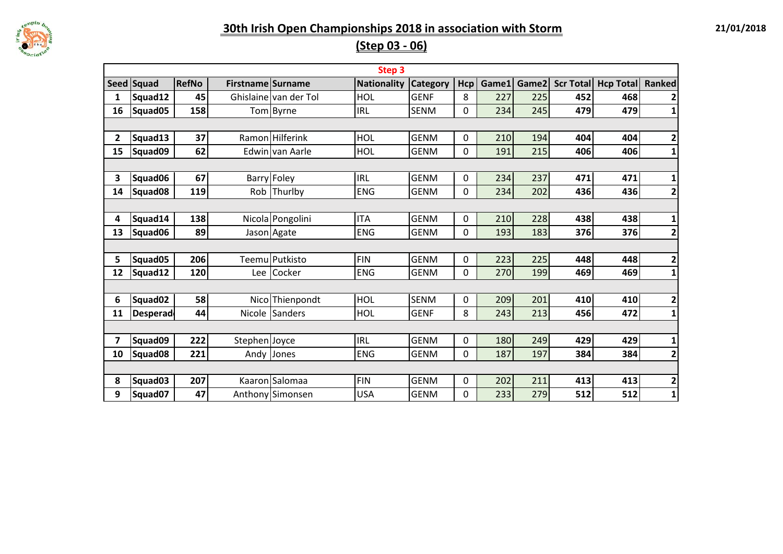

**(Step 03 - 06)**

|              |                 |              |                   |                       | Step <sub>3</sub>  |                 |     |       |       |                  |                  |                         |
|--------------|-----------------|--------------|-------------------|-----------------------|--------------------|-----------------|-----|-------|-------|------------------|------------------|-------------------------|
|              | Seed Squad      | <b>RefNo</b> | Firstname Surname |                       | <b>Nationality</b> | <b>Category</b> | Hcp | Game1 | Game2 | <b>Scr Total</b> | <b>Hcp Total</b> | Ranked                  |
| 1            | Squad12         | 45           |                   | Ghislaine van der Tol | <b>HOL</b>         | <b>GENF</b>     | 8   | 227   | 225   | 452              | 468              |                         |
| 16           | Squad05         | 158          |                   | Tom Byrne             | <b>IRL</b>         | <b>SENM</b>     | 0   | 234   | 245   | 479              | 479              | 1                       |
|              |                 |              |                   |                       |                    |                 |     |       |       |                  |                  |                         |
| $\mathbf{2}$ | Squad13         | 37           |                   | Ramon Hilferink       | HOL                | <b>GENM</b>     | 0   | 210   | 194   | 404              | 404              | $\overline{2}$          |
| 15           | Squad09         | 62           |                   | Edwin van Aarle       | <b>HOL</b>         | <b>GENM</b>     | 0   | 191   | 215   | 406              | 406              | $\mathbf{1}$            |
|              |                 |              |                   |                       |                    |                 |     |       |       |                  |                  |                         |
| 3            | Squad06         | 67           |                   | <b>Barry Foley</b>    | <b>IRL</b>         | <b>GENM</b>     | 0   | 234   | 237   | 471              | 471              | 1                       |
| 14           | Squad08         | 119          |                   | Rob Thurlby           | <b>ENG</b>         | <b>GENM</b>     | 0   | 234   | 202   | 436              | 436              | $\overline{2}$          |
|              |                 |              |                   |                       |                    |                 |     |       |       |                  |                  |                         |
| 4            | Squad14         | 138          |                   | Nicola Pongolini      | <b>ITA</b>         | <b>GENM</b>     | 0   | 210   | 228   | 438              | 438              | 1                       |
| 13           | Squad06         | 89           |                   | Jason Agate           | <b>ENG</b>         | <b>GENM</b>     | 0   | 193   | 183   | 376              | 376              | $\overline{\mathbf{c}}$ |
|              |                 |              |                   |                       |                    |                 |     |       |       |                  |                  |                         |
| 5            | Squad05         | 206          |                   | Teemu Putkisto        | <b>FIN</b>         | <b>GENM</b>     | 0   | 223   | 225   | 448              | 448              | 2                       |
| 12           | Squad12         | 120          |                   | Lee Cocker            | <b>ENG</b>         | <b>GENM</b>     | 0   | 270   | 199   | 469              | 469              | $\mathbf{1}$            |
|              |                 |              |                   |                       |                    |                 |     |       |       |                  |                  |                         |
| 6            | Squad02         | 58           |                   | Nico Thienpondt       | <b>HOL</b>         | <b>SENM</b>     | 0   | 209   | 201   | 410              | 410              | 2                       |
| 11           | <b>Desperad</b> | 44           |                   | Nicole Sanders        | HOL                | <b>GENF</b>     | 8   | 243   | 213   | 456              | 472              | 1                       |
|              |                 |              |                   |                       |                    |                 |     |       |       |                  |                  |                         |
| 7            | Squad09         | 222          | Stephen Joyce     |                       | <b>IRL</b>         | <b>GENM</b>     | 0   | 180   | 249   | 429              | 429              | 1                       |
| 10           | Squad08         | 221          |                   | Andy Jones            | <b>ENG</b>         | <b>GENM</b>     | 0   | 187   | 197   | 384              | 384              | $\overline{\mathbf{c}}$ |
|              |                 |              |                   |                       |                    |                 |     |       |       |                  |                  |                         |
| 8            | Squad03         | 207          |                   | Kaaron Salomaa        | <b>FIN</b>         | <b>GENM</b>     | 0   | 202   | 211   | 413              | 413              | $\overline{\mathbf{c}}$ |
| 9            | Squad07         | 47           |                   | Anthony Simonsen      | <b>USA</b>         | <b>GENM</b>     | 0   | 233   | 279   | 512              | 512              | $\mathbf{1}$            |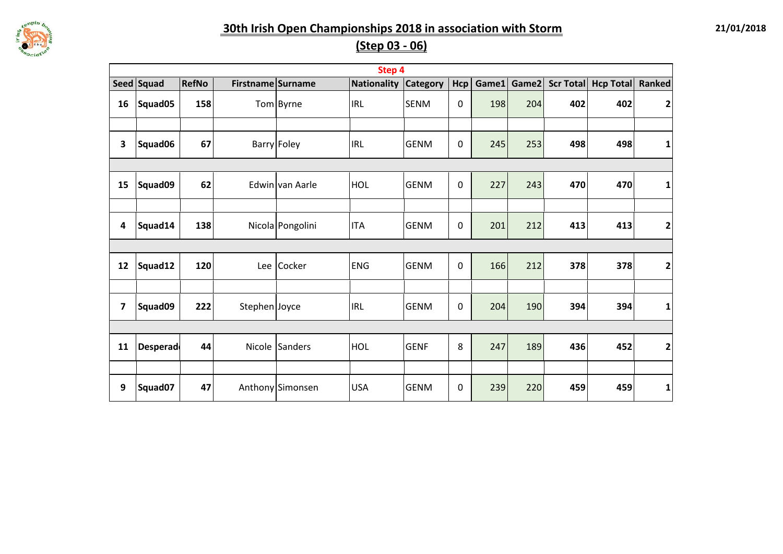

**(Step 03 - 06)**

|    |                 |              |                   |                  | Step 4      |                 |                |     |             |     |                     |                         |
|----|-----------------|--------------|-------------------|------------------|-------------|-----------------|----------------|-----|-------------|-----|---------------------|-------------------------|
|    | Seed Squad      | <b>RefNo</b> | Firstname Surname |                  | Nationality | <b>Category</b> | Hcp            |     | Game1 Game2 |     | Scr Total Hcp Total | Ranked                  |
| 16 | Squad05         | 158          |                   | Tom Byrne        | <b>IRL</b>  | <b>SENM</b>     | $\overline{0}$ | 198 | 204         | 402 | 402                 | $\mathbf{2}$            |
|    |                 |              |                   |                  |             |                 |                |     |             |     |                     |                         |
| 3  | Squad06         | 67           |                   | Barry Foley      | <b>IRL</b>  | <b>GENM</b>     | 0              | 245 | 253         | 498 | 498                 | 1                       |
|    |                 |              |                   |                  |             |                 |                |     |             |     |                     |                         |
| 15 | Squad09         | 62           |                   | Edwin van Aarle  | HOL         | <b>GENM</b>     | 0              | 227 | 243         | 470 | 470                 | $\mathbf{1}$            |
|    |                 |              |                   |                  |             |                 |                |     |             |     |                     |                         |
| 4  | Squad14         | 138          |                   | Nicola Pongolini | <b>ITA</b>  | <b>GENM</b>     | 0              | 201 | 212         | 413 | 413                 | $\mathbf{2}$            |
|    |                 |              |                   |                  |             |                 |                |     |             |     |                     |                         |
| 12 | Squad12         | 120          | Lee               | Cocker           | <b>ENG</b>  | <b>GENM</b>     | $\mathbf 0$    | 166 | 212         | 378 | 378                 | $\overline{\mathbf{2}}$ |
|    |                 |              |                   |                  |             |                 |                |     |             |     |                     |                         |
| 7  | Squad09         | 222          | Stephen Joyce     |                  | <b>IRL</b>  | <b>GENM</b>     | 0              | 204 | 190         | 394 | 394                 | $\mathbf{1}$            |
|    |                 |              |                   |                  |             |                 |                |     |             |     |                     |                         |
| 11 | <b>Desperad</b> | 44           | Nicole            | Sanders          | HOL         | <b>GENF</b>     | 8              | 247 | 189         | 436 | 452                 | $\mathbf{2}$            |
|    |                 |              |                   |                  |             |                 |                |     |             |     |                     |                         |
| 9  | Squad07         | 47           |                   | Anthony Simonsen | <b>USA</b>  | <b>GENM</b>     | 0              | 239 | 220         | 459 | 459                 | 1                       |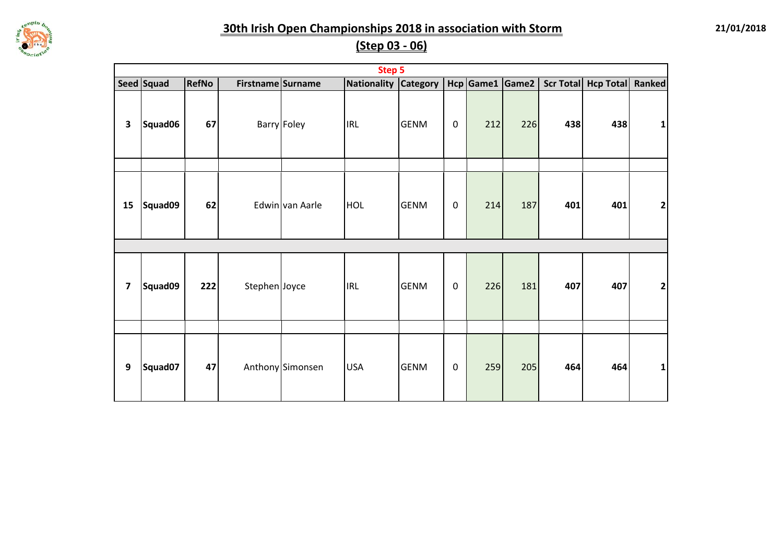

**21/01/2018**

## **(Step 03 - 06)**

|                         | <b>Step 5</b> |       |                   |                  |             |                 |             |     |                 |     |                     |              |  |  |
|-------------------------|---------------|-------|-------------------|------------------|-------------|-----------------|-------------|-----|-----------------|-----|---------------------|--------------|--|--|
|                         | Seed Squad    | RefNo | Firstname Surname |                  | Nationality | <b>Category</b> |             |     | Hcp Game1 Game2 |     | Scr Total Hcp Total | Ranked       |  |  |
| 3                       | Squad06       | 67    |                   | Barry Foley      | <b>IRL</b>  | <b>GENM</b>     | $\mathsf 0$ | 212 | 226             | 438 | 438                 | 1            |  |  |
|                         |               |       |                   |                  |             |                 |             |     |                 |     |                     |              |  |  |
| 15                      | Squad09       | 62    |                   | Edwin van Aarle  | <b>HOL</b>  | <b>GENM</b>     | $\mathbf 0$ | 214 | 187             | 401 | 401                 | $\mathbf{2}$ |  |  |
|                         |               |       |                   |                  |             |                 |             |     |                 |     |                     |              |  |  |
| $\overline{\mathbf{z}}$ | Squad09       | 222   | Stephen Joyce     |                  | <b>IRL</b>  | <b>GENM</b>     | $\mathbf 0$ | 226 | 181             | 407 | 407                 | 2            |  |  |
|                         |               |       |                   |                  |             |                 |             |     |                 |     |                     |              |  |  |
| 9                       | Squad07       | 47    |                   | Anthony Simonsen | <b>USA</b>  | <b>GENM</b>     | $\mathbf 0$ | 259 | 205             | 464 | 464                 | $\mathbf{1}$ |  |  |